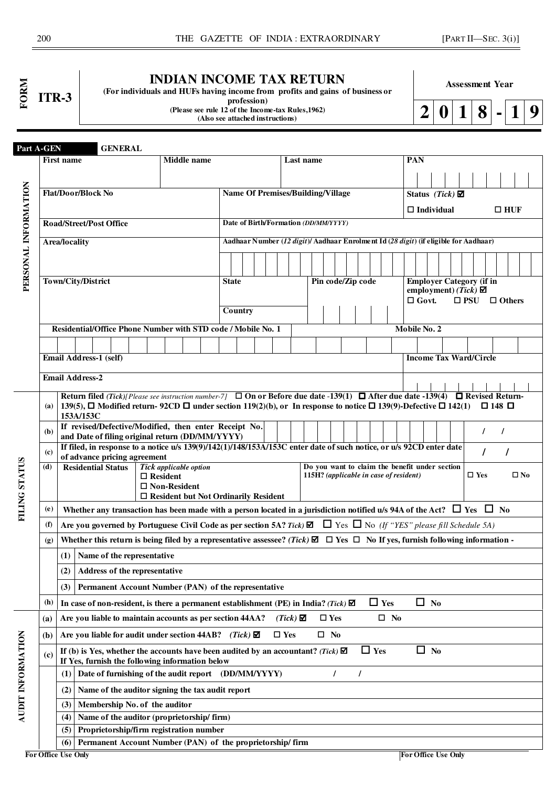### **INDIAN INCOME TAX RETURN**

**(For individuals and HUFs having income from profits and gains of business or** 

**Assessment Year** 

**profession) (Please see rule 12 of the Income-tax Rules,1962)** 

**(Also see attached instructions)** 

**2 0 1 8 - 1 9**

| Part A-GEN           |                             |                                                                                                                                                                                                                                                                                      | <b>GENERAL</b> |                                                           |                                        |                                             |                                                                                      |               |                 |               |                   |            |                                                                                          |              |              |                   |                                 |               |               |                   |               |  |
|----------------------|-----------------------------|--------------------------------------------------------------------------------------------------------------------------------------------------------------------------------------------------------------------------------------------------------------------------------------|----------------|-----------------------------------------------------------|----------------------------------------|---------------------------------------------|--------------------------------------------------------------------------------------|---------------|-----------------|---------------|-------------------|------------|------------------------------------------------------------------------------------------|--------------|--------------|-------------------|---------------------------------|---------------|---------------|-------------------|---------------|--|
|                      |                             | First name                                                                                                                                                                                                                                                                           |                |                                                           |                                        | <b>Middle</b> name                          |                                                                                      |               | Last name       |               |                   |            |                                                                                          |              | PAN          |                   |                                 |               |               |                   |               |  |
|                      |                             |                                                                                                                                                                                                                                                                                      |                |                                                           |                                        |                                             |                                                                                      |               |                 |               |                   |            |                                                                                          |              |              |                   |                                 |               |               |                   |               |  |
|                      |                             | <b>Flat/Door/Block No</b>                                                                                                                                                                                                                                                            |                |                                                           |                                        |                                             |                                                                                      |               |                 |               |                   |            |                                                                                          |              |              |                   |                                 |               |               |                   |               |  |
|                      |                             |                                                                                                                                                                                                                                                                                      |                |                                                           |                                        |                                             | <b>Name Of Premises/Building/Village</b>                                             |               |                 |               |                   |            |                                                                                          |              |              |                   | Status (Tick) $\boxtimes$       |               |               |                   |               |  |
|                      |                             |                                                                                                                                                                                                                                                                                      |                |                                                           |                                        |                                             |                                                                                      |               |                 |               |                   |            |                                                                                          |              |              | $\Box$ Individual |                                 |               |               |                   | $\Box$ HUF    |  |
|                      |                             | <b>Road/Street/Post Office</b>                                                                                                                                                                                                                                                       |                |                                                           |                                        |                                             | Date of Birth/Formation (DD/MM/YYYY)                                                 |               |                 |               |                   |            |                                                                                          |              |              |                   |                                 |               |               |                   |               |  |
|                      |                             | Area/locality                                                                                                                                                                                                                                                                        |                |                                                           |                                        |                                             | Aadhaar Number (12 digit)/ Aadhaar Enrolment Id (28 digit) (if eligible for Aadhaar) |               |                 |               |                   |            |                                                                                          |              |              |                   |                                 |               |               |                   |               |  |
|                      |                             |                                                                                                                                                                                                                                                                                      |                |                                                           |                                        |                                             |                                                                                      |               |                 |               |                   |            |                                                                                          |              |              |                   |                                 |               |               |                   |               |  |
|                      |                             |                                                                                                                                                                                                                                                                                      |                |                                                           |                                        |                                             |                                                                                      |               |                 |               |                   |            |                                                                                          |              |              |                   |                                 |               |               |                   |               |  |
| PERSONAL INFORMATION |                             | Town/City/District                                                                                                                                                                                                                                                                   |                |                                                           |                                        |                                             | <b>State</b>                                                                         |               |                 |               | Pin code/Zip code |            |                                                                                          |              |              |                   | <b>Employer Category (if in</b> |               |               |                   |               |  |
|                      |                             |                                                                                                                                                                                                                                                                                      |                |                                                           |                                        |                                             |                                                                                      |               |                 |               |                   |            |                                                                                          |              |              |                   | employment) (Tick) $\boxtimes$  |               |               |                   |               |  |
|                      |                             |                                                                                                                                                                                                                                                                                      |                |                                                           |                                        |                                             | Country                                                                              |               |                 |               |                   |            |                                                                                          |              | $\Box$ Govt. |                   |                                 | $\square$ PSU |               |                   | $\Box$ Others |  |
|                      |                             |                                                                                                                                                                                                                                                                                      |                |                                                           |                                        |                                             |                                                                                      |               |                 |               |                   |            |                                                                                          |              |              |                   |                                 |               |               |                   |               |  |
|                      |                             | Residential/Office Phone Number with STD code / Mobile No. 1                                                                                                                                                                                                                         |                |                                                           |                                        |                                             |                                                                                      |               |                 |               |                   |            |                                                                                          | Mobile No. 2 |              |                   |                                 |               |               |                   |               |  |
|                      |                             |                                                                                                                                                                                                                                                                                      |                |                                                           |                                        |                                             |                                                                                      |               |                 |               |                   |            |                                                                                          |              |              |                   |                                 |               |               |                   |               |  |
|                      |                             | Email Address-1 (self)                                                                                                                                                                                                                                                               |                |                                                           |                                        |                                             |                                                                                      |               |                 |               |                   |            |                                                                                          |              |              |                   | <b>Income Tax Ward/Circle</b>   |               |               |                   |               |  |
|                      |                             | <b>Email Address-2</b>                                                                                                                                                                                                                                                               |                |                                                           |                                        |                                             |                                                                                      |               |                 |               |                   |            |                                                                                          |              |              |                   |                                 |               |               |                   |               |  |
|                      |                             |                                                                                                                                                                                                                                                                                      |                |                                                           |                                        |                                             |                                                                                      |               |                 |               |                   |            |                                                                                          |              |              |                   |                                 |               |               |                   |               |  |
|                      | (a)                         | Return filed (Tick)[Please see instruction number-7] $\Box$ On or Before due date -139(1) $\Box$ After due date -139(4) $\Box$ Revised Return-<br>139(5), $\Box$ Modified return-92CD $\Box$ under section 119(2)(b), or In response to notice $\Box$ 139(9)-Defective $\Box$ 142(1) |                |                                                           |                                        |                                             |                                                                                      |               |                 |               |                   |            |                                                                                          |              |              |                   |                                 |               |               | $\Box$ 148 $\Box$ |               |  |
|                      |                             | 153A/153C                                                                                                                                                                                                                                                                            |                |                                                           |                                        |                                             |                                                                                      |               |                 |               |                   |            |                                                                                          |              |              |                   |                                 |               |               |                   |               |  |
|                      | (b)                         | If revised/Defective/Modified, then enter Receipt No.                                                                                                                                                                                                                                |                |                                                           |                                        |                                             |                                                                                      |               |                 |               |                   |            |                                                                                          |              |              |                   |                                 |               | $\prime$      | $\prime$          |               |  |
|                      |                             | and Date of filing original return (DD/MM/YYYY)<br>If filed, in response to a notice u/s 139(9)/142(1)/148/153A/153C enter date of such notice, or u/s 92CD enter date                                                                                                               |                |                                                           |                                        |                                             |                                                                                      |               |                 |               |                   |            |                                                                                          |              |              |                   |                                 |               |               |                   |               |  |
|                      | (c)                         | of advance pricing agreement                                                                                                                                                                                                                                                         |                |                                                           |                                        |                                             |                                                                                      |               |                 |               |                   |            |                                                                                          |              |              |                   |                                 |               | $\prime$      |                   |               |  |
|                      | (d)                         | <b>Residential Status</b>                                                                                                                                                                                                                                                            |                |                                                           |                                        | Tick applicable option                      |                                                                                      |               |                 |               |                   |            | Do you want to claim the benefit under section<br>115H? (applicable in case of resident) |              |              |                   |                                 |               | $\square$ Yes |                   | $\square$ No  |  |
|                      |                             |                                                                                                                                                                                                                                                                                      |                |                                                           | $\Box$ Resident<br>$\Box$ Non-Resident |                                             |                                                                                      |               |                 |               |                   |            |                                                                                          |              |              |                   |                                 |               |               |                   |               |  |
|                      |                             |                                                                                                                                                                                                                                                                                      |                |                                                           |                                        | $\Box$ Resident but Not Ordinarily Resident |                                                                                      |               |                 |               |                   |            |                                                                                          |              |              |                   |                                 |               |               |                   |               |  |
| <b>FILING STATUS</b> | (e)                         | Whether any transaction has been made with a person located in a jurisdiction notified u/s 94A of the Act? $\Box$ Yes $\Box$ No                                                                                                                                                      |                |                                                           |                                        |                                             |                                                                                      |               |                 |               |                   |            |                                                                                          |              |              |                   |                                 |               |               |                   |               |  |
|                      | (f)                         | Are you governed by Portuguese Civil Code as per section 5A? Tick) $\Box$ Tes $\Box$ No (If "YES" please fill Schedule 5A)                                                                                                                                                           |                |                                                           |                                        |                                             |                                                                                      |               |                 |               |                   |            |                                                                                          |              |              |                   |                                 |               |               |                   |               |  |
|                      | (g)                         | Whether this return is being filed by a representative assessee? (Tick) $\Box$ $\Box$ $\Box$ $\Box$ No If yes, furnish following information -                                                                                                                                       |                |                                                           |                                        |                                             |                                                                                      |               |                 |               |                   |            |                                                                                          |              |              |                   |                                 |               |               |                   |               |  |
|                      |                             | $(1)$ Name of the representative                                                                                                                                                                                                                                                     |                |                                                           |                                        |                                             |                                                                                      |               |                 |               |                   |            |                                                                                          |              |              |                   |                                 |               |               |                   |               |  |
|                      |                             | (2)                                                                                                                                                                                                                                                                                  |                | Address of the representative                             |                                        |                                             |                                                                                      |               |                 |               |                   |            |                                                                                          |              |              |                   |                                 |               |               |                   |               |  |
|                      |                             | (3)                                                                                                                                                                                                                                                                                  |                | Permanent Account Number (PAN) of the representative      |                                        |                                             |                                                                                      |               |                 |               |                   |            |                                                                                          |              |              |                   |                                 |               |               |                   |               |  |
|                      | (h)                         | In case of non-resident, is there a permanent establishment (PE) in India? (Tick) $\blacksquare$                                                                                                                                                                                     |                |                                                           |                                        |                                             |                                                                                      |               |                 |               |                   |            | $\Box$ Yes                                                                               |              |              | $\Box$ No         |                                 |               |               |                   |               |  |
|                      | (a)                         | Are you liable to maintain accounts as per section 44AA?                                                                                                                                                                                                                             |                |                                                           |                                        |                                             |                                                                                      |               | $(Tick)$ $\Box$ | $\square$ Yes |                   |            | $\square$ No                                                                             |              |              |                   |                                 |               |               |                   |               |  |
|                      | (b)                         | Are you liable for audit under section 44AB? (Tick) $\boxtimes$                                                                                                                                                                                                                      |                |                                                           |                                        |                                             |                                                                                      | $\square$ Yes |                 | $\square$ No  |                   |            |                                                                                          |              |              |                   |                                 |               |               |                   |               |  |
| AUDIT INFORMATION    | $\left( \mathbf{c} \right)$ | If (b) is Yes, whether the accounts have been audited by an accountant? (Tick) $\blacksquare$<br>If Yes, furnish the following information below                                                                                                                                     |                |                                                           |                                        |                                             |                                                                                      |               |                 |               |                   | $\Box$ Yes |                                                                                          |              | $\Box$       | N <sub>0</sub>    |                                 |               |               |                   |               |  |
|                      |                             | (1)                                                                                                                                                                                                                                                                                  |                | Date of furnishing of the audit report (DD/MM/YYYY)       |                                        |                                             |                                                                                      |               |                 | $\prime$      | $\prime$          |            |                                                                                          |              |              |                   |                                 |               |               |                   |               |  |
|                      |                             | (2)                                                                                                                                                                                                                                                                                  |                | Name of the auditor signing the tax audit report          |                                        |                                             |                                                                                      |               |                 |               |                   |            |                                                                                          |              |              |                   |                                 |               |               |                   |               |  |
|                      |                             | (3)                                                                                                                                                                                                                                                                                  |                | Membership No. of the auditor                             |                                        |                                             |                                                                                      |               |                 |               |                   |            |                                                                                          |              |              |                   |                                 |               |               |                   |               |  |
|                      |                             | (4)                                                                                                                                                                                                                                                                                  |                | Name of the auditor (proprietorship/ firm)                |                                        |                                             |                                                                                      |               |                 |               |                   |            |                                                                                          |              |              |                   |                                 |               |               |                   |               |  |
|                      |                             | (5)                                                                                                                                                                                                                                                                                  |                | Proprietorship/firm registration number                   |                                        |                                             |                                                                                      |               |                 |               |                   |            |                                                                                          |              |              |                   |                                 |               |               |                   |               |  |
|                      |                             | (6)                                                                                                                                                                                                                                                                                  |                | Permanent Account Number (PAN) of the proprietorship/firm |                                        |                                             |                                                                                      |               |                 |               |                   |            |                                                                                          |              |              |                   |                                 |               |               |                   |               |  |
|                      |                             | For Office Use Only                                                                                                                                                                                                                                                                  |                |                                                           |                                        |                                             |                                                                                      |               |                 |               |                   |            |                                                                                          |              |              |                   | For Office Use Only             |               |               |                   |               |  |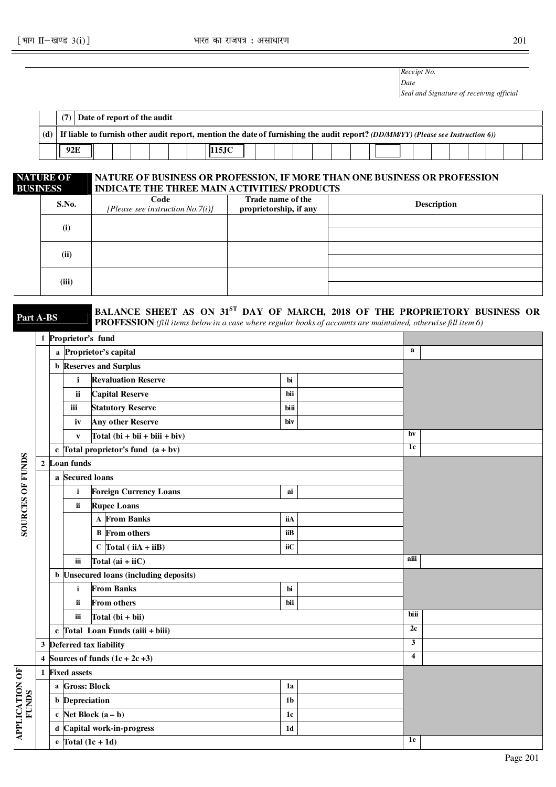*Receipt No. Date* 

*Seal and Signature of receiving official* 

|  |  | Date of report of the audit |  |                                                                                                                                      |  |  |  |  |  |  |  |  |
|--|--|-----------------------------|--|--------------------------------------------------------------------------------------------------------------------------------------|--|--|--|--|--|--|--|--|
|  |  |                             |  | (d) If liable to furnish other audit report, mention the date of furnishing the audit report? (DD/MM/YY) (Please see Instruction 6)) |  |  |  |  |  |  |  |  |
|  |  |                             |  |                                                                                                                                      |  |  |  |  |  |  |  |  |

#### **NATURE OF BUSINESS NATURE OF BUSINESS OR PROFESSION, IF MORE THAN ONE BUSINESS OR PROFESSION INDICATE THE THREE MAIN ACTIVITIES/ PRODUCTS**

| <b>S.No.</b> | Code<br>[Please see instruction $No.7(i)$ ] | Trade name of the<br>proprietorship, if any | <b>Description</b> |
|--------------|---------------------------------------------|---------------------------------------------|--------------------|
| (i)          |                                             |                                             |                    |
|              |                                             |                                             |                    |
| (ii)         |                                             |                                             |                    |
|              |                                             |                                             |                    |
| (iii)        |                                             |                                             |                    |
|              |                                             |                                             |                    |

**Part A-BS BALANCE SHEET AS ON 31<sup>ST</sup> DAY OF MARCH, 2018 OF THE PROPRIETORY BUSINESS OR** 

**PROFESSION** *(fill items below in a case where regular books of accounts are maintained, otherwise fill item 6)* 

| $\mathbf a$<br>a Proprietor's capital<br><b>b</b> Reserves and Surplus<br><b>Revaluation Reserve</b><br>$\mathbf{i}$<br>bi<br><b>Capital Reserve</b><br>ii<br>bii<br><b>Statutory Reserve</b><br>iii<br>biii<br><b>Any other Reserve</b><br>iv<br>biv<br>bv<br>Total $(bi + bii + biii + biv)$<br>$\mathbf{v}$<br>1c<br>c Total proprietor's fund $(a + bv)$<br>SOURCES OF FUNDS<br>2 Loan funds<br>a Secured loans<br><b>Foreign Currency Loans</b><br>$\mathbf{i}$<br>ai<br><b>Rupee Loans</b><br>ii.<br><b>A</b> From Banks<br>iiA<br>iiB<br><b>B</b> From others<br>$C$ Total (iiA + iiB)<br>iiC<br>aiii<br>Total $(ai + iiC)$<br>iii<br><b>b</b> Unsecured loans (including deposits)<br><b>From Banks</b><br>$\mathbf{i}$<br>bi<br><b>From others</b><br>ii<br>bii<br>biii<br>iii<br>Total $(bi + bi)$<br>2c<br>$c$ Total Loan Funds (aiii + biii)<br>3<br>3 Deferred tax liability<br>$\overline{\mathbf{4}}$<br>4 Sources of funds $(1c + 2c +3)$<br>1 Fixed assets<br>a Gross: Block<br>1a<br><b>b</b> Depreciation<br>1 <sub>b</sub><br>c Net Block $(a - b)$<br>1c<br>d Capital work-in-progress<br>1 <sub>d</sub><br>1e<br>e Total $(1c + 1d)$ |  | 1 Proprietor's fund |  |  |  |
|------------------------------------------------------------------------------------------------------------------------------------------------------------------------------------------------------------------------------------------------------------------------------------------------------------------------------------------------------------------------------------------------------------------------------------------------------------------------------------------------------------------------------------------------------------------------------------------------------------------------------------------------------------------------------------------------------------------------------------------------------------------------------------------------------------------------------------------------------------------------------------------------------------------------------------------------------------------------------------------------------------------------------------------------------------------------------------------------------------------------------------------------------------|--|---------------------|--|--|--|
|                                                                                                                                                                                                                                                                                                                                                                                                                                                                                                                                                                                                                                                                                                                                                                                                                                                                                                                                                                                                                                                                                                                                                            |  |                     |  |  |  |
|                                                                                                                                                                                                                                                                                                                                                                                                                                                                                                                                                                                                                                                                                                                                                                                                                                                                                                                                                                                                                                                                                                                                                            |  |                     |  |  |  |
|                                                                                                                                                                                                                                                                                                                                                                                                                                                                                                                                                                                                                                                                                                                                                                                                                                                                                                                                                                                                                                                                                                                                                            |  |                     |  |  |  |
|                                                                                                                                                                                                                                                                                                                                                                                                                                                                                                                                                                                                                                                                                                                                                                                                                                                                                                                                                                                                                                                                                                                                                            |  |                     |  |  |  |
|                                                                                                                                                                                                                                                                                                                                                                                                                                                                                                                                                                                                                                                                                                                                                                                                                                                                                                                                                                                                                                                                                                                                                            |  |                     |  |  |  |
|                                                                                                                                                                                                                                                                                                                                                                                                                                                                                                                                                                                                                                                                                                                                                                                                                                                                                                                                                                                                                                                                                                                                                            |  |                     |  |  |  |
|                                                                                                                                                                                                                                                                                                                                                                                                                                                                                                                                                                                                                                                                                                                                                                                                                                                                                                                                                                                                                                                                                                                                                            |  |                     |  |  |  |
|                                                                                                                                                                                                                                                                                                                                                                                                                                                                                                                                                                                                                                                                                                                                                                                                                                                                                                                                                                                                                                                                                                                                                            |  |                     |  |  |  |
|                                                                                                                                                                                                                                                                                                                                                                                                                                                                                                                                                                                                                                                                                                                                                                                                                                                                                                                                                                                                                                                                                                                                                            |  |                     |  |  |  |
|                                                                                                                                                                                                                                                                                                                                                                                                                                                                                                                                                                                                                                                                                                                                                                                                                                                                                                                                                                                                                                                                                                                                                            |  |                     |  |  |  |
|                                                                                                                                                                                                                                                                                                                                                                                                                                                                                                                                                                                                                                                                                                                                                                                                                                                                                                                                                                                                                                                                                                                                                            |  |                     |  |  |  |
|                                                                                                                                                                                                                                                                                                                                                                                                                                                                                                                                                                                                                                                                                                                                                                                                                                                                                                                                                                                                                                                                                                                                                            |  |                     |  |  |  |
|                                                                                                                                                                                                                                                                                                                                                                                                                                                                                                                                                                                                                                                                                                                                                                                                                                                                                                                                                                                                                                                                                                                                                            |  |                     |  |  |  |
|                                                                                                                                                                                                                                                                                                                                                                                                                                                                                                                                                                                                                                                                                                                                                                                                                                                                                                                                                                                                                                                                                                                                                            |  |                     |  |  |  |
| <b>APPLICATION OF</b><br>FUNDS                                                                                                                                                                                                                                                                                                                                                                                                                                                                                                                                                                                                                                                                                                                                                                                                                                                                                                                                                                                                                                                                                                                             |  |                     |  |  |  |
|                                                                                                                                                                                                                                                                                                                                                                                                                                                                                                                                                                                                                                                                                                                                                                                                                                                                                                                                                                                                                                                                                                                                                            |  |                     |  |  |  |
|                                                                                                                                                                                                                                                                                                                                                                                                                                                                                                                                                                                                                                                                                                                                                                                                                                                                                                                                                                                                                                                                                                                                                            |  |                     |  |  |  |
|                                                                                                                                                                                                                                                                                                                                                                                                                                                                                                                                                                                                                                                                                                                                                                                                                                                                                                                                                                                                                                                                                                                                                            |  |                     |  |  |  |
|                                                                                                                                                                                                                                                                                                                                                                                                                                                                                                                                                                                                                                                                                                                                                                                                                                                                                                                                                                                                                                                                                                                                                            |  |                     |  |  |  |
|                                                                                                                                                                                                                                                                                                                                                                                                                                                                                                                                                                                                                                                                                                                                                                                                                                                                                                                                                                                                                                                                                                                                                            |  |                     |  |  |  |
|                                                                                                                                                                                                                                                                                                                                                                                                                                                                                                                                                                                                                                                                                                                                                                                                                                                                                                                                                                                                                                                                                                                                                            |  |                     |  |  |  |
|                                                                                                                                                                                                                                                                                                                                                                                                                                                                                                                                                                                                                                                                                                                                                                                                                                                                                                                                                                                                                                                                                                                                                            |  |                     |  |  |  |
|                                                                                                                                                                                                                                                                                                                                                                                                                                                                                                                                                                                                                                                                                                                                                                                                                                                                                                                                                                                                                                                                                                                                                            |  |                     |  |  |  |
|                                                                                                                                                                                                                                                                                                                                                                                                                                                                                                                                                                                                                                                                                                                                                                                                                                                                                                                                                                                                                                                                                                                                                            |  |                     |  |  |  |
|                                                                                                                                                                                                                                                                                                                                                                                                                                                                                                                                                                                                                                                                                                                                                                                                                                                                                                                                                                                                                                                                                                                                                            |  |                     |  |  |  |
|                                                                                                                                                                                                                                                                                                                                                                                                                                                                                                                                                                                                                                                                                                                                                                                                                                                                                                                                                                                                                                                                                                                                                            |  |                     |  |  |  |
|                                                                                                                                                                                                                                                                                                                                                                                                                                                                                                                                                                                                                                                                                                                                                                                                                                                                                                                                                                                                                                                                                                                                                            |  |                     |  |  |  |
|                                                                                                                                                                                                                                                                                                                                                                                                                                                                                                                                                                                                                                                                                                                                                                                                                                                                                                                                                                                                                                                                                                                                                            |  |                     |  |  |  |
|                                                                                                                                                                                                                                                                                                                                                                                                                                                                                                                                                                                                                                                                                                                                                                                                                                                                                                                                                                                                                                                                                                                                                            |  |                     |  |  |  |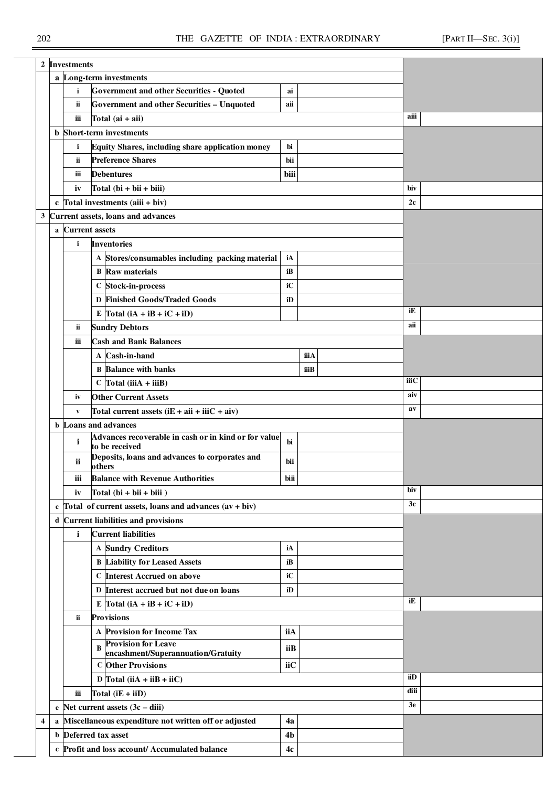|   |              | 2 Investments         |                                                                                                  |      |      |       |  |
|---|--------------|-----------------------|--------------------------------------------------------------------------------------------------|------|------|-------|--|
|   |              |                       | a Long-term investments                                                                          |      |      |       |  |
|   |              | $\mathbf{i}$          | <b>Government and other Securities - Quoted</b>                                                  | ai   |      |       |  |
|   |              | ii                    | <b>Government and other Securities - Unquoted</b>                                                | aii  |      |       |  |
|   |              | iii                   | Total $(ai + ai)$                                                                                |      |      | aiii  |  |
|   |              |                       | <b>b</b> Short-term investments                                                                  |      |      |       |  |
|   |              | i                     | Equity Shares, including share application money                                                 | bi   |      |       |  |
|   |              | ii                    | <b>Preference Shares</b>                                                                         | bii  |      |       |  |
|   |              | iii                   | <b>Debentures</b>                                                                                | biii |      |       |  |
|   |              | iv                    | Total $(bi + bi + biii)$                                                                         |      |      | biv   |  |
|   |              |                       | c $Total$ investments $(aiii + biv)$                                                             |      |      | 2c    |  |
|   |              |                       | 3 Current assets, loans and advances                                                             |      |      |       |  |
|   | $\mathbf{a}$ | <b>Current</b> assets |                                                                                                  |      |      |       |  |
|   |              | $\mathbf{i}$          | <b>Inventories</b>                                                                               |      |      |       |  |
|   |              |                       | A Stores/consumables including packing material                                                  | iA   |      |       |  |
|   |              |                       | <b>B</b> Raw materials                                                                           | iB   |      |       |  |
|   |              |                       | C Stock-in-process                                                                               | iC   |      |       |  |
|   |              |                       | D Finished Goods/Traded Goods                                                                    | iD   |      |       |  |
|   |              |                       | E Total $(iA + iB + iC + iD)$                                                                    |      |      | iE    |  |
|   |              | ï                     | <b>Sundry Debtors</b>                                                                            |      |      | aii   |  |
|   |              | iii                   | <b>Cash and Bank Balances</b>                                                                    |      |      |       |  |
|   |              |                       | A Cash-in-hand                                                                                   |      | iiiA |       |  |
|   |              |                       | <b>B</b> Balance with banks                                                                      |      | iiiB |       |  |
|   |              |                       | $C$ Total (iiiA + iiiB)                                                                          |      |      | iііС  |  |
|   |              |                       |                                                                                                  |      |      | aiv   |  |
|   |              | iv                    | <b>Other Current Assets</b>                                                                      |      |      | $a$ v |  |
|   |              | $\mathbf{v}$          | Total current assets $(iE + ai + iiC + aiv)$<br><b>b</b> Loans and advances                      |      |      |       |  |
|   |              |                       | Advances recoverable in cash or in kind or for value                                             |      |      |       |  |
|   |              | i                     | to be received                                                                                   | bi   |      |       |  |
|   |              | ii                    | Deposits, loans and advances to corporates and<br>others                                         | bii  |      |       |  |
|   |              | iii                   | <b>Balance with Revenue Authorities</b>                                                          | biii |      |       |  |
|   |              | iv                    | Total $(bi + bi + biii)$                                                                         |      |      | biv   |  |
|   |              |                       | c Total of current assets, loans and advances $(av + biv)$                                       |      |      | 3c    |  |
|   |              |                       | d Current liabilities and provisions                                                             |      |      |       |  |
|   |              | $\mathbf{i}$          | <b>Current liabilities</b>                                                                       |      |      |       |  |
|   |              |                       | <b>A Sundry Creditors</b>                                                                        | iA   |      |       |  |
|   |              |                       | <b>B Liability for Leased Assets</b>                                                             | iB   |      |       |  |
|   |              |                       | C Interest Accrued on above                                                                      | iC   |      |       |  |
|   |              |                       | D Interest accrued but not due on loans                                                          | iD   |      |       |  |
|   |              |                       | E $\text{Total} (\text{i} \text{A} + \text{i} \text{B} + \text{i} \text{C} + \text{i} \text{D})$ |      |      | iE    |  |
|   |              | ii                    | <b>Provisions</b>                                                                                |      |      |       |  |
|   |              |                       | A Provision for Income Tax                                                                       | iiA  |      |       |  |
|   |              |                       | <b>Provision for Leave</b><br>$\bf{B}$                                                           | iiB  |      |       |  |
|   |              |                       | encashment/Superannuation/Gratuity<br><b>C</b> Other Provisions                                  | iiC  |      |       |  |
|   |              |                       | D Total (iiA + iiB + iiC)                                                                        |      |      | iiD   |  |
|   |              | iii                   |                                                                                                  |      |      | diii  |  |
|   |              |                       | Total $(iE + iiD)$                                                                               |      |      | 3e    |  |
|   |              |                       | e Net current assets $(3c - diii)$                                                               |      |      |       |  |
| 4 |              |                       | a Miscellaneous expenditure not written off or adjusted                                          | 4a   |      |       |  |
|   |              |                       | <b>b</b> Deferred tax asset                                                                      | 4b   |      |       |  |
|   |              |                       | c Profit and loss account/ Accumulated balance                                                   | 4c   |      |       |  |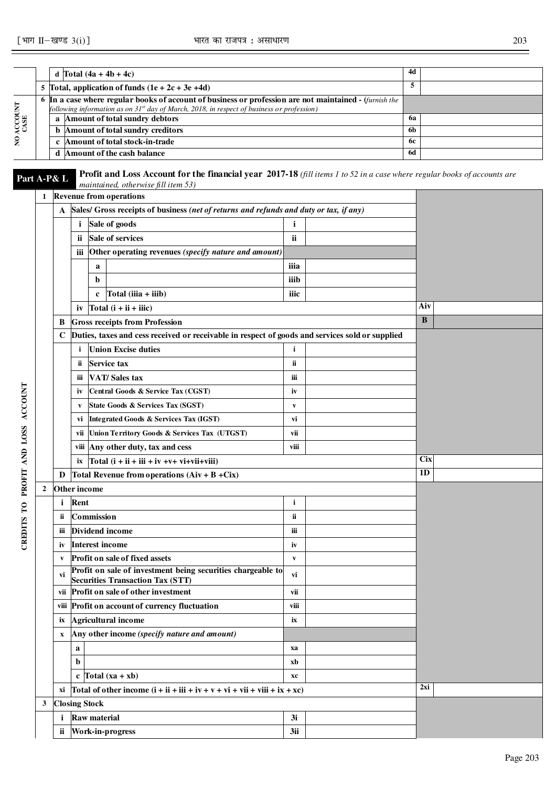٦

٦

|                    |                  |             | d Total $(4a + 4b + 4c)$                                                                                                                                               |              | 4d         |  |
|--------------------|------------------|-------------|------------------------------------------------------------------------------------------------------------------------------------------------------------------------|--------------|------------|--|
|                    |                  |             | 5 Total, application of funds $(1e + 2c + 3e +4d)$                                                                                                                     |              | 5          |  |
|                    |                  |             | 6 In a case where regular books of account of business or profession are not maintained - <i>(furnish the</i>                                                          |              |            |  |
|                    |                  |             | following information as on 31 <sup>st</sup> day of March, 2018, in respect of business or profession)                                                                 |              |            |  |
|                    |                  |             | a Amount of total sundry debtors                                                                                                                                       |              | 6a         |  |
| NO ACCOUNT<br>CASE |                  |             | <b>b</b> Amount of total sundry creditors                                                                                                                              |              | 6b         |  |
|                    |                  |             | c Amount of total stock-in-trade                                                                                                                                       |              | 6с         |  |
|                    |                  |             | d Amount of the cash balance                                                                                                                                           | 6d           |            |  |
| Part A-P& L        |                  |             | <b>Profit and Loss Account for the financial year 2017-18</b> (fill items 1 to 52 in a case where regular books of accounts are<br>maintained, otherwise fill item 53) |              |            |  |
|                    |                  |             | 1 Revenue from operations                                                                                                                                              |              |            |  |
|                    |                  |             | A Sales/ Gross receipts of business (net of returns and refunds and duty or tax, if any)                                                                               |              |            |  |
|                    |                  |             | <i>i</i> Sale of goods                                                                                                                                                 | i            |            |  |
|                    |                  |             | Sale of services<br>ii.                                                                                                                                                | ii           |            |  |
|                    |                  |             | Other operating revenues (specify nature and amount)<br>iii                                                                                                            |              |            |  |
|                    |                  |             | a                                                                                                                                                                      | iiia         |            |  |
|                    |                  |             | $\mathbf b$                                                                                                                                                            | iiib         |            |  |
|                    |                  |             | Total $(iiia + iiib)$<br>$\mathbf c$                                                                                                                                   | iiic         |            |  |
|                    |                  |             | iv $Total(i + ii + iii)$                                                                                                                                               |              | Aiv        |  |
|                    |                  |             |                                                                                                                                                                        |              | B          |  |
|                    |                  | B           | <b>Gross receipts from Profession</b>                                                                                                                                  |              |            |  |
|                    |                  | $\mathbf C$ | Duties, taxes and cess received or receivable in respect of goods and services sold or supplied                                                                        |              |            |  |
|                    |                  |             | <b>Union Excise duties</b><br>i                                                                                                                                        | $\mathbf{i}$ |            |  |
|                    |                  |             | <b>Service tax</b><br>ï                                                                                                                                                | ii.          |            |  |
|                    |                  |             | <b>VAT/Sales tax</b><br>Ш                                                                                                                                              | iii          |            |  |
|                    |                  |             | Central Goods & Service Tax (CGST)<br>iv                                                                                                                               | iv           |            |  |
| <b>ACCOUNT</b>     |                  |             | State Goods & Services Tax (SGST)<br>V                                                                                                                                 | V            |            |  |
|                    |                  |             | <b>Integrated Goods &amp; Services Tax (IGST)</b><br>vi                                                                                                                | vi           |            |  |
|                    |                  |             | Union Territory Goods & Services Tax (UTGST)<br>vii                                                                                                                    | vii          |            |  |
| OFIT AND LOSS      |                  |             | viii Any other duty, tax and cess                                                                                                                                      | viii         |            |  |
|                    |                  |             | Total $(i + ii + iii + iv + v + vi + vi + viii)$<br>ix                                                                                                                 |              | <b>Cix</b> |  |
|                    |                  | D           | Total Revenue from operations $(Aiv + B + Cix)$                                                                                                                        |              | 1D         |  |
|                    | $\boldsymbol{2}$ |             | Other income                                                                                                                                                           |              |            |  |
| Ξ                  |                  |             | <i>i</i> Rent                                                                                                                                                          | i            |            |  |
| $\mathbf{C}$       |                  |             | ii Commission                                                                                                                                                          | ii.          |            |  |
|                    |                  | iii         | Dividend income                                                                                                                                                        | iii          |            |  |
| CREDITS            |                  | iv          | <b>Interest income</b>                                                                                                                                                 | iv           |            |  |
|                    |                  | V           | <b>Profit on sale of fixed assets</b>                                                                                                                                  | $\mathbf{V}$ |            |  |
|                    |                  |             | Profit on sale of investment being securities chargeable to                                                                                                            |              |            |  |
|                    |                  | vi          | <b>Securities Transaction Tax (STT)</b>                                                                                                                                | vi           |            |  |
|                    |                  |             | vii Profit on sale of other investment                                                                                                                                 | vii          |            |  |

**viii Profit on account of currency fluctuation viii ix Agricultural income ix** 

**a xa b xb**  $c \text{Total } (xa + xb)$  **xc** 

**i** Raw material 3i **ii Work-in-progress 3ii** 

 $\overrightarrow{X}$  **xi Total of other income (i + ii + iii + iv + v + vi + vii + viii + ix + xc)**  $2xi$ 

**x Any other income** *(specify nature and amount)*

**3 Closing Stock**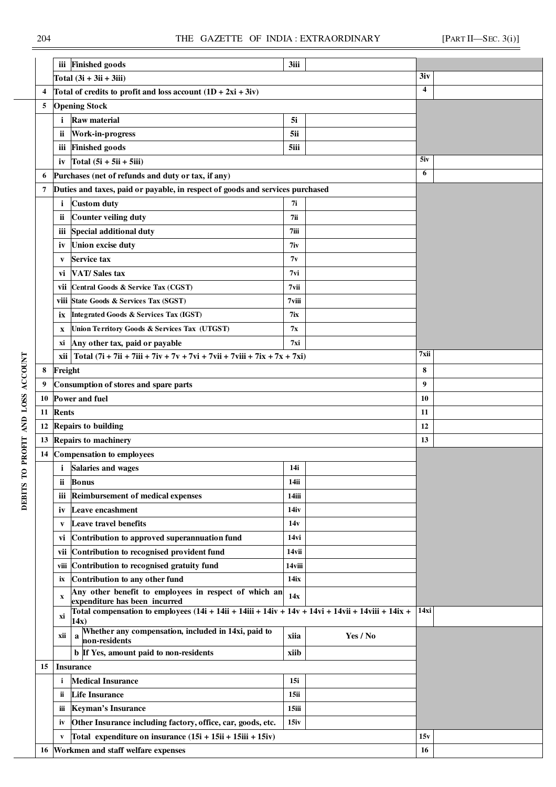|                  |        | iii          | <b>Finished goods</b>                                                                                              | 3iii    |          |                  |  |
|------------------|--------|--------------|--------------------------------------------------------------------------------------------------------------------|---------|----------|------------------|--|
|                  |        |              | Total $(3i + 3ii + 3iii)$                                                                                          |         |          | 3iv              |  |
|                  | 4      |              | Total of credits to profit and loss account $(1D + 2xi + 3iy)$                                                     |         |          | $\overline{4}$   |  |
|                  | 5      |              | <b>Opening Stock</b>                                                                                               |         |          |                  |  |
|                  |        | i            | <b>Raw material</b>                                                                                                | 5i      |          |                  |  |
|                  |        | ii           | Work-in-progress                                                                                                   | 5ii     |          |                  |  |
|                  |        | iii          | <b>Finished</b> goods                                                                                              | 5iii    |          |                  |  |
|                  |        | iv           | Total $(5i + 5ii + 5iii)$                                                                                          |         |          | 5iv              |  |
|                  | 6      |              | Purchases (net of refunds and duty or tax, if any)                                                                 |         |          | 6                |  |
|                  | 7      |              | Duties and taxes, paid or payable, in respect of goods and services purchased                                      |         |          |                  |  |
|                  |        | i.           | <b>Custom duty</b>                                                                                                 | 7i      |          |                  |  |
|                  |        | ii           | <b>Counter veiling duty</b>                                                                                        | 7ii     |          |                  |  |
|                  |        | iii          | Special additional duty                                                                                            | $7$ iii |          |                  |  |
|                  |        | iv           | Union excise duty                                                                                                  | 7iv     |          |                  |  |
|                  |        |              | Service tax                                                                                                        | 7v      |          |                  |  |
|                  |        | V            | <b>VAT/Sales tax</b>                                                                                               | 7vi     |          |                  |  |
|                  |        | VÌ           | Central Goods & Service Tax (CGST)                                                                                 | 7vii    |          |                  |  |
|                  |        | vii          | viii State Goods & Services Tax (SGST)                                                                             | 7viii   |          |                  |  |
|                  |        |              | Integrated Goods & Services Tax (IGST)                                                                             | 7ix     |          |                  |  |
|                  |        | İХ           |                                                                                                                    |         |          |                  |  |
|                  |        | X            | Union Territory Goods & Services Tax (UTGST)                                                                       | 7x      |          |                  |  |
|                  |        | xi           | Any other tax, paid or payable<br>$\vert$ Total (7i + 7ii + 7iii + 7iv + 7v + 7vi + 7vii + 7viii + 7ix + 7x + 7xi) | 7xi     |          | 7xii             |  |
|                  |        | xii          |                                                                                                                    |         |          | 8                |  |
|                  | 8<br>9 | Freight      |                                                                                                                    |         |          | $\boldsymbol{9}$ |  |
|                  |        |              | Consumption of stores and spare parts                                                                              |         |          | 10               |  |
|                  | 10     |              | Power and fuel                                                                                                     |         |          |                  |  |
| AND LOSS ACCOUNT | 11     | <b>Rents</b> |                                                                                                                    |         |          | 11               |  |
|                  | 12     |              | <b>Repairs to building</b><br>Repairs to machinery                                                                 |         |          | 12<br>13         |  |
| PROFIT           | 13     |              | Compensation to employees                                                                                          |         |          |                  |  |
|                  | 14     |              | <i>i</i> Salaries and wages                                                                                        | 14i     |          |                  |  |
| Ĕ                |        |              |                                                                                                                    |         |          |                  |  |
|                  |        | ii           | <b>Bonus</b>                                                                                                       | 14ii    |          |                  |  |
| <b>DEBITS</b>    |        | iii          | <b>Reimbursement of medical expenses</b>                                                                           | 14iii   |          |                  |  |
|                  |        | iv           | Leave encashment                                                                                                   | 14iv    |          |                  |  |
|                  |        | V            | Leave travel benefits                                                                                              | 14v     |          |                  |  |
|                  |        | VÌ           | Contribution to approved superannuation fund                                                                       | 14vi    |          |                  |  |
|                  |        | vii          | Contribution to recognised provident fund                                                                          | 14vii   |          |                  |  |
|                  |        |              | viii Contribution to recognised gratuity fund                                                                      | 14viii  |          |                  |  |
|                  |        | ix           | Contribution to any other fund<br>Any other benefit to employees in respect of which an                            | 14ix    |          |                  |  |
|                  |        | X            | expenditure has been incurred                                                                                      | 14x     |          |                  |  |
|                  |        | xi           | Total compensation to employees $(14i + 14ii + 14ii + 14iv + 14v + 14vi + 14vii + 14ix + 14v)$                     |         |          | 14xi             |  |
|                  |        |              | 14x)<br>Whether any compensation, included in 14xi, paid to                                                        |         |          |                  |  |
|                  |        | xii          | a<br>non-residents                                                                                                 | xiia    | Yes / No |                  |  |
|                  |        |              | <b>b</b> If Yes, amount paid to non-residents                                                                      | xiib    |          |                  |  |
|                  | 15     |              | <b>Insurance</b>                                                                                                   |         |          |                  |  |
|                  |        | i            | <b>Medical Insurance</b>                                                                                           | 15i     |          |                  |  |
|                  |        | ii           | <b>Life Insurance</b>                                                                                              | 15ii    |          |                  |  |
|                  |        | Ш            | <b>Keyman's Insurance</b>                                                                                          | 15iii   |          |                  |  |
|                  |        | iv           | Other Insurance including factory, office, car, goods, etc.                                                        | 15iv    |          |                  |  |
|                  |        | V            | Total expenditure on insurance $(15i + 15ii + 15ii) + 15iv$                                                        |         |          | 15v              |  |
|                  |        |              | 16 Workmen and staff welfare expenses                                                                              |         |          | 16               |  |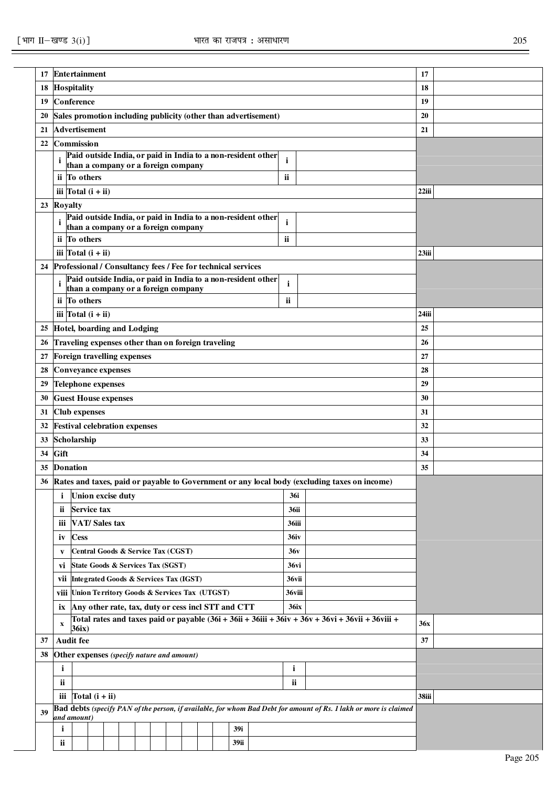| 17 |                           | Entertainment                                                             |  |  |  |  |             |                                                                |              |                                                                                                                   | 17       |  |
|----|---------------------------|---------------------------------------------------------------------------|--|--|--|--|-------------|----------------------------------------------------------------|--------------|-------------------------------------------------------------------------------------------------------------------|----------|--|
| 18 |                           | <b>Hospitality</b>                                                        |  |  |  |  |             |                                                                |              |                                                                                                                   | 18       |  |
| 19 |                           | Conference                                                                |  |  |  |  |             |                                                                |              |                                                                                                                   | 19       |  |
| 20 |                           |                                                                           |  |  |  |  |             | Sales promotion including publicity (other than advertisement) |              |                                                                                                                   | 20       |  |
| 21 |                           | <b>Advertisement</b>                                                      |  |  |  |  |             |                                                                |              |                                                                                                                   | 21       |  |
| 22 |                           | Commission                                                                |  |  |  |  |             |                                                                |              |                                                                                                                   |          |  |
|    | i                         |                                                                           |  |  |  |  |             | Paid outside India, or paid in India to a non-resident other   | i.           |                                                                                                                   |          |  |
|    |                           | than a company or a foreign company                                       |  |  |  |  |             |                                                                |              |                                                                                                                   |          |  |
|    |                           | ii To others                                                              |  |  |  |  |             |                                                                | ii           |                                                                                                                   |          |  |
|    |                           | iii $\boxed{\text{Total} (i + ii)}$                                       |  |  |  |  |             |                                                                |              |                                                                                                                   | $22$ iii |  |
| 23 | Royalty                   |                                                                           |  |  |  |  |             | Paid outside India, or paid in India to a non-resident other   |              |                                                                                                                   |          |  |
|    | i                         | than a company or a foreign company                                       |  |  |  |  |             |                                                                | $\mathbf{i}$ |                                                                                                                   |          |  |
|    |                           | ii To others                                                              |  |  |  |  |             |                                                                | <b>ii</b>    |                                                                                                                   |          |  |
|    |                           | iii $\boxed{\text{Total} (i + ii)}$                                       |  |  |  |  |             |                                                                |              |                                                                                                                   | 23iii    |  |
| 24 |                           | Professional / Consultancy fees / Fee for technical services              |  |  |  |  |             |                                                                |              |                                                                                                                   |          |  |
|    | i                         |                                                                           |  |  |  |  |             | Paid outside India, or paid in India to a non-resident other   | i.           |                                                                                                                   |          |  |
|    |                           | than a company or a foreign company                                       |  |  |  |  |             |                                                                |              |                                                                                                                   |          |  |
|    |                           | ii To others                                                              |  |  |  |  |             |                                                                | ii           |                                                                                                                   |          |  |
|    |                           | iii $\text{Total}$ (i + ii)                                               |  |  |  |  |             |                                                                |              |                                                                                                                   | 24iii    |  |
| 25 |                           | Hotel, boarding and Lodging                                               |  |  |  |  |             |                                                                |              |                                                                                                                   | 25       |  |
| 26 |                           | Traveling expenses other than on foreign traveling                        |  |  |  |  |             |                                                                |              |                                                                                                                   | 26       |  |
| 27 |                           | Foreign travelling expenses                                               |  |  |  |  |             |                                                                |              |                                                                                                                   | 27       |  |
| 28 |                           | <b>Conveyance expenses</b>                                                |  |  |  |  |             |                                                                |              |                                                                                                                   | 28       |  |
| 29 |                           | <b>Telephone expenses</b>                                                 |  |  |  |  |             |                                                                |              |                                                                                                                   | 29       |  |
| 30 |                           | <b>Guest House expenses</b>                                               |  |  |  |  |             |                                                                |              |                                                                                                                   | 30       |  |
| 31 |                           | <b>Club expenses</b>                                                      |  |  |  |  |             |                                                                |              |                                                                                                                   | 31       |  |
| 32 |                           | <b>Festival celebration expenses</b>                                      |  |  |  |  |             |                                                                |              |                                                                                                                   | 32       |  |
| 33 |                           | Scholarship                                                               |  |  |  |  |             |                                                                |              |                                                                                                                   | 33       |  |
| 34 | Gift                      |                                                                           |  |  |  |  |             |                                                                |              |                                                                                                                   | 34       |  |
| 35 |                           | <b>Donation</b>                                                           |  |  |  |  |             |                                                                |              |                                                                                                                   | 35       |  |
| 36 |                           |                                                                           |  |  |  |  |             |                                                                |              | Rates and taxes, paid or payable to Government or any local body (excluding taxes on income)                      |          |  |
|    | i                         | Union excise duty                                                         |  |  |  |  |             |                                                                | 36i          |                                                                                                                   |          |  |
|    | ii.                       | Service tax                                                               |  |  |  |  |             |                                                                | <b>36ii</b>  |                                                                                                                   |          |  |
|    | iii                       | <b>VAT/Sales tax</b>                                                      |  |  |  |  |             |                                                                | 36iii        |                                                                                                                   |          |  |
|    | iv                        | <b>Cess</b>                                                               |  |  |  |  |             |                                                                | 36iv         |                                                                                                                   |          |  |
|    | V                         | Central Goods & Service Tax (CGST)                                        |  |  |  |  |             |                                                                | 36v          |                                                                                                                   |          |  |
|    | vi                        | State Goods & Services Tax (SGST)                                         |  |  |  |  |             |                                                                | 36vi         |                                                                                                                   |          |  |
|    |                           | vii Integrated Goods & Services Tax (IGST)                                |  |  |  |  |             |                                                                | 36vii        |                                                                                                                   |          |  |
|    |                           | viii Union Territory Goods & Services Tax (UTGST)                         |  |  |  |  |             |                                                                | 36viii       |                                                                                                                   |          |  |
|    | ix                        | Any other rate, tax, duty or cess incl STT and CTT                        |  |  |  |  |             |                                                                | <b>36ix</b>  |                                                                                                                   |          |  |
|    | $\boldsymbol{\mathrm{X}}$ |                                                                           |  |  |  |  |             |                                                                |              | Total rates and taxes paid or payable $(36i + 36ii + 36ii + 36iv + 36v + 36vi + 36vii + 36viii + 36vii)$          | 36x      |  |
|    |                           | 36ix)                                                                     |  |  |  |  |             |                                                                |              |                                                                                                                   |          |  |
| 37 |                           | <b>Audit fee</b>                                                          |  |  |  |  |             |                                                                |              |                                                                                                                   | 37       |  |
| 38 |                           | Other expenses (specify nature and amount)                                |  |  |  |  |             |                                                                |              |                                                                                                                   |          |  |
|    | $\mathbf{i}$              |                                                                           |  |  |  |  |             |                                                                | i            |                                                                                                                   |          |  |
|    | ii                        |                                                                           |  |  |  |  |             |                                                                | ii           |                                                                                                                   |          |  |
|    |                           | iii $\left  \text{Total} \left( \mathbf{i} + \mathbf{ii} \right) \right $ |  |  |  |  |             |                                                                |              |                                                                                                                   | 38iii    |  |
| 39 |                           | and amount)                                                               |  |  |  |  |             |                                                                |              | Bad debts (specify PAN of the person, if available, for whom Bad Debt for amount of Rs. 1 lakh or more is claimed |          |  |
|    | $\mathbf i$               |                                                                           |  |  |  |  | 39i         |                                                                |              |                                                                                                                   |          |  |
|    | $\mathbf{ii}$             |                                                                           |  |  |  |  | <b>39ii</b> |                                                                |              |                                                                                                                   |          |  |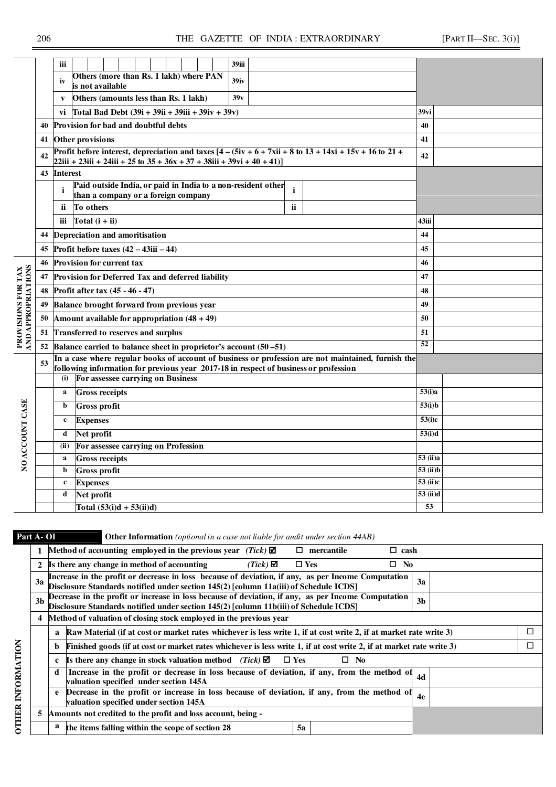|                                          |    | 39iii<br>iii                                                                                                                     |                      |
|------------------------------------------|----|----------------------------------------------------------------------------------------------------------------------------------|----------------------|
|                                          |    | Others (more than Rs. 1 lakh) where PAN<br>39 <sub>iv</sub><br>iv                                                                |                      |
|                                          |    | is not available<br>39v                                                                                                          |                      |
|                                          |    | Others (amounts less than Rs. 1 lakh)<br>V                                                                                       |                      |
|                                          |    | vi Total Bad Debt $(39i + 39i + 39i)$ ii + 39iv + 39v)                                                                           | 39vi                 |
|                                          | 40 | Provision for bad and doubtful debts                                                                                             | 40                   |
|                                          | 41 | Other provisions                                                                                                                 | 41                   |
|                                          | 42 | $[22iii + 23iii + 24iii + 25t + 35t + 36x + 37t + 38iii + 39v + 40t + 41]$                                                       | 42                   |
|                                          | 43 | <b>Interest</b>                                                                                                                  |                      |
|                                          |    | Paid outside India, or paid in India to a non-resident other<br>$\mathbf{i}$<br>i                                                |                      |
|                                          |    | than a company or a foreign company                                                                                              |                      |
|                                          |    | ii<br>To others<br>ii.                                                                                                           |                      |
|                                          |    | Total $(i + ii)$<br>iii                                                                                                          | 43iii                |
|                                          | 44 | Depreciation and amoritisation                                                                                                   | 44                   |
|                                          | 45 | Profit before taxes $(42 - 43iii - 44)$                                                                                          | 45                   |
|                                          | 46 | Provision for current tax                                                                                                        | 46                   |
|                                          | 47 | Provision for Deferred Tax and deferred liability                                                                                | 47                   |
|                                          | 48 | Profit after tax (45 - 46 - 47)                                                                                                  | 48                   |
|                                          | 49 | Balance brought forward from previous year                                                                                       | 49                   |
|                                          | 50 | Amount available for appropriation $(48 + 49)$                                                                                   | 50                   |
| PROVISIONS FOR TAX<br>AND APPROPRIATIONS | 51 | Transferred to reserves and surplus                                                                                              | 51                   |
|                                          | 52 | Balance carried to balance sheet in proprietor's account (50 –51)                                                                | 52                   |
|                                          | 53 | In a case where regular books of account of business or profession are not maintained, furnish the                               |                      |
|                                          |    | following information for previous year 2017-18 in respect of business or profession<br>For assessee carrying on Business<br>(i) |                      |
|                                          |    | <b>Gross receipts</b><br>a                                                                                                       | $\overline{53}$ (i)a |
|                                          |    | b<br><b>Gross profit</b>                                                                                                         | 53(i)b               |
|                                          |    | $\mathbf c$                                                                                                                      | 53(i)c               |
|                                          |    | <b>Expenses</b>                                                                                                                  |                      |
|                                          |    | d<br>Net profit                                                                                                                  | $\overline{53(i)}d$  |
| NO ACCOUNT CASE                          |    | For assessee carrying on Profession<br>(ii)<br><b>Gross receipts</b><br>$\mathbf{a}$                                             | 53 (ii)a             |
|                                          |    | <b>Gross profit</b><br>b                                                                                                         | 53(i)                |
|                                          |    | <b>Expenses</b><br>$\mathbf c$                                                                                                   | 53 (ii)c             |
|                                          |    | Net profit<br>d                                                                                                                  | 53 (ii)d             |
|                                          |    | Total $(53(i)d + 53(ii)d)$                                                                                                       | 53                   |
|                                          |    |                                                                                                                                  |                      |

**Part A- OI Other Information** *(optional in a case not liable for audit under section 44AB)* 

|    |    | Method of accounting employed in the previous year (Tick) $\boxtimes$                                                                                                                       | □             | mercantile   | $\Box$ cash |                |        |
|----|----|---------------------------------------------------------------------------------------------------------------------------------------------------------------------------------------------|---------------|--------------|-------------|----------------|--------|
|    |    | Is there any change in method of accounting<br>$(Tick)$ $\boldsymbol{\mathsf{\Sigma}}$                                                                                                      | $\square$ Yes |              | No.<br>П.   |                |        |
| 3a |    | Increase in the profit or decrease in loss because of deviation, if any, as per Income Computation<br>Disclosure Standards notified under section 145(2) [column 11a(iii) of Schedule ICDS] |               |              |             | 3a             |        |
| 3b |    | Decrease in the profit or increase in loss because of deviation, if any, as per Income Computation<br>Disclosure Standards notified under section 145(2) [column 11b(iii) of Schedule ICDS] |               |              |             | 3 <sub>b</sub> |        |
| 4  |    | Method of valuation of closing stock employed in the previous year                                                                                                                          |               |              |             |                |        |
|    | a  | Raw Material (if at cost or market rates whichever is less write 1, if at cost write 2, if at market rate write 3)                                                                          |               |              |             |                | $\Box$ |
|    | b  | Finished goods (if at cost or market rates whichever is less write 1, if at cost write 2, if at market rate write 3)                                                                        |               |              |             |                | □      |
|    | c. | <b>Is there any change in stock valuation method</b> ( <i>Tick</i> ) <b><math>\Phi</math></b>                                                                                               | $\square$ Yes | $\square$ No |             |                |        |
|    | d  | Increase in the profit or decrease in loss because of deviation, if any, from the method of<br>valuation specified under section 145A                                                       |               |              |             | 4d             |        |
|    | e  | Decrease in the profit or increase in loss because of deviation, if any, from the method of<br>valuation specified under section 145A                                                       |               |              |             | 4e             |        |
| 5  |    | Amounts not credited to the profit and loss account, being -                                                                                                                                |               |              |             |                |        |
|    | a  | the items falling within the scope of section 28                                                                                                                                            | 5a            |              |             |                |        |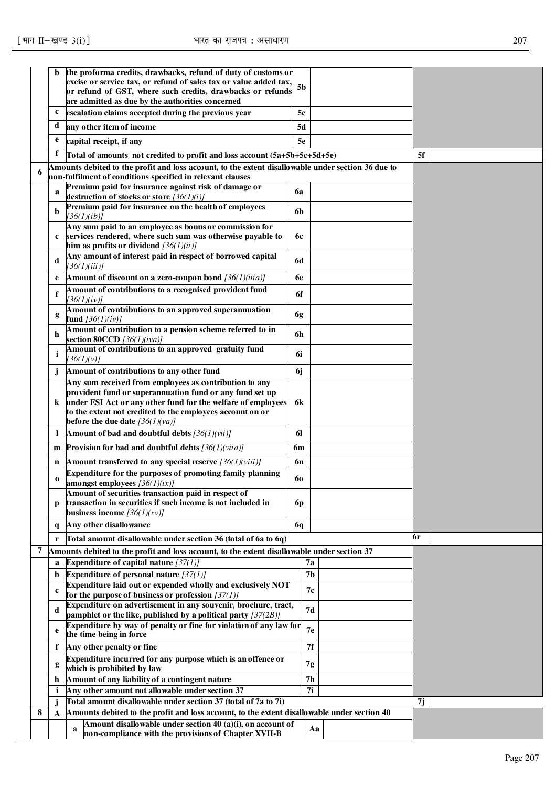| the proforma credits, drawbacks, refund of duty of customs or<br>b<br>excise or service tax, or refund of sales tax or value added tax,<br>5 <sub>b</sub><br>or refund of GST, where such credits, drawbacks or refunds<br>are admitted as due by the authorities concerned<br>c<br>escalation claims accepted during the previous year<br>5c<br>d<br>any other item of income<br>5d<br>e<br>capital receipt, if any<br>5e<br>f<br>5f<br>Total of amounts not credited to profit and loss account (5a+5b+5c+5d+5e)<br>Amounts debited to the profit and loss account, to the extent disallowable under section 36 due to<br>6<br>non-fulfilment of conditions specified in relevant clauses<br>Premium paid for insurance against risk of damage or<br>6a<br>a<br>destruction of stocks or store $[36(1)(i)]$<br>Premium paid for insurance on the health of employees<br>b<br>6b<br>[36(1)(ib)]<br>Any sum paid to an employee as bonus or commission for<br>services rendered, where such sum was otherwise payable to<br>6с<br>$\mathbf c$<br>him as profits or dividend $[36(1)(ii)]$<br>Any amount of interest paid in respect of borrowed capital<br><b>6d</b><br>d<br>[36(1)(iii)]<br>Amount of discount on a zero-coupon bond $[36(1)(iiia)]$<br><b>6e</b><br>e<br>Amount of contributions to a recognised provident fund<br>f<br>6f<br>[36(1)(iv)]<br>Amount of contributions to an approved superannuation<br>6g<br>g<br>fund $[36(1)(iv)]$<br>Amount of contribution to a pension scheme referred to in<br>6h<br>h<br>section 80CCD $[36(1)(iva)]$<br>Amount of contributions to an approved gratuity fund<br>6i<br>i<br>[36(1)(v)]<br>Amount of contributions to any other fund<br>6j<br>j<br>Any sum received from employees as contribution to any<br>provident fund or superannuation fund or any fund set up<br>under ESI Act or any other fund for the welfare of employees<br>6k<br>k<br>to the extent not credited to the employees account on or<br>before the due date $[36(1)(va)]$<br><b>Amount of bad and doubtful debts</b> $[36(1)(vii)]$<br>61<br>$\mathbf{I}$<br><b>Provision for bad and doubtful debts</b> $[36(1)(via)]$<br>6m<br>m<br>Amount transferred to any special reserve $[36(1)(viii)]$<br>6n<br>n<br>Expenditure for the purposes of promoting family planning<br>60<br>$\bf{0}$<br>amongst employees $[36(1)(ix)]$<br>Amount of securities transaction paid in respect of<br>transaction in securities if such income is not included in<br>6 <sub>p</sub><br>р<br>business income $[36(1)(xy)]$<br>Any other disallowance<br>6q<br>q<br>6r<br>Total amount disallowable under section 36 (total of 6a to 6q)<br>r<br>7<br>Amounts debited to the profit and loss account, to the extent disallowable under section 37<br>Expenditure of capital nature $[37(1)]$<br>7a<br>a<br>7 <sub>b</sub><br>Expenditure of personal nature $[37(1)]$<br>b<br>Expenditure laid out or expended wholly and exclusively NOT<br>7с<br>$\mathbf c$<br>for the purpose of business or profession $[37(1)]$<br>Expenditure on advertisement in any souvenir, brochure, tract,<br>7d<br>d<br>pamphlet or the like, published by a political party $[37(2B)]$<br>Expenditure by way of penalty or fine for violation of any law for<br>7e<br>e<br>the time being in force<br>7f<br>Any other penalty or fine<br>f<br>Expenditure incurred for any purpose which is an offence or<br>7g<br>g<br>which is prohibited by law<br>7 <sub>h</sub><br>Amount of any liability of a contingent nature<br>h<br>Any other amount not allowable under section 37<br>7i<br>i<br>Total amount disallowable under section 37 (total of 7a to 7i)<br>7j<br>Amounts debited to the profit and loss account, to the extent disallowable under section 40<br>8<br>A<br>Amount disallowable under section 40 (a)(i), on account of<br>Aa<br>a |  |                                                      |  |  |  |
|---------------------------------------------------------------------------------------------------------------------------------------------------------------------------------------------------------------------------------------------------------------------------------------------------------------------------------------------------------------------------------------------------------------------------------------------------------------------------------------------------------------------------------------------------------------------------------------------------------------------------------------------------------------------------------------------------------------------------------------------------------------------------------------------------------------------------------------------------------------------------------------------------------------------------------------------------------------------------------------------------------------------------------------------------------------------------------------------------------------------------------------------------------------------------------------------------------------------------------------------------------------------------------------------------------------------------------------------------------------------------------------------------------------------------------------------------------------------------------------------------------------------------------------------------------------------------------------------------------------------------------------------------------------------------------------------------------------------------------------------------------------------------------------------------------------------------------------------------------------------------------------------------------------------------------------------------------------------------------------------------------------------------------------------------------------------------------------------------------------------------------------------------------------------------------------------------------------------------------------------------------------------------------------------------------------------------------------------------------------------------------------------------------------------------------------------------------------------------------------------------------------------------------------------------------------------------------------------------------------------------------------------------------------------------------------------------------------------------------------------------------------------------------------------------------------------------------------------------------------------------------------------------------------------------------------------------------------------------------------------------------------------------------------------------------------------------------------------------------------------------------------------------------------------------------------------------------------------------------------------------------------------------------------------------------------------------------------------------------------------------------------------------------------------------------------------------------------------------------------------------------------------------------------------------------------------------------------------------------------------------------------------------------------------------------------------------------------------------------------------------------------------------------------------------------------------------------------------------|--|------------------------------------------------------|--|--|--|
|                                                                                                                                                                                                                                                                                                                                                                                                                                                                                                                                                                                                                                                                                                                                                                                                                                                                                                                                                                                                                                                                                                                                                                                                                                                                                                                                                                                                                                                                                                                                                                                                                                                                                                                                                                                                                                                                                                                                                                                                                                                                                                                                                                                                                                                                                                                                                                                                                                                                                                                                                                                                                                                                                                                                                                                                                                                                                                                                                                                                                                                                                                                                                                                                                                                                                                                                                                                                                                                                                                                                                                                                                                                                                                                                                                                                                                                   |  |                                                      |  |  |  |
|                                                                                                                                                                                                                                                                                                                                                                                                                                                                                                                                                                                                                                                                                                                                                                                                                                                                                                                                                                                                                                                                                                                                                                                                                                                                                                                                                                                                                                                                                                                                                                                                                                                                                                                                                                                                                                                                                                                                                                                                                                                                                                                                                                                                                                                                                                                                                                                                                                                                                                                                                                                                                                                                                                                                                                                                                                                                                                                                                                                                                                                                                                                                                                                                                                                                                                                                                                                                                                                                                                                                                                                                                                                                                                                                                                                                                                                   |  |                                                      |  |  |  |
|                                                                                                                                                                                                                                                                                                                                                                                                                                                                                                                                                                                                                                                                                                                                                                                                                                                                                                                                                                                                                                                                                                                                                                                                                                                                                                                                                                                                                                                                                                                                                                                                                                                                                                                                                                                                                                                                                                                                                                                                                                                                                                                                                                                                                                                                                                                                                                                                                                                                                                                                                                                                                                                                                                                                                                                                                                                                                                                                                                                                                                                                                                                                                                                                                                                                                                                                                                                                                                                                                                                                                                                                                                                                                                                                                                                                                                                   |  |                                                      |  |  |  |
|                                                                                                                                                                                                                                                                                                                                                                                                                                                                                                                                                                                                                                                                                                                                                                                                                                                                                                                                                                                                                                                                                                                                                                                                                                                                                                                                                                                                                                                                                                                                                                                                                                                                                                                                                                                                                                                                                                                                                                                                                                                                                                                                                                                                                                                                                                                                                                                                                                                                                                                                                                                                                                                                                                                                                                                                                                                                                                                                                                                                                                                                                                                                                                                                                                                                                                                                                                                                                                                                                                                                                                                                                                                                                                                                                                                                                                                   |  |                                                      |  |  |  |
|                                                                                                                                                                                                                                                                                                                                                                                                                                                                                                                                                                                                                                                                                                                                                                                                                                                                                                                                                                                                                                                                                                                                                                                                                                                                                                                                                                                                                                                                                                                                                                                                                                                                                                                                                                                                                                                                                                                                                                                                                                                                                                                                                                                                                                                                                                                                                                                                                                                                                                                                                                                                                                                                                                                                                                                                                                                                                                                                                                                                                                                                                                                                                                                                                                                                                                                                                                                                                                                                                                                                                                                                                                                                                                                                                                                                                                                   |  |                                                      |  |  |  |
|                                                                                                                                                                                                                                                                                                                                                                                                                                                                                                                                                                                                                                                                                                                                                                                                                                                                                                                                                                                                                                                                                                                                                                                                                                                                                                                                                                                                                                                                                                                                                                                                                                                                                                                                                                                                                                                                                                                                                                                                                                                                                                                                                                                                                                                                                                                                                                                                                                                                                                                                                                                                                                                                                                                                                                                                                                                                                                                                                                                                                                                                                                                                                                                                                                                                                                                                                                                                                                                                                                                                                                                                                                                                                                                                                                                                                                                   |  |                                                      |  |  |  |
|                                                                                                                                                                                                                                                                                                                                                                                                                                                                                                                                                                                                                                                                                                                                                                                                                                                                                                                                                                                                                                                                                                                                                                                                                                                                                                                                                                                                                                                                                                                                                                                                                                                                                                                                                                                                                                                                                                                                                                                                                                                                                                                                                                                                                                                                                                                                                                                                                                                                                                                                                                                                                                                                                                                                                                                                                                                                                                                                                                                                                                                                                                                                                                                                                                                                                                                                                                                                                                                                                                                                                                                                                                                                                                                                                                                                                                                   |  |                                                      |  |  |  |
|                                                                                                                                                                                                                                                                                                                                                                                                                                                                                                                                                                                                                                                                                                                                                                                                                                                                                                                                                                                                                                                                                                                                                                                                                                                                                                                                                                                                                                                                                                                                                                                                                                                                                                                                                                                                                                                                                                                                                                                                                                                                                                                                                                                                                                                                                                                                                                                                                                                                                                                                                                                                                                                                                                                                                                                                                                                                                                                                                                                                                                                                                                                                                                                                                                                                                                                                                                                                                                                                                                                                                                                                                                                                                                                                                                                                                                                   |  |                                                      |  |  |  |
|                                                                                                                                                                                                                                                                                                                                                                                                                                                                                                                                                                                                                                                                                                                                                                                                                                                                                                                                                                                                                                                                                                                                                                                                                                                                                                                                                                                                                                                                                                                                                                                                                                                                                                                                                                                                                                                                                                                                                                                                                                                                                                                                                                                                                                                                                                                                                                                                                                                                                                                                                                                                                                                                                                                                                                                                                                                                                                                                                                                                                                                                                                                                                                                                                                                                                                                                                                                                                                                                                                                                                                                                                                                                                                                                                                                                                                                   |  |                                                      |  |  |  |
|                                                                                                                                                                                                                                                                                                                                                                                                                                                                                                                                                                                                                                                                                                                                                                                                                                                                                                                                                                                                                                                                                                                                                                                                                                                                                                                                                                                                                                                                                                                                                                                                                                                                                                                                                                                                                                                                                                                                                                                                                                                                                                                                                                                                                                                                                                                                                                                                                                                                                                                                                                                                                                                                                                                                                                                                                                                                                                                                                                                                                                                                                                                                                                                                                                                                                                                                                                                                                                                                                                                                                                                                                                                                                                                                                                                                                                                   |  |                                                      |  |  |  |
|                                                                                                                                                                                                                                                                                                                                                                                                                                                                                                                                                                                                                                                                                                                                                                                                                                                                                                                                                                                                                                                                                                                                                                                                                                                                                                                                                                                                                                                                                                                                                                                                                                                                                                                                                                                                                                                                                                                                                                                                                                                                                                                                                                                                                                                                                                                                                                                                                                                                                                                                                                                                                                                                                                                                                                                                                                                                                                                                                                                                                                                                                                                                                                                                                                                                                                                                                                                                                                                                                                                                                                                                                                                                                                                                                                                                                                                   |  |                                                      |  |  |  |
|                                                                                                                                                                                                                                                                                                                                                                                                                                                                                                                                                                                                                                                                                                                                                                                                                                                                                                                                                                                                                                                                                                                                                                                                                                                                                                                                                                                                                                                                                                                                                                                                                                                                                                                                                                                                                                                                                                                                                                                                                                                                                                                                                                                                                                                                                                                                                                                                                                                                                                                                                                                                                                                                                                                                                                                                                                                                                                                                                                                                                                                                                                                                                                                                                                                                                                                                                                                                                                                                                                                                                                                                                                                                                                                                                                                                                                                   |  |                                                      |  |  |  |
|                                                                                                                                                                                                                                                                                                                                                                                                                                                                                                                                                                                                                                                                                                                                                                                                                                                                                                                                                                                                                                                                                                                                                                                                                                                                                                                                                                                                                                                                                                                                                                                                                                                                                                                                                                                                                                                                                                                                                                                                                                                                                                                                                                                                                                                                                                                                                                                                                                                                                                                                                                                                                                                                                                                                                                                                                                                                                                                                                                                                                                                                                                                                                                                                                                                                                                                                                                                                                                                                                                                                                                                                                                                                                                                                                                                                                                                   |  |                                                      |  |  |  |
|                                                                                                                                                                                                                                                                                                                                                                                                                                                                                                                                                                                                                                                                                                                                                                                                                                                                                                                                                                                                                                                                                                                                                                                                                                                                                                                                                                                                                                                                                                                                                                                                                                                                                                                                                                                                                                                                                                                                                                                                                                                                                                                                                                                                                                                                                                                                                                                                                                                                                                                                                                                                                                                                                                                                                                                                                                                                                                                                                                                                                                                                                                                                                                                                                                                                                                                                                                                                                                                                                                                                                                                                                                                                                                                                                                                                                                                   |  |                                                      |  |  |  |
|                                                                                                                                                                                                                                                                                                                                                                                                                                                                                                                                                                                                                                                                                                                                                                                                                                                                                                                                                                                                                                                                                                                                                                                                                                                                                                                                                                                                                                                                                                                                                                                                                                                                                                                                                                                                                                                                                                                                                                                                                                                                                                                                                                                                                                                                                                                                                                                                                                                                                                                                                                                                                                                                                                                                                                                                                                                                                                                                                                                                                                                                                                                                                                                                                                                                                                                                                                                                                                                                                                                                                                                                                                                                                                                                                                                                                                                   |  |                                                      |  |  |  |
|                                                                                                                                                                                                                                                                                                                                                                                                                                                                                                                                                                                                                                                                                                                                                                                                                                                                                                                                                                                                                                                                                                                                                                                                                                                                                                                                                                                                                                                                                                                                                                                                                                                                                                                                                                                                                                                                                                                                                                                                                                                                                                                                                                                                                                                                                                                                                                                                                                                                                                                                                                                                                                                                                                                                                                                                                                                                                                                                                                                                                                                                                                                                                                                                                                                                                                                                                                                                                                                                                                                                                                                                                                                                                                                                                                                                                                                   |  |                                                      |  |  |  |
|                                                                                                                                                                                                                                                                                                                                                                                                                                                                                                                                                                                                                                                                                                                                                                                                                                                                                                                                                                                                                                                                                                                                                                                                                                                                                                                                                                                                                                                                                                                                                                                                                                                                                                                                                                                                                                                                                                                                                                                                                                                                                                                                                                                                                                                                                                                                                                                                                                                                                                                                                                                                                                                                                                                                                                                                                                                                                                                                                                                                                                                                                                                                                                                                                                                                                                                                                                                                                                                                                                                                                                                                                                                                                                                                                                                                                                                   |  |                                                      |  |  |  |
|                                                                                                                                                                                                                                                                                                                                                                                                                                                                                                                                                                                                                                                                                                                                                                                                                                                                                                                                                                                                                                                                                                                                                                                                                                                                                                                                                                                                                                                                                                                                                                                                                                                                                                                                                                                                                                                                                                                                                                                                                                                                                                                                                                                                                                                                                                                                                                                                                                                                                                                                                                                                                                                                                                                                                                                                                                                                                                                                                                                                                                                                                                                                                                                                                                                                                                                                                                                                                                                                                                                                                                                                                                                                                                                                                                                                                                                   |  |                                                      |  |  |  |
|                                                                                                                                                                                                                                                                                                                                                                                                                                                                                                                                                                                                                                                                                                                                                                                                                                                                                                                                                                                                                                                                                                                                                                                                                                                                                                                                                                                                                                                                                                                                                                                                                                                                                                                                                                                                                                                                                                                                                                                                                                                                                                                                                                                                                                                                                                                                                                                                                                                                                                                                                                                                                                                                                                                                                                                                                                                                                                                                                                                                                                                                                                                                                                                                                                                                                                                                                                                                                                                                                                                                                                                                                                                                                                                                                                                                                                                   |  |                                                      |  |  |  |
|                                                                                                                                                                                                                                                                                                                                                                                                                                                                                                                                                                                                                                                                                                                                                                                                                                                                                                                                                                                                                                                                                                                                                                                                                                                                                                                                                                                                                                                                                                                                                                                                                                                                                                                                                                                                                                                                                                                                                                                                                                                                                                                                                                                                                                                                                                                                                                                                                                                                                                                                                                                                                                                                                                                                                                                                                                                                                                                                                                                                                                                                                                                                                                                                                                                                                                                                                                                                                                                                                                                                                                                                                                                                                                                                                                                                                                                   |  |                                                      |  |  |  |
|                                                                                                                                                                                                                                                                                                                                                                                                                                                                                                                                                                                                                                                                                                                                                                                                                                                                                                                                                                                                                                                                                                                                                                                                                                                                                                                                                                                                                                                                                                                                                                                                                                                                                                                                                                                                                                                                                                                                                                                                                                                                                                                                                                                                                                                                                                                                                                                                                                                                                                                                                                                                                                                                                                                                                                                                                                                                                                                                                                                                                                                                                                                                                                                                                                                                                                                                                                                                                                                                                                                                                                                                                                                                                                                                                                                                                                                   |  |                                                      |  |  |  |
|                                                                                                                                                                                                                                                                                                                                                                                                                                                                                                                                                                                                                                                                                                                                                                                                                                                                                                                                                                                                                                                                                                                                                                                                                                                                                                                                                                                                                                                                                                                                                                                                                                                                                                                                                                                                                                                                                                                                                                                                                                                                                                                                                                                                                                                                                                                                                                                                                                                                                                                                                                                                                                                                                                                                                                                                                                                                                                                                                                                                                                                                                                                                                                                                                                                                                                                                                                                                                                                                                                                                                                                                                                                                                                                                                                                                                                                   |  |                                                      |  |  |  |
|                                                                                                                                                                                                                                                                                                                                                                                                                                                                                                                                                                                                                                                                                                                                                                                                                                                                                                                                                                                                                                                                                                                                                                                                                                                                                                                                                                                                                                                                                                                                                                                                                                                                                                                                                                                                                                                                                                                                                                                                                                                                                                                                                                                                                                                                                                                                                                                                                                                                                                                                                                                                                                                                                                                                                                                                                                                                                                                                                                                                                                                                                                                                                                                                                                                                                                                                                                                                                                                                                                                                                                                                                                                                                                                                                                                                                                                   |  |                                                      |  |  |  |
|                                                                                                                                                                                                                                                                                                                                                                                                                                                                                                                                                                                                                                                                                                                                                                                                                                                                                                                                                                                                                                                                                                                                                                                                                                                                                                                                                                                                                                                                                                                                                                                                                                                                                                                                                                                                                                                                                                                                                                                                                                                                                                                                                                                                                                                                                                                                                                                                                                                                                                                                                                                                                                                                                                                                                                                                                                                                                                                                                                                                                                                                                                                                                                                                                                                                                                                                                                                                                                                                                                                                                                                                                                                                                                                                                                                                                                                   |  |                                                      |  |  |  |
|                                                                                                                                                                                                                                                                                                                                                                                                                                                                                                                                                                                                                                                                                                                                                                                                                                                                                                                                                                                                                                                                                                                                                                                                                                                                                                                                                                                                                                                                                                                                                                                                                                                                                                                                                                                                                                                                                                                                                                                                                                                                                                                                                                                                                                                                                                                                                                                                                                                                                                                                                                                                                                                                                                                                                                                                                                                                                                                                                                                                                                                                                                                                                                                                                                                                                                                                                                                                                                                                                                                                                                                                                                                                                                                                                                                                                                                   |  |                                                      |  |  |  |
|                                                                                                                                                                                                                                                                                                                                                                                                                                                                                                                                                                                                                                                                                                                                                                                                                                                                                                                                                                                                                                                                                                                                                                                                                                                                                                                                                                                                                                                                                                                                                                                                                                                                                                                                                                                                                                                                                                                                                                                                                                                                                                                                                                                                                                                                                                                                                                                                                                                                                                                                                                                                                                                                                                                                                                                                                                                                                                                                                                                                                                                                                                                                                                                                                                                                                                                                                                                                                                                                                                                                                                                                                                                                                                                                                                                                                                                   |  |                                                      |  |  |  |
|                                                                                                                                                                                                                                                                                                                                                                                                                                                                                                                                                                                                                                                                                                                                                                                                                                                                                                                                                                                                                                                                                                                                                                                                                                                                                                                                                                                                                                                                                                                                                                                                                                                                                                                                                                                                                                                                                                                                                                                                                                                                                                                                                                                                                                                                                                                                                                                                                                                                                                                                                                                                                                                                                                                                                                                                                                                                                                                                                                                                                                                                                                                                                                                                                                                                                                                                                                                                                                                                                                                                                                                                                                                                                                                                                                                                                                                   |  |                                                      |  |  |  |
|                                                                                                                                                                                                                                                                                                                                                                                                                                                                                                                                                                                                                                                                                                                                                                                                                                                                                                                                                                                                                                                                                                                                                                                                                                                                                                                                                                                                                                                                                                                                                                                                                                                                                                                                                                                                                                                                                                                                                                                                                                                                                                                                                                                                                                                                                                                                                                                                                                                                                                                                                                                                                                                                                                                                                                                                                                                                                                                                                                                                                                                                                                                                                                                                                                                                                                                                                                                                                                                                                                                                                                                                                                                                                                                                                                                                                                                   |  |                                                      |  |  |  |
|                                                                                                                                                                                                                                                                                                                                                                                                                                                                                                                                                                                                                                                                                                                                                                                                                                                                                                                                                                                                                                                                                                                                                                                                                                                                                                                                                                                                                                                                                                                                                                                                                                                                                                                                                                                                                                                                                                                                                                                                                                                                                                                                                                                                                                                                                                                                                                                                                                                                                                                                                                                                                                                                                                                                                                                                                                                                                                                                                                                                                                                                                                                                                                                                                                                                                                                                                                                                                                                                                                                                                                                                                                                                                                                                                                                                                                                   |  |                                                      |  |  |  |
|                                                                                                                                                                                                                                                                                                                                                                                                                                                                                                                                                                                                                                                                                                                                                                                                                                                                                                                                                                                                                                                                                                                                                                                                                                                                                                                                                                                                                                                                                                                                                                                                                                                                                                                                                                                                                                                                                                                                                                                                                                                                                                                                                                                                                                                                                                                                                                                                                                                                                                                                                                                                                                                                                                                                                                                                                                                                                                                                                                                                                                                                                                                                                                                                                                                                                                                                                                                                                                                                                                                                                                                                                                                                                                                                                                                                                                                   |  |                                                      |  |  |  |
|                                                                                                                                                                                                                                                                                                                                                                                                                                                                                                                                                                                                                                                                                                                                                                                                                                                                                                                                                                                                                                                                                                                                                                                                                                                                                                                                                                                                                                                                                                                                                                                                                                                                                                                                                                                                                                                                                                                                                                                                                                                                                                                                                                                                                                                                                                                                                                                                                                                                                                                                                                                                                                                                                                                                                                                                                                                                                                                                                                                                                                                                                                                                                                                                                                                                                                                                                                                                                                                                                                                                                                                                                                                                                                                                                                                                                                                   |  |                                                      |  |  |  |
|                                                                                                                                                                                                                                                                                                                                                                                                                                                                                                                                                                                                                                                                                                                                                                                                                                                                                                                                                                                                                                                                                                                                                                                                                                                                                                                                                                                                                                                                                                                                                                                                                                                                                                                                                                                                                                                                                                                                                                                                                                                                                                                                                                                                                                                                                                                                                                                                                                                                                                                                                                                                                                                                                                                                                                                                                                                                                                                                                                                                                                                                                                                                                                                                                                                                                                                                                                                                                                                                                                                                                                                                                                                                                                                                                                                                                                                   |  |                                                      |  |  |  |
|                                                                                                                                                                                                                                                                                                                                                                                                                                                                                                                                                                                                                                                                                                                                                                                                                                                                                                                                                                                                                                                                                                                                                                                                                                                                                                                                                                                                                                                                                                                                                                                                                                                                                                                                                                                                                                                                                                                                                                                                                                                                                                                                                                                                                                                                                                                                                                                                                                                                                                                                                                                                                                                                                                                                                                                                                                                                                                                                                                                                                                                                                                                                                                                                                                                                                                                                                                                                                                                                                                                                                                                                                                                                                                                                                                                                                                                   |  |                                                      |  |  |  |
|                                                                                                                                                                                                                                                                                                                                                                                                                                                                                                                                                                                                                                                                                                                                                                                                                                                                                                                                                                                                                                                                                                                                                                                                                                                                                                                                                                                                                                                                                                                                                                                                                                                                                                                                                                                                                                                                                                                                                                                                                                                                                                                                                                                                                                                                                                                                                                                                                                                                                                                                                                                                                                                                                                                                                                                                                                                                                                                                                                                                                                                                                                                                                                                                                                                                                                                                                                                                                                                                                                                                                                                                                                                                                                                                                                                                                                                   |  |                                                      |  |  |  |
|                                                                                                                                                                                                                                                                                                                                                                                                                                                                                                                                                                                                                                                                                                                                                                                                                                                                                                                                                                                                                                                                                                                                                                                                                                                                                                                                                                                                                                                                                                                                                                                                                                                                                                                                                                                                                                                                                                                                                                                                                                                                                                                                                                                                                                                                                                                                                                                                                                                                                                                                                                                                                                                                                                                                                                                                                                                                                                                                                                                                                                                                                                                                                                                                                                                                                                                                                                                                                                                                                                                                                                                                                                                                                                                                                                                                                                                   |  |                                                      |  |  |  |
|                                                                                                                                                                                                                                                                                                                                                                                                                                                                                                                                                                                                                                                                                                                                                                                                                                                                                                                                                                                                                                                                                                                                                                                                                                                                                                                                                                                                                                                                                                                                                                                                                                                                                                                                                                                                                                                                                                                                                                                                                                                                                                                                                                                                                                                                                                                                                                                                                                                                                                                                                                                                                                                                                                                                                                                                                                                                                                                                                                                                                                                                                                                                                                                                                                                                                                                                                                                                                                                                                                                                                                                                                                                                                                                                                                                                                                                   |  |                                                      |  |  |  |
|                                                                                                                                                                                                                                                                                                                                                                                                                                                                                                                                                                                                                                                                                                                                                                                                                                                                                                                                                                                                                                                                                                                                                                                                                                                                                                                                                                                                                                                                                                                                                                                                                                                                                                                                                                                                                                                                                                                                                                                                                                                                                                                                                                                                                                                                                                                                                                                                                                                                                                                                                                                                                                                                                                                                                                                                                                                                                                                                                                                                                                                                                                                                                                                                                                                                                                                                                                                                                                                                                                                                                                                                                                                                                                                                                                                                                                                   |  |                                                      |  |  |  |
|                                                                                                                                                                                                                                                                                                                                                                                                                                                                                                                                                                                                                                                                                                                                                                                                                                                                                                                                                                                                                                                                                                                                                                                                                                                                                                                                                                                                                                                                                                                                                                                                                                                                                                                                                                                                                                                                                                                                                                                                                                                                                                                                                                                                                                                                                                                                                                                                                                                                                                                                                                                                                                                                                                                                                                                                                                                                                                                                                                                                                                                                                                                                                                                                                                                                                                                                                                                                                                                                                                                                                                                                                                                                                                                                                                                                                                                   |  |                                                      |  |  |  |
|                                                                                                                                                                                                                                                                                                                                                                                                                                                                                                                                                                                                                                                                                                                                                                                                                                                                                                                                                                                                                                                                                                                                                                                                                                                                                                                                                                                                                                                                                                                                                                                                                                                                                                                                                                                                                                                                                                                                                                                                                                                                                                                                                                                                                                                                                                                                                                                                                                                                                                                                                                                                                                                                                                                                                                                                                                                                                                                                                                                                                                                                                                                                                                                                                                                                                                                                                                                                                                                                                                                                                                                                                                                                                                                                                                                                                                                   |  |                                                      |  |  |  |
|                                                                                                                                                                                                                                                                                                                                                                                                                                                                                                                                                                                                                                                                                                                                                                                                                                                                                                                                                                                                                                                                                                                                                                                                                                                                                                                                                                                                                                                                                                                                                                                                                                                                                                                                                                                                                                                                                                                                                                                                                                                                                                                                                                                                                                                                                                                                                                                                                                                                                                                                                                                                                                                                                                                                                                                                                                                                                                                                                                                                                                                                                                                                                                                                                                                                                                                                                                                                                                                                                                                                                                                                                                                                                                                                                                                                                                                   |  |                                                      |  |  |  |
|                                                                                                                                                                                                                                                                                                                                                                                                                                                                                                                                                                                                                                                                                                                                                                                                                                                                                                                                                                                                                                                                                                                                                                                                                                                                                                                                                                                                                                                                                                                                                                                                                                                                                                                                                                                                                                                                                                                                                                                                                                                                                                                                                                                                                                                                                                                                                                                                                                                                                                                                                                                                                                                                                                                                                                                                                                                                                                                                                                                                                                                                                                                                                                                                                                                                                                                                                                                                                                                                                                                                                                                                                                                                                                                                                                                                                                                   |  |                                                      |  |  |  |
|                                                                                                                                                                                                                                                                                                                                                                                                                                                                                                                                                                                                                                                                                                                                                                                                                                                                                                                                                                                                                                                                                                                                                                                                                                                                                                                                                                                                                                                                                                                                                                                                                                                                                                                                                                                                                                                                                                                                                                                                                                                                                                                                                                                                                                                                                                                                                                                                                                                                                                                                                                                                                                                                                                                                                                                                                                                                                                                                                                                                                                                                                                                                                                                                                                                                                                                                                                                                                                                                                                                                                                                                                                                                                                                                                                                                                                                   |  |                                                      |  |  |  |
|                                                                                                                                                                                                                                                                                                                                                                                                                                                                                                                                                                                                                                                                                                                                                                                                                                                                                                                                                                                                                                                                                                                                                                                                                                                                                                                                                                                                                                                                                                                                                                                                                                                                                                                                                                                                                                                                                                                                                                                                                                                                                                                                                                                                                                                                                                                                                                                                                                                                                                                                                                                                                                                                                                                                                                                                                                                                                                                                                                                                                                                                                                                                                                                                                                                                                                                                                                                                                                                                                                                                                                                                                                                                                                                                                                                                                                                   |  |                                                      |  |  |  |
|                                                                                                                                                                                                                                                                                                                                                                                                                                                                                                                                                                                                                                                                                                                                                                                                                                                                                                                                                                                                                                                                                                                                                                                                                                                                                                                                                                                                                                                                                                                                                                                                                                                                                                                                                                                                                                                                                                                                                                                                                                                                                                                                                                                                                                                                                                                                                                                                                                                                                                                                                                                                                                                                                                                                                                                                                                                                                                                                                                                                                                                                                                                                                                                                                                                                                                                                                                                                                                                                                                                                                                                                                                                                                                                                                                                                                                                   |  |                                                      |  |  |  |
|                                                                                                                                                                                                                                                                                                                                                                                                                                                                                                                                                                                                                                                                                                                                                                                                                                                                                                                                                                                                                                                                                                                                                                                                                                                                                                                                                                                                                                                                                                                                                                                                                                                                                                                                                                                                                                                                                                                                                                                                                                                                                                                                                                                                                                                                                                                                                                                                                                                                                                                                                                                                                                                                                                                                                                                                                                                                                                                                                                                                                                                                                                                                                                                                                                                                                                                                                                                                                                                                                                                                                                                                                                                                                                                                                                                                                                                   |  |                                                      |  |  |  |
|                                                                                                                                                                                                                                                                                                                                                                                                                                                                                                                                                                                                                                                                                                                                                                                                                                                                                                                                                                                                                                                                                                                                                                                                                                                                                                                                                                                                                                                                                                                                                                                                                                                                                                                                                                                                                                                                                                                                                                                                                                                                                                                                                                                                                                                                                                                                                                                                                                                                                                                                                                                                                                                                                                                                                                                                                                                                                                                                                                                                                                                                                                                                                                                                                                                                                                                                                                                                                                                                                                                                                                                                                                                                                                                                                                                                                                                   |  |                                                      |  |  |  |
|                                                                                                                                                                                                                                                                                                                                                                                                                                                                                                                                                                                                                                                                                                                                                                                                                                                                                                                                                                                                                                                                                                                                                                                                                                                                                                                                                                                                                                                                                                                                                                                                                                                                                                                                                                                                                                                                                                                                                                                                                                                                                                                                                                                                                                                                                                                                                                                                                                                                                                                                                                                                                                                                                                                                                                                                                                                                                                                                                                                                                                                                                                                                                                                                                                                                                                                                                                                                                                                                                                                                                                                                                                                                                                                                                                                                                                                   |  |                                                      |  |  |  |
|                                                                                                                                                                                                                                                                                                                                                                                                                                                                                                                                                                                                                                                                                                                                                                                                                                                                                                                                                                                                                                                                                                                                                                                                                                                                                                                                                                                                                                                                                                                                                                                                                                                                                                                                                                                                                                                                                                                                                                                                                                                                                                                                                                                                                                                                                                                                                                                                                                                                                                                                                                                                                                                                                                                                                                                                                                                                                                                                                                                                                                                                                                                                                                                                                                                                                                                                                                                                                                                                                                                                                                                                                                                                                                                                                                                                                                                   |  |                                                      |  |  |  |
|                                                                                                                                                                                                                                                                                                                                                                                                                                                                                                                                                                                                                                                                                                                                                                                                                                                                                                                                                                                                                                                                                                                                                                                                                                                                                                                                                                                                                                                                                                                                                                                                                                                                                                                                                                                                                                                                                                                                                                                                                                                                                                                                                                                                                                                                                                                                                                                                                                                                                                                                                                                                                                                                                                                                                                                                                                                                                                                                                                                                                                                                                                                                                                                                                                                                                                                                                                                                                                                                                                                                                                                                                                                                                                                                                                                                                                                   |  |                                                      |  |  |  |
|                                                                                                                                                                                                                                                                                                                                                                                                                                                                                                                                                                                                                                                                                                                                                                                                                                                                                                                                                                                                                                                                                                                                                                                                                                                                                                                                                                                                                                                                                                                                                                                                                                                                                                                                                                                                                                                                                                                                                                                                                                                                                                                                                                                                                                                                                                                                                                                                                                                                                                                                                                                                                                                                                                                                                                                                                                                                                                                                                                                                                                                                                                                                                                                                                                                                                                                                                                                                                                                                                                                                                                                                                                                                                                                                                                                                                                                   |  |                                                      |  |  |  |
|                                                                                                                                                                                                                                                                                                                                                                                                                                                                                                                                                                                                                                                                                                                                                                                                                                                                                                                                                                                                                                                                                                                                                                                                                                                                                                                                                                                                                                                                                                                                                                                                                                                                                                                                                                                                                                                                                                                                                                                                                                                                                                                                                                                                                                                                                                                                                                                                                                                                                                                                                                                                                                                                                                                                                                                                                                                                                                                                                                                                                                                                                                                                                                                                                                                                                                                                                                                                                                                                                                                                                                                                                                                                                                                                                                                                                                                   |  |                                                      |  |  |  |
|                                                                                                                                                                                                                                                                                                                                                                                                                                                                                                                                                                                                                                                                                                                                                                                                                                                                                                                                                                                                                                                                                                                                                                                                                                                                                                                                                                                                                                                                                                                                                                                                                                                                                                                                                                                                                                                                                                                                                                                                                                                                                                                                                                                                                                                                                                                                                                                                                                                                                                                                                                                                                                                                                                                                                                                                                                                                                                                                                                                                                                                                                                                                                                                                                                                                                                                                                                                                                                                                                                                                                                                                                                                                                                                                                                                                                                                   |  |                                                      |  |  |  |
|                                                                                                                                                                                                                                                                                                                                                                                                                                                                                                                                                                                                                                                                                                                                                                                                                                                                                                                                                                                                                                                                                                                                                                                                                                                                                                                                                                                                                                                                                                                                                                                                                                                                                                                                                                                                                                                                                                                                                                                                                                                                                                                                                                                                                                                                                                                                                                                                                                                                                                                                                                                                                                                                                                                                                                                                                                                                                                                                                                                                                                                                                                                                                                                                                                                                                                                                                                                                                                                                                                                                                                                                                                                                                                                                                                                                                                                   |  |                                                      |  |  |  |
|                                                                                                                                                                                                                                                                                                                                                                                                                                                                                                                                                                                                                                                                                                                                                                                                                                                                                                                                                                                                                                                                                                                                                                                                                                                                                                                                                                                                                                                                                                                                                                                                                                                                                                                                                                                                                                                                                                                                                                                                                                                                                                                                                                                                                                                                                                                                                                                                                                                                                                                                                                                                                                                                                                                                                                                                                                                                                                                                                                                                                                                                                                                                                                                                                                                                                                                                                                                                                                                                                                                                                                                                                                                                                                                                                                                                                                                   |  |                                                      |  |  |  |
|                                                                                                                                                                                                                                                                                                                                                                                                                                                                                                                                                                                                                                                                                                                                                                                                                                                                                                                                                                                                                                                                                                                                                                                                                                                                                                                                                                                                                                                                                                                                                                                                                                                                                                                                                                                                                                                                                                                                                                                                                                                                                                                                                                                                                                                                                                                                                                                                                                                                                                                                                                                                                                                                                                                                                                                                                                                                                                                                                                                                                                                                                                                                                                                                                                                                                                                                                                                                                                                                                                                                                                                                                                                                                                                                                                                                                                                   |  |                                                      |  |  |  |
|                                                                                                                                                                                                                                                                                                                                                                                                                                                                                                                                                                                                                                                                                                                                                                                                                                                                                                                                                                                                                                                                                                                                                                                                                                                                                                                                                                                                                                                                                                                                                                                                                                                                                                                                                                                                                                                                                                                                                                                                                                                                                                                                                                                                                                                                                                                                                                                                                                                                                                                                                                                                                                                                                                                                                                                                                                                                                                                                                                                                                                                                                                                                                                                                                                                                                                                                                                                                                                                                                                                                                                                                                                                                                                                                                                                                                                                   |  | non-compliance with the provisions of Chapter XVII-B |  |  |  |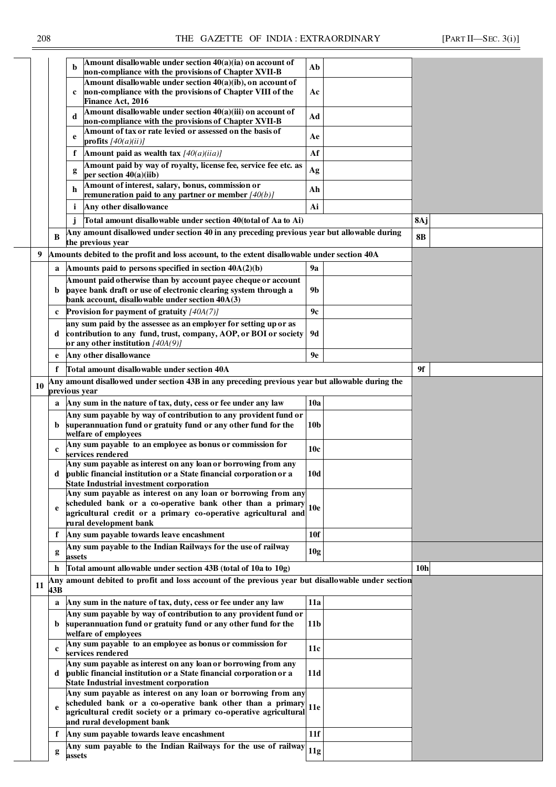|    |             | Amount disallowable under section 40(a)(ia) on account of<br>b<br>non-compliance with the provisions of Chapter XVII-B              | Ab              |                 |  |
|----|-------------|-------------------------------------------------------------------------------------------------------------------------------------|-----------------|-----------------|--|
|    |             | Amount disallowable under section 40(a)(ib), on account of                                                                          |                 |                 |  |
|    |             | non-compliance with the provisions of Chapter VIII of the                                                                           | Ac              |                 |  |
|    |             | Finance Act, 2016                                                                                                                   |                 |                 |  |
|    |             | Amount disallowable under section 40(a)(iii) on account of<br>d<br>non-compliance with the provisions of Chapter XVII-B             | Ad              |                 |  |
|    |             | Amount of tax or rate levied or assessed on the basis of                                                                            |                 |                 |  |
|    |             | e<br>profits $[40(a)(ii)]$                                                                                                          | Ae              |                 |  |
|    |             | f<br>Amount paid as wealth tax $[40(a)(iia)]$                                                                                       | Af              |                 |  |
|    |             | Amount paid by way of royalty, license fee, service fee etc. as<br>g                                                                | Ag              |                 |  |
|    |             | per section $40(a)(iib)$<br>Amount of interest, salary, bonus, commission or                                                        |                 |                 |  |
|    |             | h<br>remuneration paid to any partner or member $[40(b)]$                                                                           | Ah              |                 |  |
|    |             | i<br>Any other disallowance                                                                                                         | Ai              |                 |  |
|    |             | Total amount disallowable under section 40(total of Aa to Ai)                                                                       |                 | 8Aj             |  |
|    | B           | Any amount disallowed under section 40 in any preceding previous year but allowable during                                          |                 | <b>8B</b>       |  |
|    |             | the previous year                                                                                                                   |                 |                 |  |
| 9  |             | Amounts debited to the profit and loss account, to the extent disallowable under section 40A                                        |                 |                 |  |
|    | a           | Amounts paid to persons specified in section $40A(2)(b)$                                                                            | <b>9a</b>       |                 |  |
|    |             | Amount paid otherwise than by account payee cheque or account                                                                       |                 |                 |  |
|    | b           | payee bank draft or use of electronic clearing system through a<br>bank account, disallowable under section 40A(3)                  | 9b              |                 |  |
|    | $\mathbf c$ | Provision for payment of gratuity $[40A(7)]$                                                                                        | 9c              |                 |  |
|    |             | any sum paid by the assessee as an employer for setting up or as                                                                    |                 |                 |  |
|    | d           | contribution to any fund, trust, company, AOP, or BOI or society                                                                    | 9d              |                 |  |
|    |             | or any other institution $[40A(9)]$                                                                                                 |                 |                 |  |
|    | e           | Any other disallowance                                                                                                              | 9e              |                 |  |
|    | f           | Total amount disallowable under section 40A                                                                                         |                 | 9f              |  |
| 10 |             | Any amount disallowed under section 43B in any preceding previous year but allowable during the<br>previous year                    |                 |                 |  |
|    | a           | Any sum in the nature of tax, duty, cess or fee under any law                                                                       | 10a             |                 |  |
|    |             | Any sum payable by way of contribution to any provident fund or                                                                     |                 |                 |  |
|    | b.          | superannuation fund or gratuity fund or any other fund for the                                                                      | 10b             |                 |  |
|    |             | welfare of employees                                                                                                                |                 |                 |  |
|    | $\mathbf c$ | Any sum payable to an employee as bonus or commission for<br>services rendered                                                      | 10c             |                 |  |
|    |             | Any sum payable as interest on any loan or borrowing from any                                                                       |                 |                 |  |
|    |             | public financial institution or a State financial corporation or a                                                                  | 10d             |                 |  |
|    |             | <b>State Industrial investment corporation</b><br>Any sum payable as interest on any loan or borrowing from any                     |                 |                 |  |
|    |             | scheduled bank or a co-operative bank other than a primary                                                                          |                 |                 |  |
|    | e           | agricultural credit or a primary co-operative agricultural and                                                                      | <b>10e</b>      |                 |  |
|    |             | rural development bank                                                                                                              |                 |                 |  |
|    |             | f Any sum payable towards leave encashment                                                                                          | 10 <sub>f</sub> |                 |  |
|    | g           | Any sum payable to the Indian Railways for the use of railway<br>assets                                                             | 10g             |                 |  |
|    | h.          | Total amount allowable under section 43B (total of 10a to 10g)                                                                      |                 | 10 <sub>h</sub> |  |
|    |             | Any amount debited to profit and loss account of the previous year but disallowable under section                                   |                 |                 |  |
| 11 | 43B         |                                                                                                                                     |                 |                 |  |
|    | a           | Any sum in the nature of tax, duty, cess or fee under any law                                                                       | 11a             |                 |  |
|    |             | Any sum payable by way of contribution to any provident fund or                                                                     |                 |                 |  |
|    | b           | superannuation fund or gratuity fund or any other fund for the<br>welfare of employees                                              | 11b             |                 |  |
|    |             | Any sum payable to an employee as bonus or commission for                                                                           |                 |                 |  |
|    | $\mathbf c$ | services rendered                                                                                                                   | 11c             |                 |  |
|    | d           | Any sum payable as interest on any loan or borrowing from any<br>public financial institution or a State financial corporation or a | 11d             |                 |  |
|    |             | <b>State Industrial investment corporation</b>                                                                                      |                 |                 |  |
|    |             | Any sum payable as interest on any loan or borrowing from any                                                                       |                 |                 |  |
|    | e           | scheduled bank or a co-operative bank other than a primary                                                                          | 11e             |                 |  |
|    |             | agricultural credit society or a primary co-operative agricultural<br>and rural development bank                                    |                 |                 |  |
|    | f           | Any sum payable towards leave encashment                                                                                            | 11f             |                 |  |
|    |             | Any sum payable to the Indian Railways for the use of railway                                                                       | 11g             |                 |  |
|    | g           | assets                                                                                                                              |                 |                 |  |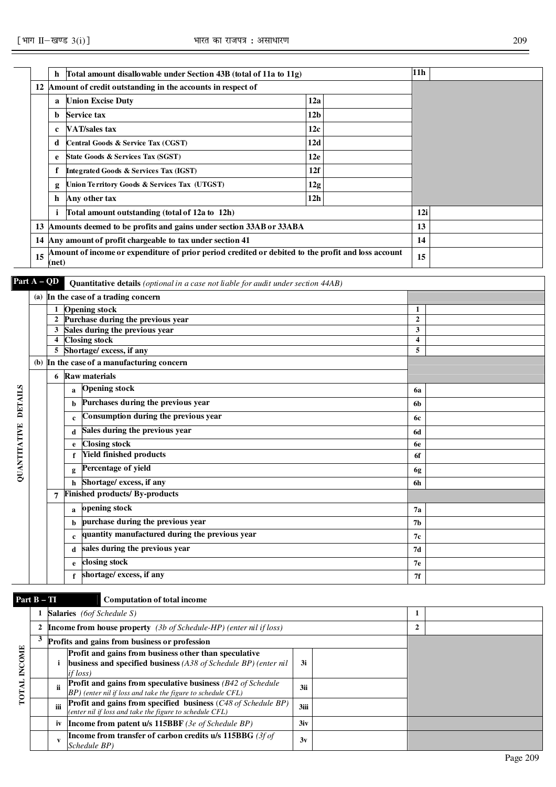|    | h     | Total amount disallowable under Section 43B (total of 11a to 11g)                                  |                 | 11 <sub>h</sub> |
|----|-------|----------------------------------------------------------------------------------------------------|-----------------|-----------------|
|    |       | 12 Amount of credit outstanding in the accounts in respect of                                      |                 |                 |
|    | a     | <b>Union Excise Duty</b>                                                                           | 12a             |                 |
|    | b     | Service tax                                                                                        | 12 <sub>b</sub> |                 |
|    | c     | VAT/sales tax                                                                                      | 12c             |                 |
|    | d     | Central Goods & Service Tax (CGST)                                                                 | 12d             |                 |
|    | e     | State Goods & Services Tax (SGST)                                                                  | 12e             |                 |
|    |       | Integrated Goods & Services Tax (IGST)                                                             | 12f             |                 |
|    | g     | Union Territory Goods & Services Tax (UTGST)                                                       | 12g             |                 |
|    | h     | Any other tax                                                                                      | 12h             |                 |
|    | i     | Total amount outstanding (total of 12a to 12h)                                                     |                 | 12i             |
|    |       | 13  Amounts deemed to be profits and gains under section 33AB or 33ABA                             |                 | 13              |
|    |       | 14 Any amount of profit chargeable to tax under section 41                                         |                 | 14              |
| 15 | (net) | Amount of income or expenditure of prior period credited or debited to the profit and loss account |                 | 15              |

QUANTITATIVE DETAILS

|                | Part A – QD |             | <b>Quantitative details</b> (optional in a case not liable for audit under section 44AB) |                |  |
|----------------|-------------|-------------|------------------------------------------------------------------------------------------|----------------|--|
|                |             |             | (a) In the case of a trading concern                                                     |                |  |
|                |             |             | <b>Opening stock</b>                                                                     | 1              |  |
|                |             |             | Purchase during the previous year                                                        | $\overline{2}$ |  |
|                | 3           |             | Sales during the previous year                                                           | 3              |  |
|                |             |             | <b>Closing stock</b>                                                                     | 4              |  |
|                | 5           |             | Shortage/ excess, if any                                                                 | 5              |  |
|                |             |             | (b) In the case of a manufacturing concern                                               |                |  |
|                | 6           |             | <b>Raw materials</b>                                                                     |                |  |
|                |             | a           | <b>Opening stock</b>                                                                     | <b>6a</b>      |  |
| <b>DETAILS</b> |             | b           | Purchases during the previous year                                                       | 6b             |  |
|                |             | $\mathbf c$ | Consumption during the previous year                                                     | 6с             |  |
| QUANTITATIVE   |             | d           | Sales during the previous year                                                           | 6d             |  |
|                |             | e           | <b>Closing stock</b>                                                                     | 6e             |  |
|                |             |             | <b>Yield finished products</b>                                                           | 6f             |  |
|                |             | g           | Percentage of yield                                                                      | 6g             |  |
|                |             | h           | Shortage/ excess, if any                                                                 | 6h             |  |
|                | 7           |             | Finished products/ By-products                                                           |                |  |
|                |             | a           | opening stock                                                                            | 7a             |  |
|                |             | b           | purchase during the previous year                                                        | 7 <sub>b</sub> |  |
|                |             | $\mathbf c$ | quantity manufactured during the previous year                                           | 7с             |  |
|                |             | d           | sales during the previous year                                                           | 7d             |  |
|                |             | e           | closing stock                                                                            | 7 <sub>e</sub> |  |
|                |             | f           | shortage/ excess, if any                                                                 | 7f             |  |

# **Part B – TI Computation of total income**

|               |   |    | <b>Salaries</b> (6of Schedule S)                                                                                                       |      |  |  |
|---------------|---|----|----------------------------------------------------------------------------------------------------------------------------------------|------|--|--|
|               | 2 |    | <b>Income from house property</b> (3b of Schedule-HP) (enter nil if loss)                                                              |      |  |  |
|               |   |    | Profits and gains from business or profession                                                                                          |      |  |  |
| <b>INCOME</b> |   |    | Profit and gains from business other than speculative<br>business and specified business $(A38 of Schedule BP)$ (enter nil<br>if loss) | 3i   |  |  |
| <b>TOT</b>    |   | ii | <b>Profit and gains from speculative business</b> (B42 of Schedule<br>$ BP)$ (enter nil if loss and take the figure to schedule CFL)   | 3ii  |  |  |
|               |   |    | Profit and gains from specified business (C48 of Schedule BP)<br>(enter nil if loss and take the figure to schedule CFL)               | 3iii |  |  |
|               |   | iv | <b>Income from patent u/s 115BBF</b> (3e of Schedule BP)                                                                               | 3iv  |  |  |
|               |   |    | Income from transfer of carbon credits $u/s$ 115BBG (3f of<br>Schedule BP)                                                             | 3v   |  |  |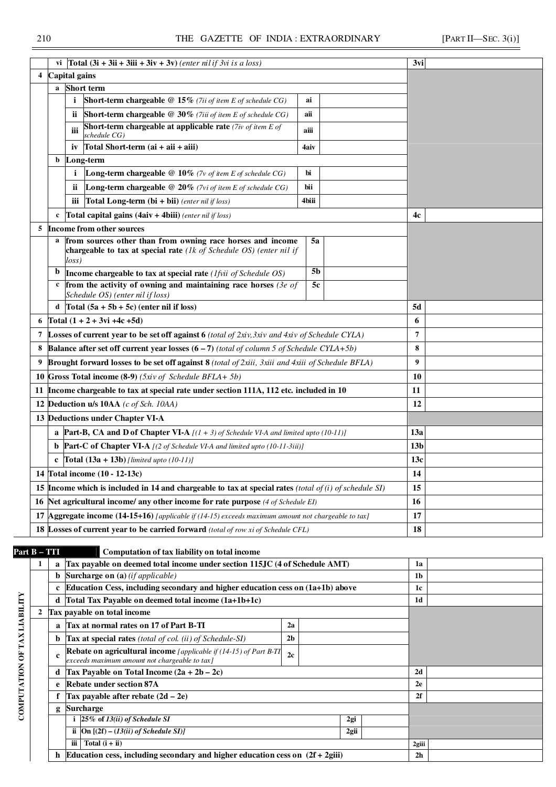| 4  | vi $\int$ Total (3i + 3ii + 3iii + 3iv + 3v) (enter nil if 3vi is a loss)<br>Capital gains                                                             |       | 3vi             |  |
|----|--------------------------------------------------------------------------------------------------------------------------------------------------------|-------|-----------------|--|
|    | <b>Short</b> term<br>a                                                                                                                                 |       |                 |  |
|    | i<br>Short-term chargeable @ 15% (7ii of item E of schedule CG)                                                                                        | ai    |                 |  |
|    | Short-term chargeable @ 30% (7iii of item E of schedule CG)<br>ii.                                                                                     | aii   |                 |  |
|    | <b>Short-term chargeable at applicable rate</b> (7iv of item $E$ of<br>iii<br>schedule CG)                                                             | aiii  |                 |  |
|    | Total Short-term $(ai + aii + aiii)$<br>1V                                                                                                             | 4aiv  |                 |  |
|    | Long-term<br>b                                                                                                                                         |       |                 |  |
|    | <b>Long-term chargeable</b> $@10\%$ (7v of item E of schedule CG)<br>$\mathbf{i}$                                                                      | bi    |                 |  |
|    | <b>Long-term chargeable</b> @ $20\%$ (7vi of item E of schedule CG)<br>ii.                                                                             | bii   |                 |  |
|    | Total Long-term $(bi + bi)$ (enter nil if loss)<br>iii                                                                                                 | 4biii |                 |  |
|    | <b>Total capital gains (4aiv + 4biii)</b> (enter nil if loss)<br>$\mathbf{c}$                                                                          |       | 4c              |  |
| 5  | Income from other sources                                                                                                                              |       |                 |  |
|    | a from sources other than from owning race horses and income<br>chargeable to tax at special rate $(lk \text{ of Schedule OS})$ (enter nil if<br>loss) | 5a    |                 |  |
|    | Income chargeable to tax at special rate ( <i>lfvii of Schedule OS</i> )<br>$\mathbf b$                                                                | 5b    |                 |  |
|    | $\epsilon$ from the activity of owning and maintaining race horses (3e of                                                                              | 5c    |                 |  |
|    | Schedule OS) (enter nil if loss)<br>d $\int$ Total (5a + 5b + 5c) (enter nil if loss)                                                                  |       |                 |  |
|    | Total $(1 + 2 + 3vi + 4c + 5d)$                                                                                                                        |       | 5d              |  |
| 6  |                                                                                                                                                        |       | 6               |  |
| 7  | <b>Losses of current year to be set off against 6</b> (total of $2xi$ y $3xi$ y and $4xi$ y of Schedule CYLA)                                          |       | 7<br>8          |  |
| 8  | <b>Balance after set off current year losses <math>(6 - 7)</math></b> (total of column 5 of Schedule CYLA+5b)                                          |       | 9               |  |
| 9  | <b>Brought forward losses to be set off against 8</b> (total of 2xiii, 3xiii and 4xiii of Schedule BFLA)                                               |       |                 |  |
| 10 | Gross Total income (8-9) (5xiv of Schedule BFLA+ 5b)                                                                                                   |       | 10              |  |
| 11 | Income chargeable to tax at special rate under section 111A, 112 etc. included in 10                                                                   |       | 11              |  |
|    | 12 Deduction u/s 10AA (c of Sch. 10AA)                                                                                                                 |       | 12              |  |
|    | 13 Deductions under Chapter VI-A                                                                                                                       |       |                 |  |
|    | <b>a</b> Part-B, CA and D of Chapter VI-A $[(1 + 3)$ of Schedule VI-A and limited upto (10-11)]                                                        |       | 13a             |  |
|    | <b>b</b> Part-C of Chapter VI-A $[(2 \text{ of Schedule VI-A and limited up to } (10-11-3iii)]$                                                        |       | 13 <sub>b</sub> |  |
|    | c $\text{Total } (13a + 13b)$ [limited upto (10-11)]                                                                                                   |       | 13c             |  |
|    | 14 Total income (10 - 12-13c)                                                                                                                          |       | 14              |  |
| 15 | Income which is included in 14 and chargeable to tax at special rates (total of $(i)$ of schedule SI)                                                  |       | 15              |  |
| 16 | Net agricultural income/ any other income for rate purpose (4 of Schedule EI)                                                                          |       | 16              |  |
| 17 | <b>Aggregate income (14-15+16)</b> [applicable if $(14-15)$ exceeds maximum amount not chargeable to tax]                                              |       | 17              |  |
|    | <b>18 Losses of current year to be carried forward</b> (total of row xi of Schedule CFL)                                                               |       | 18              |  |

**b** Surcharge on (a) *(if applicable)* **1b 1 c Education Cess, including secondary and higher education cess on (1a+1b) above 1c d Total Tax Payable on deemed total income (1a+1b+1c) 1d** 

**d Tax Payable on Total Income (2a + 2b – 2c) 2d e Rebate under section 87A 2e f Tax payable after rebate (2d – 2e) 2f** 

**iii Total (i + ii) 2giii h Education cess, including secondary and higher education cess on (2f + 2giii) 2h** 

**i 25% of** *13(ii) of Schedule SI* **2gi ii On [(2f) – (***13(ii) of Schedule SI)]* **2gii**

**2c** 

**a Tax at normal rates on 17 of Part B-TI 2a b Tax at special rates** *(total of col. (ii) of Schedule-SI)* **2b** 

**Rebate on agricultural income** *[applicable if (14-15) of Part B-TI* 

*exceeds maximum amount not chargeable to tax]*

**c** 

**g Surcharge** 

**2 Tax payable on total income**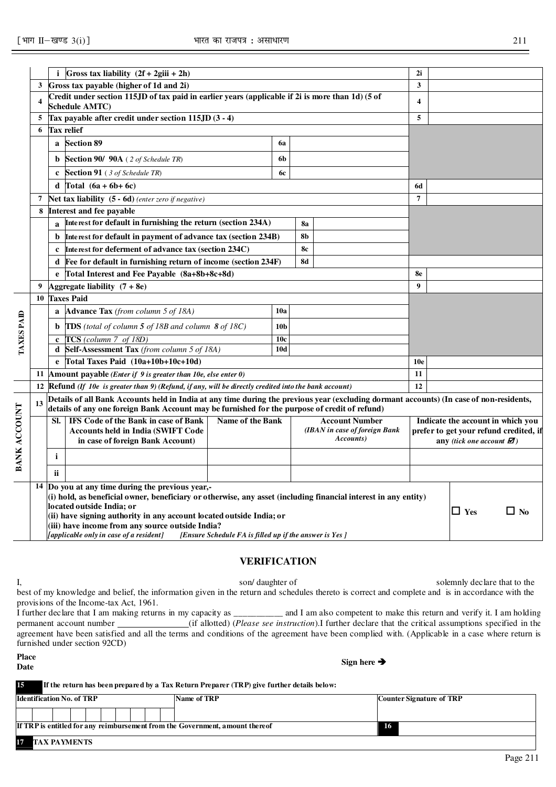| Details of all Bank Accounts held in India at any time during the previous year (excluding dormant accounts) (In case of non-residents, |
|-----------------------------------------------------------------------------------------------------------------------------------------|
| Indicate the account in which you<br>prefer to get your refund credited, if<br>any (tick one account $\mathbf{\varnothing}$ )           |
|                                                                                                                                         |
|                                                                                                                                         |
|                                                                                                                                         |
|                                                                                                                                         |
| $\Box$ No<br>$\Box$ Yes                                                                                                                 |
|                                                                                                                                         |
|                                                                                                                                         |
|                                                                                                                                         |

#### **VERIFICATION**

I, son/ daughter of solemnly declare that to the best of my knowledge and belief, the information given in the return and schedules thereto is correct and complete and is in accordance with the provisions of the Income-tax Act, 1961.

I further declare that I am making returns in my capacity as \_\_\_\_\_\_\_\_\_\_\_ and I am also competent to make this return and verify it. I am holding permanent account number (if allotted) (*Please see instruction*).I further declare that the critical assumptions specified in the agreement have been satisfied and all the terms and conditions of the agreement have been complied with. (Applicable in a case where return is furnished under section 92CD)

### **Place**

#### **15 If the return has been prepared by a Tax Return Preparer (TRP) give further details below:**

| <b>Identification No. of TRP</b> |  |  |  |  | Name of TRP                                                                  | <b>Counter Signature of TRP</b> |
|----------------------------------|--|--|--|--|------------------------------------------------------------------------------|---------------------------------|
|                                  |  |  |  |  |                                                                              |                                 |
|                                  |  |  |  |  | If TRP is entitled for any reimbursement from the Government, amount thereof | 16                              |
| 17 TAX PAYMENTS                  |  |  |  |  |                                                                              |                                 |

### **Date Sign here**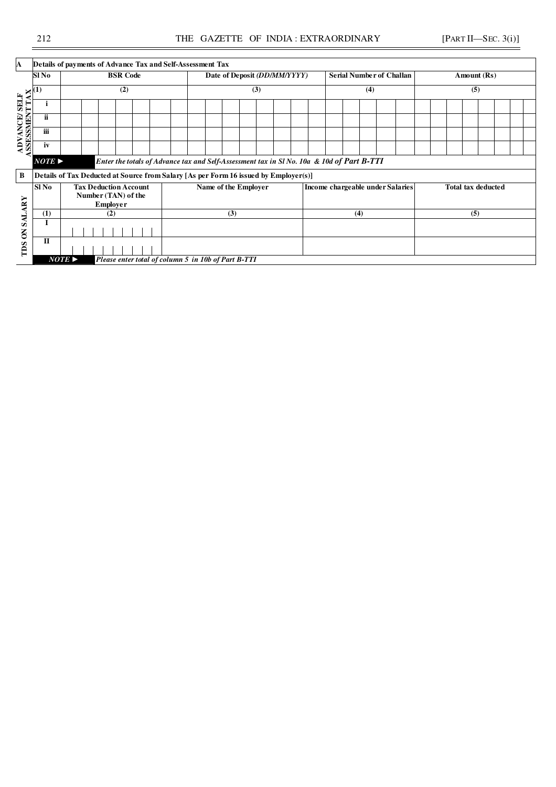| A                          |                                                                                 | Details of payments of Advance Tax and Self-Assessment Tax |                                                                                           |                 |  |                                                                                      |  |                              |  |     |  |  |                                  |                                 |     |  |  |  |             |                           |  |  |  |  |
|----------------------------|---------------------------------------------------------------------------------|------------------------------------------------------------|-------------------------------------------------------------------------------------------|-----------------|--|--------------------------------------------------------------------------------------|--|------------------------------|--|-----|--|--|----------------------------------|---------------------------------|-----|--|--|--|-------------|---------------------------|--|--|--|--|
|                            | Sl No                                                                           |                                                            |                                                                                           | <b>BSR Code</b> |  |                                                                                      |  | Date of Deposit (DD/MM/YYYY) |  |     |  |  |                                  | <b>Serial Number of Challan</b> |     |  |  |  | Amount (Rs) |                           |  |  |  |  |
|                            |                                                                                 |                                                            |                                                                                           | (2)             |  |                                                                                      |  |                              |  | (3) |  |  |                                  |                                 | (4) |  |  |  |             | (5)                       |  |  |  |  |
| <b>ADVANCE/SELF</b>        |                                                                                 |                                                            |                                                                                           |                 |  |                                                                                      |  |                              |  |     |  |  |                                  |                                 |     |  |  |  |             |                           |  |  |  |  |
| Ę                          | ii                                                                              |                                                            |                                                                                           |                 |  |                                                                                      |  |                              |  |     |  |  |                                  |                                 |     |  |  |  |             |                           |  |  |  |  |
| ø<br>Ø                     | iii                                                                             |                                                            |                                                                                           |                 |  |                                                                                      |  |                              |  |     |  |  |                                  |                                 |     |  |  |  |             |                           |  |  |  |  |
| S                          | iv                                                                              |                                                            |                                                                                           |                 |  |                                                                                      |  |                              |  |     |  |  |                                  |                                 |     |  |  |  |             |                           |  |  |  |  |
|                            | $NOTE \triangleright$                                                           |                                                            | Enter the totals of Advance tax and Self-Assessment tax in Sl No. 10a & 10d of Part B-TTI |                 |  |                                                                                      |  |                              |  |     |  |  |                                  |                                 |     |  |  |  |             |                           |  |  |  |  |
| $\bf{B}$                   |                                                                                 |                                                            |                                                                                           |                 |  | Details of Tax Deducted at Source from Salary [As per Form 16 issued by Employer(s)] |  |                              |  |     |  |  |                                  |                                 |     |  |  |  |             |                           |  |  |  |  |
| <b>ARY</b>                 | <b>Tax Deduction Account</b><br>Sl No<br>Number (TAN) of the<br><b>Employer</b> |                                                            |                                                                                           |                 |  | Name of the Employer                                                                 |  |                              |  |     |  |  | Income chargeable under Salaries |                                 |     |  |  |  |             | <b>Total tax deducted</b> |  |  |  |  |
|                            | (1)                                                                             |                                                            | (2)                                                                                       |                 |  |                                                                                      |  | (3)                          |  |     |  |  |                                  |                                 | (4) |  |  |  |             | (5)                       |  |  |  |  |
| <b>INS</b><br>$\mathbf{S}$ | I                                                                               |                                                            |                                                                                           |                 |  |                                                                                      |  |                              |  |     |  |  |                                  |                                 |     |  |  |  |             |                           |  |  |  |  |
| TIDS                       | $\mathbf{I}$                                                                    |                                                            |                                                                                           |                 |  |                                                                                      |  |                              |  |     |  |  |                                  |                                 |     |  |  |  |             |                           |  |  |  |  |
|                            |                                                                                 | $NOTE \triangleright$                                      |                                                                                           |                 |  | Please enter total of column 5 in 10b of Part B-TTI                                  |  |                              |  |     |  |  |                                  |                                 |     |  |  |  |             |                           |  |  |  |  |

j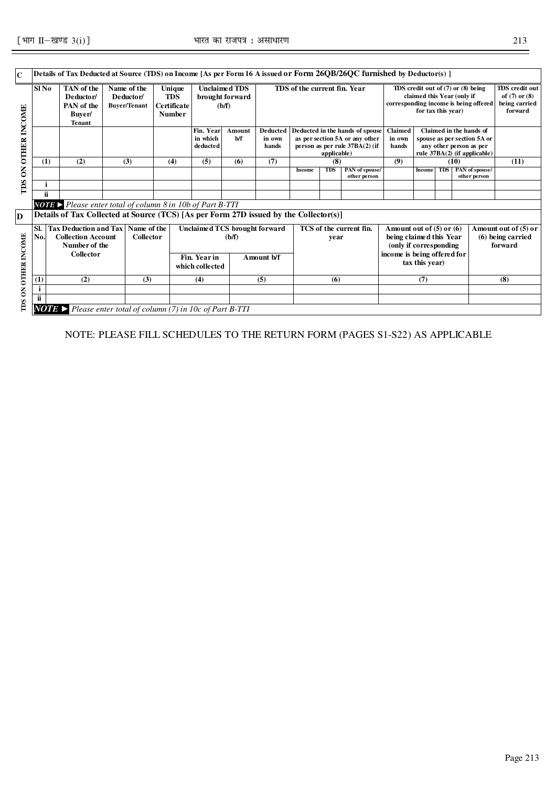| $\mathbf C$                                |                                                                                                                                         | Details of Tax Deducted at Source (TDS) on Income [As per Form 16 A issued or Form 26QB/26QC furnished by Deductor(s) ]                                    |                                                 |                                                      |                                   |                                                  |                                             |                                                                                                     |                            |                                |                                       |                                                                                                                                    |                                                             |      |                                |                                                                        |
|--------------------------------------------|-----------------------------------------------------------------------------------------------------------------------------------------|------------------------------------------------------------------------------------------------------------------------------------------------------------|-------------------------------------------------|------------------------------------------------------|-----------------------------------|--------------------------------------------------|---------------------------------------------|-----------------------------------------------------------------------------------------------------|----------------------------|--------------------------------|---------------------------------------|------------------------------------------------------------------------------------------------------------------------------------|-------------------------------------------------------------|------|--------------------------------|------------------------------------------------------------------------|
|                                            | Sl No                                                                                                                                   | TAN of the<br>Deductor/<br>PAN of the<br>Buver/<br><b>Tenant</b>                                                                                           | Name of the<br>Deductor/<br><b>Buyer/Tenant</b> | Unique<br><b>TDS</b><br>Certificate<br><b>Number</b> |                                   | <b>Unclaimed TDS</b><br>brought forward<br>(b/f) |                                             | TDS of the current fin. Year                                                                        |                            |                                | corresponding income is being offered | TDS credit out of (7) or (8) being<br>claimed this Year (only if<br>for tax this year)                                             |                                                             |      |                                | <b>TDS</b> credit out<br>of $(7)$ or $(8)$<br>being carried<br>forward |
| <b>OTHER INCOME</b>                        |                                                                                                                                         |                                                                                                                                                            |                                                 |                                                      | Fin. Year<br>in which<br>deducted | <b>Amount</b><br>b/f                             | <b>Deducted</b><br>in own<br>hands<br>(7)   | Deducted in the hands of spouse<br>as per section 5A or any other<br>person as per rule 37BA(2) (if | Claimed<br>in own<br>hands |                                |                                       | Claimed in the hands of<br>any other person as per                                                                                 | spouse as per section 5A or<br>rule 37BA(2) (if applicable) |      |                                |                                                                        |
|                                            | (1)                                                                                                                                     | (2)                                                                                                                                                        | (3)                                             | (4)                                                  | (5)                               | (6)                                              |                                             |                                                                                                     | (8)                        |                                | (9)                                   |                                                                                                                                    |                                                             | (10) |                                | (11)                                                                   |
| $\mathsf{S}% _{0}^{X\left( t_{1}\right) }$ |                                                                                                                                         |                                                                                                                                                            |                                                 |                                                      |                                   |                                                  |                                             | Income                                                                                              | <b>TDS</b>                 | PAN of spouse/<br>other person |                                       | <b>Income</b>                                                                                                                      | <b>TDS</b>                                                  |      | PAN of spouse/<br>other person |                                                                        |
| TDS                                        |                                                                                                                                         |                                                                                                                                                            |                                                 |                                                      |                                   |                                                  |                                             |                                                                                                     |                            |                                |                                       |                                                                                                                                    |                                                             |      |                                |                                                                        |
|                                            | ii.                                                                                                                                     |                                                                                                                                                            |                                                 |                                                      |                                   |                                                  |                                             |                                                                                                     |                            |                                |                                       |                                                                                                                                    |                                                             |      |                                |                                                                        |
| D                                          |                                                                                                                                         | <b>NOTE</b> Please enter total of column $8$ in 10b of Part B-TTI<br>Details of Tax Collected at Source (TCS) [As per Form 27D issued by the Collector(s)] |                                                 |                                                      |                                   |                                                  |                                             |                                                                                                     |                            |                                |                                       |                                                                                                                                    |                                                             |      |                                |                                                                        |
| <b>OTHER INCOME</b>                        | Tax Deduction and Tax   Name of the<br>SI.<br>No.<br><b>Collection Account</b><br><b>Collector</b><br>Number of the<br><b>Collector</b> |                                                                                                                                                            |                                                 |                                                      | Fin. Year in<br>which collected   | (b/f)                                            | Unclaimed TCS brought forward<br>Amount b/f | TCS of the current fin.<br>year                                                                     |                            |                                |                                       | Amount out of $(5)$ or $(6)$<br>being claimed this Year<br>(only if corresponding<br>income is being offered for<br>tax this year) |                                                             |      |                                | Amount out of (5) or<br>$(6)$ being carried<br>forward                 |
|                                            | (1)                                                                                                                                     | (2)                                                                                                                                                        | (3)                                             | (4)                                                  |                                   | (5)                                              |                                             | (6)                                                                                                 |                            |                                | (7)                                   |                                                                                                                                    |                                                             |      | (8)                            |                                                                        |
| $\mathsf{S}% _{T}$                         | i<br>ii                                                                                                                                 |                                                                                                                                                            |                                                 |                                                      |                                   |                                                  |                                             |                                                                                                     |                            |                                |                                       |                                                                                                                                    |                                                             |      |                                |                                                                        |
| TDS                                        |                                                                                                                                         | <b>NOTE</b> > Please enter total of column (7) in 10c of Part B-TTI                                                                                        |                                                 |                                                      |                                   |                                                  |                                             |                                                                                                     |                            |                                |                                       |                                                                                                                                    |                                                             |      |                                |                                                                        |

NOTE: PLEASE FILL SCHEDULES TO THE RETURN FORM (PAGES S1-S22) AS APPLICABLE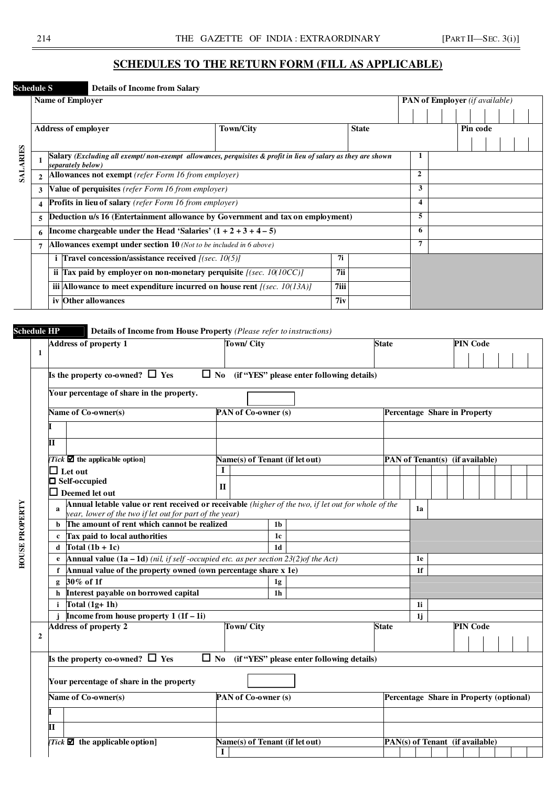### **SCHEDULES TO THE RETURN FORM (FILL AS APPLICABLE)**

### **Schedule S Details of Income from Salary**

|          |   | <b>Name of Employer</b>                                                                                                           |                    |              |  |              |  |          | PAN of Employer (if available) |  |
|----------|---|-----------------------------------------------------------------------------------------------------------------------------------|--------------------|--------------|--|--------------|--|----------|--------------------------------|--|
|          |   |                                                                                                                                   |                    |              |  |              |  |          |                                |  |
|          |   | <b>Address of employer</b>                                                                                                        | <b>Town/City</b>   | <b>State</b> |  |              |  | Pin code |                                |  |
|          |   |                                                                                                                                   |                    |              |  |              |  |          |                                |  |
| SALARIES |   | Salary (Excluding all exempt/non-exempt allowances, perquisites & profit in lieu of salary as they are shown<br>separately below) |                    |              |  |              |  |          |                                |  |
|          |   | <b>Allowances not exempt</b> (refer Form 16 from employer)                                                                        |                    |              |  | $\mathbf{2}$ |  |          |                                |  |
|          | 3 | <b>Value of perquisites</b> (refer Form 16 from employer)                                                                         |                    |              |  | 3            |  |          |                                |  |
|          | 4 | <b>Profits in lieu of salary</b> (refer Form 16 from employer)                                                                    | $\overline{\bf 4}$ |              |  |              |  |          |                                |  |
|          | 5 | Deduction u/s 16 (Entertainment allowance by Government and tax on employment)                                                    |                    |              |  | 5            |  |          |                                |  |
|          | 6 | Income chargeable under the Head 'Salaries' $(1 + 2 + 3 + 4 - 5)$                                                                 |                    |              |  | 6            |  |          |                                |  |
|          |   | <b>Allowances exempt under section 10</b> (Not to be included in 6 above)                                                         |                    |              |  | 7            |  |          |                                |  |
|          |   | i Travel concession/assistance received $[(sec. 10(5))]$                                                                          |                    | 7i           |  |              |  |          |                                |  |
|          |   | ii Tax paid by employer on non-monetary perquisite $[(sec. 10(10CC))]$                                                            |                    | 7ii          |  |              |  |          |                                |  |
|          |   | iii Allowance to meet expenditure incurred on house rent $[(sec. 10(13A))]$                                                       |                    | 7iii         |  |              |  |          |                                |  |
|          |   | iv Other allowances                                                                                                               |                    | 7iv          |  |              |  |          |                                |  |

### **Schedule HP Details of Income from House Property** *(Please refer to instructions)*

|                       | <b>Address of property 1</b> |                                                                                                                                                                | Town/City<br><b>State</b>      |                     |                |                                                     |              |                                         |                |  | <b>PIN Code</b>                 |                 |  |  |  |  |  |  |
|-----------------------|------------------------------|----------------------------------------------------------------------------------------------------------------------------------------------------------------|--------------------------------|---------------------|----------------|-----------------------------------------------------|--------------|-----------------------------------------|----------------|--|---------------------------------|-----------------|--|--|--|--|--|--|
| 1                     |                              |                                                                                                                                                                |                                |                     |                |                                                     |              |                                         |                |  |                                 |                 |  |  |  |  |  |  |
|                       |                              | Is the property co-owned? $\Box$ Yes                                                                                                                           |                                |                     |                | $\Box$ No (if "YES" please enter following details) |              |                                         |                |  |                                 |                 |  |  |  |  |  |  |
|                       |                              | Your percentage of share in the property.                                                                                                                      |                                |                     |                |                                                     |              |                                         |                |  |                                 |                 |  |  |  |  |  |  |
|                       |                              | Name of Co-owner(s)                                                                                                                                            |                                | PAN of Co-owner (s) |                |                                                     |              | <b>Percentage Share in Property</b>     |                |  |                                 |                 |  |  |  |  |  |  |
|                       |                              |                                                                                                                                                                |                                |                     |                |                                                     |              |                                         |                |  |                                 |                 |  |  |  |  |  |  |
|                       | п                            |                                                                                                                                                                |                                |                     |                |                                                     |              |                                         |                |  |                                 |                 |  |  |  |  |  |  |
|                       |                              | <i>[Tick</i> $\blacksquare$ the applicable option]                                                                                                             |                                |                     |                | Name(s) of Tenant (if let out)                      |              | PAN of Tenant(s) (if available)         |                |  |                                 |                 |  |  |  |  |  |  |
|                       |                              | $\square$ Let out                                                                                                                                              | $\bf{l}$                       |                     |                |                                                     |              |                                         |                |  |                                 |                 |  |  |  |  |  |  |
|                       |                              | $\Box$ Self-occupied                                                                                                                                           | П                              |                     |                |                                                     |              |                                         |                |  |                                 |                 |  |  |  |  |  |  |
|                       |                              | $\Box$ Deemed let out                                                                                                                                          |                                |                     |                |                                                     |              |                                         |                |  |                                 |                 |  |  |  |  |  |  |
| <b>HOUSE PROPERTY</b> | a                            | Annual letable value or rent received or receivable (higher of the two, if let out for whole of the<br>year, lower of the two if let out for part of the year) |                                |                     |                |                                                     |              |                                         | 1a             |  |                                 |                 |  |  |  |  |  |  |
|                       |                              | <b>b</b> The amount of rent which cannot be realized                                                                                                           |                                |                     | 1 <sub>b</sub> |                                                     |              |                                         |                |  |                                 |                 |  |  |  |  |  |  |
|                       | $\mathbf c$                  | Tax paid to local authorities                                                                                                                                  |                                |                     | 1 <sub>c</sub> |                                                     |              |                                         |                |  |                                 |                 |  |  |  |  |  |  |
|                       |                              | d Total $(1b + 1c)$                                                                                                                                            |                                |                     | 1d             |                                                     |              |                                         |                |  |                                 |                 |  |  |  |  |  |  |
|                       | e                            | Annual value $(1a - 1d)$ (nil, if self-occupied etc. as per section 23(2) of the Act)                                                                          |                                |                     |                |                                                     |              |                                         | 1e             |  |                                 |                 |  |  |  |  |  |  |
|                       | f                            | Annual value of the property owned (own percentage share x 1e)                                                                                                 |                                |                     |                |                                                     |              |                                         | 1 <sup>f</sup> |  |                                 |                 |  |  |  |  |  |  |
|                       |                              | 30% of 1f                                                                                                                                                      |                                |                     | 1g             |                                                     |              |                                         |                |  |                                 |                 |  |  |  |  |  |  |
|                       | h                            | Interest payable on borrowed capital                                                                                                                           |                                |                     | 1 <sub>h</sub> |                                                     |              |                                         |                |  |                                 |                 |  |  |  |  |  |  |
|                       |                              | Total $(1g+1h)$                                                                                                                                                |                                |                     |                |                                                     |              |                                         | 1i             |  |                                 |                 |  |  |  |  |  |  |
|                       |                              | Income from house property $1(1f-1i)$                                                                                                                          |                                |                     |                |                                                     |              |                                         | 1j             |  |                                 |                 |  |  |  |  |  |  |
|                       |                              | <b>Address of property 2</b>                                                                                                                                   |                                | <b>Town/City</b>    |                |                                                     | <b>State</b> |                                         |                |  |                                 | <b>PIN Code</b> |  |  |  |  |  |  |
| $\overline{2}$        |                              |                                                                                                                                                                |                                |                     |                |                                                     |              |                                         |                |  |                                 |                 |  |  |  |  |  |  |
|                       |                              | Is the property co-owned? $\Box$ Yes                                                                                                                           | $\Box$ No                      |                     |                | (if "YES" please enter following details)           |              |                                         |                |  |                                 |                 |  |  |  |  |  |  |
|                       |                              | Your percentage of share in the property                                                                                                                       |                                |                     |                |                                                     |              |                                         |                |  |                                 |                 |  |  |  |  |  |  |
|                       |                              | Name of Co-owner(s)                                                                                                                                            |                                | PAN of Co-owner (s) |                |                                                     |              | Percentage Share in Property (optional) |                |  |                                 |                 |  |  |  |  |  |  |
|                       |                              |                                                                                                                                                                |                                |                     |                |                                                     |              |                                         |                |  |                                 |                 |  |  |  |  |  |  |
|                       | П                            |                                                                                                                                                                |                                |                     |                |                                                     |              |                                         |                |  |                                 |                 |  |  |  |  |  |  |
|                       |                              | Tick $\blacksquare$ the applicable option]                                                                                                                     | Name(s) of Tenant (if let out) |                     |                |                                                     |              |                                         |                |  | PAN(s) of Tenant (if available) |                 |  |  |  |  |  |  |
|                       |                              |                                                                                                                                                                | I                              |                     |                |                                                     |              |                                         |                |  |                                 |                 |  |  |  |  |  |  |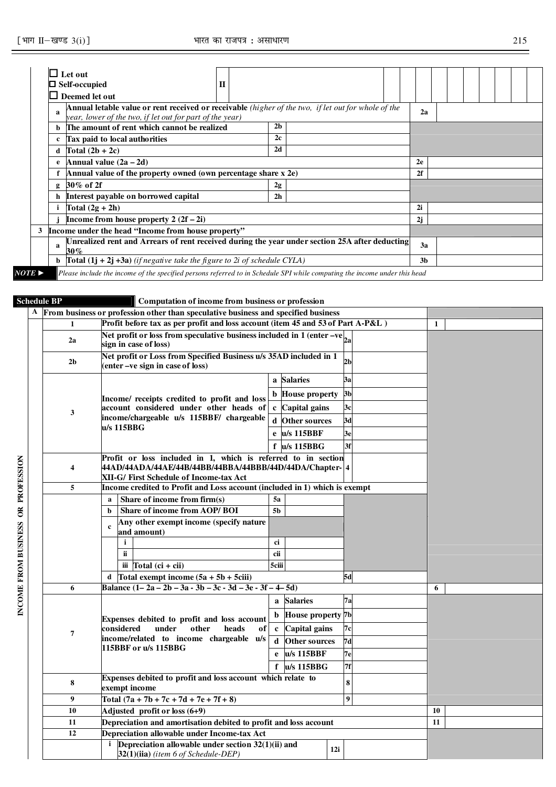|                       |     | $\Box$ Self-occupied<br>П                                                                                                                                              |                |                |  |  |  |
|-----------------------|-----|------------------------------------------------------------------------------------------------------------------------------------------------------------------------|----------------|----------------|--|--|--|
|                       | I I | Deemed let out                                                                                                                                                         |                |                |  |  |  |
|                       |     | <b>Annual letable value or rent received or receivable</b> (higher of the two, if let out for whole of the<br>year, lower of the two, if let out for part of the year) |                | 2a             |  |  |  |
|                       |     | The amount of rent which cannot be realized                                                                                                                            | 2 <sub>b</sub> |                |  |  |  |
|                       |     | <b>Tax paid to local authorities</b>                                                                                                                                   | 2c             |                |  |  |  |
|                       | d   | Total $(2b + 2c)$                                                                                                                                                      | 2d             |                |  |  |  |
|                       |     | Annual value $(2a - 2d)$                                                                                                                                               |                | 2e             |  |  |  |
|                       |     | Annual value of the property owned (own percentage share x 2e)                                                                                                         |                | 2f             |  |  |  |
|                       |     | $g$ 30% of 2f                                                                                                                                                          | 2g             |                |  |  |  |
|                       |     | h Interest payable on borrowed capital                                                                                                                                 | 2 <sub>h</sub> |                |  |  |  |
|                       |     | Total $(2g + 2h)$                                                                                                                                                      |                | 2i             |  |  |  |
|                       |     | Income from house property $2(2f-2i)$                                                                                                                                  |                | 2j             |  |  |  |
| 3                     |     | Income under the head "Income from house property"                                                                                                                     |                |                |  |  |  |
|                       | a   | Unrealized rent and Arrears of rent received during the year under section 25A after deducting<br>30%                                                                  |                | 3a             |  |  |  |
|                       | b.  | <b>Total</b> $(1j + 2j + 3a)$ (if negative take the figure to 2i of schedule CYLA)                                                                                     |                | 3 <sub>b</sub> |  |  |  |
| $NOTE \triangleright$ |     | Please include the income of the specified persons referred to in Schedule SPI while computing the income under this head                                              |                |                |  |  |  |

#### **Schedule BP Computation of income from business or profession**

|                                    |                         | Computation of meome from business of profession                                                                          |    |  |  |  |  |  |  |  |
|------------------------------------|-------------------------|---------------------------------------------------------------------------------------------------------------------------|----|--|--|--|--|--|--|--|
|                                    |                         | A From business or profession other than speculative business and specified business                                      |    |  |  |  |  |  |  |  |
|                                    | $\mathbf{1}$            | Profit before tax as per profit and loss account (item 45 and 53 of Part A-P&L)<br>1                                      |    |  |  |  |  |  |  |  |
|                                    | 2a                      | Net profit or loss from speculative business included in 1 (enter $-$ ve $\vert_{2a}$ )<br>sign in case of loss)          |    |  |  |  |  |  |  |  |
|                                    | 2 <sub>b</sub>          | Net profit or Loss from Specified Business u/s 35AD included in 1<br>2 <sub>b</sub><br>(enter –ve sign in case of loss)   |    |  |  |  |  |  |  |  |
|                                    |                         | a Salaries<br>3a                                                                                                          |    |  |  |  |  |  |  |  |
|                                    |                         | 3 <sub>b</sub><br><b>b</b> House property                                                                                 |    |  |  |  |  |  |  |  |
|                                    |                         | Income/ receipts credited to profit and loss<br>account considered under other heads of<br>c Capital gains<br>3c          |    |  |  |  |  |  |  |  |
|                                    | 3                       | income/chargeable u/s 115BBF/ chargeable<br>$\mathbf d$<br><b>Other sources</b><br>3d                                     |    |  |  |  |  |  |  |  |
|                                    |                         | u/s 115BBG                                                                                                                |    |  |  |  |  |  |  |  |
|                                    |                         | u/s 115BBF<br>3e<br>e                                                                                                     |    |  |  |  |  |  |  |  |
|                                    |                         | f u/s 115BBG<br>3f                                                                                                        |    |  |  |  |  |  |  |  |
| INCOME FROM BUSINESS OR PROFESSION | $\overline{\mathbf{4}}$ | Profit or loss included in 1, which is referred to in section<br>44AD/44ADA/44AE/44B/44BB/44BBA/44BBB/44D/44DA/Chapter- 4 |    |  |  |  |  |  |  |  |
|                                    |                         | XII-G/ First Schedule of Income-tax Act                                                                                   |    |  |  |  |  |  |  |  |
|                                    | 5                       | Income credited to Profit and Loss account (included in 1) which is exempt                                                |    |  |  |  |  |  |  |  |
|                                    |                         | Share of income from $firm(s)$<br>5a<br>a                                                                                 |    |  |  |  |  |  |  |  |
|                                    |                         | Share of income from AOP/BOI<br>5 <sub>b</sub><br>b                                                                       |    |  |  |  |  |  |  |  |
|                                    |                         | Any other exempt income (specify nature<br>$\mathbf c$                                                                    |    |  |  |  |  |  |  |  |
|                                    |                         | and amount)                                                                                                               |    |  |  |  |  |  |  |  |
|                                    |                         | j.<br>ci                                                                                                                  |    |  |  |  |  |  |  |  |
|                                    |                         | cii<br>ii.                                                                                                                |    |  |  |  |  |  |  |  |
|                                    |                         | Total $(c\mathbf{i} + c\mathbf{ii})$<br>5ciii<br>iii                                                                      |    |  |  |  |  |  |  |  |
|                                    |                         | Total exempt income $(5a + 5b + 5ciii)$<br>5d<br>d                                                                        |    |  |  |  |  |  |  |  |
|                                    | 6                       | Balance $(1-2a-2b-3a-3b-3c-3d-3e-3f-4-5d)$                                                                                | 6  |  |  |  |  |  |  |  |
|                                    |                         | <b>Salaries</b><br>7a<br>$\mathbf{a}$                                                                                     |    |  |  |  |  |  |  |  |
|                                    |                         | House property 7b<br>b.<br>Expenses debited to profit and loss account                                                    |    |  |  |  |  |  |  |  |
|                                    | $\overline{7}$          | under<br>heads<br>considered<br>other<br><b>Capital</b> gains<br>7c<br>оf<br>$\mathbf{c}$                                 |    |  |  |  |  |  |  |  |
|                                    |                         | income/related to income chargeable u/s<br>d.<br><b>Other sources</b><br>7d                                               |    |  |  |  |  |  |  |  |
|                                    |                         | 115BBF or u/s 115BBG<br>u/s 115BBF<br>e<br>7е                                                                             |    |  |  |  |  |  |  |  |
|                                    |                         | 7f<br>f<br>$u/s$ 115BBG                                                                                                   |    |  |  |  |  |  |  |  |
|                                    | 8                       | Expenses debited to profit and loss account which relate to<br>8<br>exempt income                                         |    |  |  |  |  |  |  |  |
|                                    | 9                       | $\boldsymbol{9}$<br>Total $(7a + 7b + 7c + 7d + 7e + 7f + 8)$                                                             |    |  |  |  |  |  |  |  |
|                                    | 10                      | 10                                                                                                                        |    |  |  |  |  |  |  |  |
|                                    | 11                      | Depreciation and amortisation debited to profit and loss account                                                          | 11 |  |  |  |  |  |  |  |
|                                    | 12                      | Depreciation allowable under Income-tax Act<br>Depreciation allowable under section $32(1)(ii)$ and                       |    |  |  |  |  |  |  |  |
|                                    |                         |                                                                                                                           |    |  |  |  |  |  |  |  |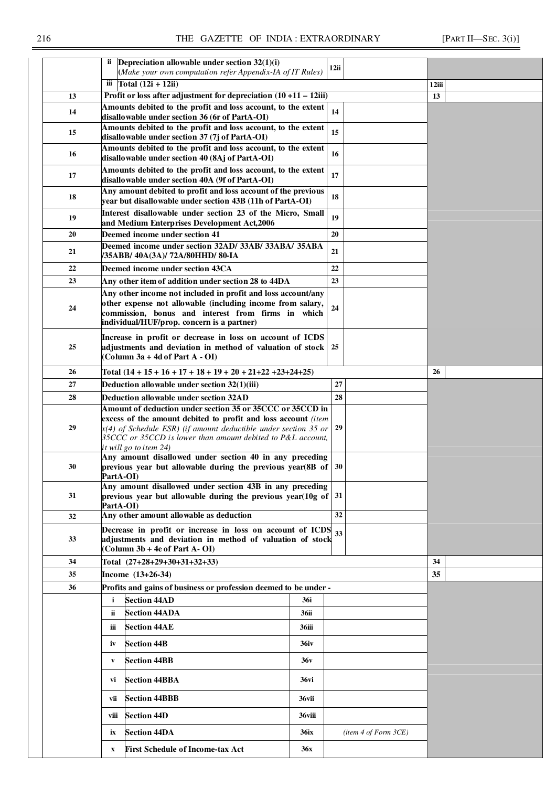|    |             | ii Depreciation allowable under section $32(1)(i)$                                                                                     |             | 12ii |                     |       |  |
|----|-------------|----------------------------------------------------------------------------------------------------------------------------------------|-------------|------|---------------------|-------|--|
|    |             | (Make your own computation refer Appendix-IA of IT Rules)                                                                              |             |      |                     |       |  |
|    |             | iii $\Gamma$ otal (12i + 12ii)                                                                                                         |             |      |                     | 12iii |  |
| 13 |             | Profit or loss after adjustment for depreciation $(10 + 11 - 12)$ ii)<br>Amounts debited to the profit and loss account, to the extent |             |      |                     | 13    |  |
| 14 |             | disallowable under section 36 (6r of PartA-OI)                                                                                         |             | 14   |                     |       |  |
| 15 |             | Amounts debited to the profit and loss account, to the extent<br>disallowable under section 37 (7j of PartA-OI)                        |             | 15   |                     |       |  |
| 16 |             | Amounts debited to the profit and loss account, to the extent<br>disallowable under section 40 (8Aj of PartA-OI)                       |             | 16   |                     |       |  |
| 17 |             | Amounts debited to the profit and loss account, to the extent<br>disallowable under section 40A (9f of PartA-OI)                       |             | 17   |                     |       |  |
| 18 |             | Any amount debited to profit and loss account of the previous                                                                          |             | 18   |                     |       |  |
| 19 |             | year but disallowable under section 43B (11h of PartA-OI)<br>Interest disallowable under section 23 of the Micro, Small                |             | 19   |                     |       |  |
|    |             | and Medium Enterprises Development Act,2006                                                                                            |             |      |                     |       |  |
| 20 |             | Deemed income under section 41                                                                                                         |             | 20   |                     |       |  |
| 21 |             | Deemed income under section 32AD/ 33AB/ 33ABA/ 35ABA<br>/35ABB/ 40A(3A)/ 72A/80HHD/ 80-IA                                              |             | 21   |                     |       |  |
| 22 |             | Deemed income under section 43CA                                                                                                       |             | 22   |                     |       |  |
| 23 |             | Any other item of addition under section 28 to 44DA                                                                                    |             | 23   |                     |       |  |
| 24 |             | Any other income not included in profit and loss account/any<br>other expense not allowable (including income from salary,             |             | 24   |                     |       |  |
|    |             | commission, bonus and interest from firms in which<br>individual/HUF/prop. concern is a partner)                                       |             |      |                     |       |  |
|    |             | Increase in profit or decrease in loss on account of ICDS                                                                              |             |      |                     |       |  |
| 25 |             | adjustments and deviation in method of valuation of stock 25<br>(Column 3a + 4d of Part A - OI)                                        |             |      |                     |       |  |
| 26 |             | Total $(14 + 15 + 16 + 17 + 18 + 19 + 20 + 21 + 22 + 23 + 24 + 25)$                                                                    |             |      |                     | 26    |  |
| 27 |             | Deduction allowable under section 32(1)(iii)                                                                                           |             | 27   |                     |       |  |
| 28 |             | Deduction allowable under section 32AD                                                                                                 |             | 28   |                     |       |  |
|    |             | Amount of deduction under section 35 or 35CCC or 35CCD in                                                                              |             |      |                     |       |  |
|    |             | excess of the amount debited to profit and loss account (item                                                                          |             |      |                     |       |  |
| 29 |             | $x(4)$ of Schedule ESR) (if amount deductible under section 35 or<br>35CCC or 35CCD is lower than amount debited to P&L account,       | 29          |      |                     |       |  |
|    |             | <u>it will go to item 24)</u><br>Any amount disallowed under section 40 in any preceding                                               |             |      |                     |       |  |
| 30 | PartA-OI)   | previous year but allowable during the previous year(8B of $\vert$ 30                                                                  |             |      |                     |       |  |
|    |             | Any amount disallowed under section 43B in any preceding                                                                               |             |      |                     |       |  |
| 31 | PartA-OI    | previous year but allowable during the previous year(10g of                                                                            |             | 31   |                     |       |  |
| 32 |             | Any other amount allowable as deduction                                                                                                |             | 32   |                     |       |  |
|    |             | Decrease in profit or increase in loss on account of ICDS                                                                              |             | 33   |                     |       |  |
| 33 |             | adjustments and deviation in method of valuation of stock<br>(Column 3b + 4e of Part A-OI)                                             |             |      |                     |       |  |
| 34 |             | Total (27+28+29+30+31+32+33)                                                                                                           |             |      |                     | 34    |  |
| 35 |             | Income (13+26-34)                                                                                                                      |             |      |                     | 35    |  |
| 36 |             | Profits and gains of business or profession deemed to be under -                                                                       |             |      |                     |       |  |
|    | i           | <b>Section 44AD</b>                                                                                                                    | 36i         |      |                     |       |  |
|    | ii          | <b>Section 44ADA</b>                                                                                                                   | 36ii        |      |                     |       |  |
|    | iii         | <b>Section 44AE</b>                                                                                                                    | 36iii       |      |                     |       |  |
|    | iv          | <b>Section 44B</b>                                                                                                                     | <b>36iv</b> |      |                     |       |  |
|    | V           | <b>Section 44BB</b>                                                                                                                    | 36v         |      |                     |       |  |
|    | vi          | <b>Section 44BBA</b>                                                                                                                   | 36vi        |      |                     |       |  |
|    | vii         | <b>Section 44BBB</b>                                                                                                                   | 36vii       |      |                     |       |  |
|    | viii        | <b>Section 44D</b>                                                                                                                     | 36viii      |      |                     |       |  |
|    | ix          | <b>Section 44DA</b>                                                                                                                    | <b>36ix</b> |      | item 4 of Form 3CE) |       |  |
|    | $\mathbf X$ | <b>First Schedule of Income-tax Act</b>                                                                                                | <b>36x</b>  |      |                     |       |  |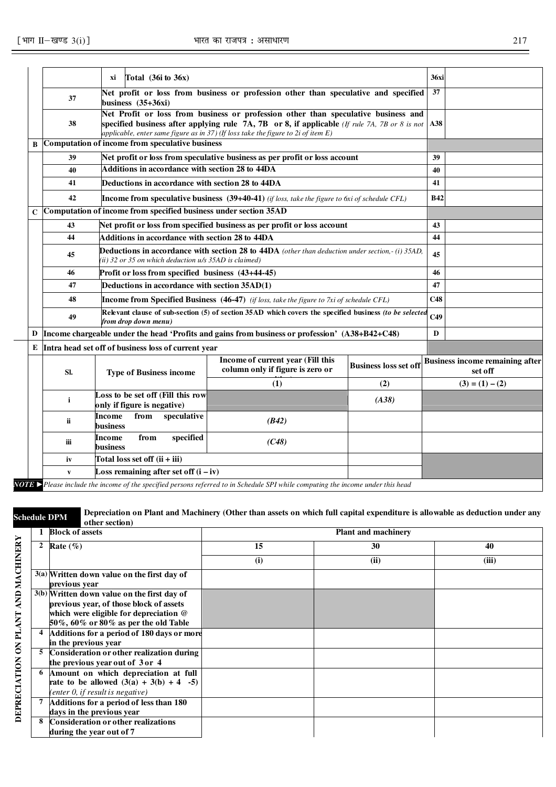|             |              | Total $(36i \text{ to } 36x)$<br>хi                                                                                                                                                 |                                                                                     |                              | <b>36xi</b> |                                                   |  |
|-------------|--------------|-------------------------------------------------------------------------------------------------------------------------------------------------------------------------------------|-------------------------------------------------------------------------------------|------------------------------|-------------|---------------------------------------------------|--|
|             | 37           | business $(35+36xi)$                                                                                                                                                                | Net profit or loss from business or profession other than speculative and specified |                              | 37          |                                                   |  |
|             | 38           | Net Profit or loss from business or profession other than speculative business and<br>specified business after applying rule 7A, 7B or 8, if applicable (If rule 7A, 7B or 8 is not | A38                                                                                 |                              |             |                                                   |  |
| B           |              | Computation of income from speculative business                                                                                                                                     |                                                                                     |                              |             |                                                   |  |
|             | 39           | Net profit or loss from speculative business as per profit or loss account                                                                                                          |                                                                                     | 39                           |             |                                                   |  |
|             | 40           | Additions in accordance with section 28 to 44DA                                                                                                                                     |                                                                                     |                              | 40          |                                                   |  |
|             | 41           | Deductions in accordance with section 28 to 44DA                                                                                                                                    |                                                                                     | 41                           |             |                                                   |  |
|             | 42           | <b>Income from speculative business</b> $(39+40-41)$ (if loss, take the figure to 6xi of schedule CFL)                                                                              |                                                                                     | <b>B42</b>                   |             |                                                   |  |
| $\mathbf C$ |              | Computation of income from specified business under section 35AD                                                                                                                    |                                                                                     |                              |             |                                                   |  |
|             | 43           | 43                                                                                                                                                                                  |                                                                                     |                              |             |                                                   |  |
|             | 44           | Additions in accordance with section 28 to 44DA                                                                                                                                     | 44                                                                                  |                              |             |                                                   |  |
|             | 45           | <b>Deductions in accordance with section 28 to 44DA</b> (other than deduction under section,-(i) 35AD,<br>(ii) 32 or 35 on which deduction u/s 35AD is claimed)                     | 45                                                                                  |                              |             |                                                   |  |
|             | 46           | Profit or loss from specified business (43+44-45)                                                                                                                                   | 46                                                                                  |                              |             |                                                   |  |
|             | 47           | Deductions in accordance with section 35AD(1)                                                                                                                                       |                                                                                     |                              | 47          |                                                   |  |
|             | 48           | <b>Income from Specified Business</b> $(46-47)$ (if loss, take the figure to 7xi of schedule CFL)                                                                                   | C48                                                                                 |                              |             |                                                   |  |
|             | 49           | Relevant clause of sub-section (5) of section 35AD which covers the specified business (to be selected<br>from drop down menu)                                                      | C <sub>49</sub>                                                                     |                              |             |                                                   |  |
|             |              | D  Income chargeable under the head 'Profits and gains from business or profession' (A38+B42+C48)                                                                                   |                                                                                     |                              |             |                                                   |  |
|             |              | E Intra head set off of business loss of current year                                                                                                                               |                                                                                     |                              |             |                                                   |  |
|             | Sl.          | <b>Type of Business income</b>                                                                                                                                                      | Income of current year (Fill this<br>column only if figure is zero or               | <b>Business loss set off</b> |             | <b>Business income remaining after</b><br>set off |  |
|             |              |                                                                                                                                                                                     | (1)                                                                                 | (2)                          |             | $(3) = (1) - (2)$                                 |  |
|             | i            | Loss to be set off (Fill this row<br>only if figure is negative)                                                                                                                    |                                                                                     | (A38)                        |             |                                                   |  |
|             | ii           |                                                                                                                                                                                     |                                                                                     |                              |             |                                                   |  |
|             | iіі          |                                                                                                                                                                                     |                                                                                     |                              |             |                                                   |  |
|             | iv           | Total loss set off (ii + iii)                                                                                                                                                       |                                                                                     |                              |             |                                                   |  |
|             | $\mathbf{v}$ | Loss remaining after set off $(i - iv)$                                                                                                                                             |                                                                                     |                              |             |                                                   |  |
|             |              | from<br>Income<br>speculative<br>business<br>from<br>specified<br>Income<br>business                                                                                                | (B42)<br>(C48)                                                                      |                              |             |                                                   |  |

*NOTE* ►*Please include the income of the specified persons referred to in Schedule SPI while computing the income under this head* 

**Schedule DPM Depreciation on Plant and Machinery (Other than assets on which full capital expenditure is allowable as deduction under any other section)** 

|   | <b>Block of assets</b>                      |     | <b>Plant and machinery</b> |       |
|---|---------------------------------------------|-----|----------------------------|-------|
| 2 | Rate $(\%)$                                 | 15  | 30                         | 40    |
|   |                                             | (i) | (ii)                       | (iii) |
|   | 3(a) Written down value on the first day of |     |                            |       |
|   | previous year                               |     |                            |       |
|   | 3(b) Written down value on the first day of |     |                            |       |
|   | previous year, of those block of assets     |     |                            |       |
|   | which were eligible for depreciation $@$    |     |                            |       |
|   | 50%, 60% or 80% as per the old Table        |     |                            |       |
|   | Additions for a period of 180 days or more  |     |                            |       |
|   | in the previous year                        |     |                            |       |
|   | Consideration or other realization during   |     |                            |       |
|   | the previous year out of 3 or 4             |     |                            |       |
| 6 | Amount on which depreciation at full        |     |                            |       |
|   | rate to be allowed $(3(a) + 3(b) + 4 -5)$   |     |                            |       |
|   | (enter $0$ , if result is negative)         |     |                            |       |
|   | Additions for a period of less than 180     |     |                            |       |
|   | days in the previous year                   |     |                            |       |
|   | Consideration or other realizations         |     |                            |       |
|   | during the year out of 7                    |     |                            |       |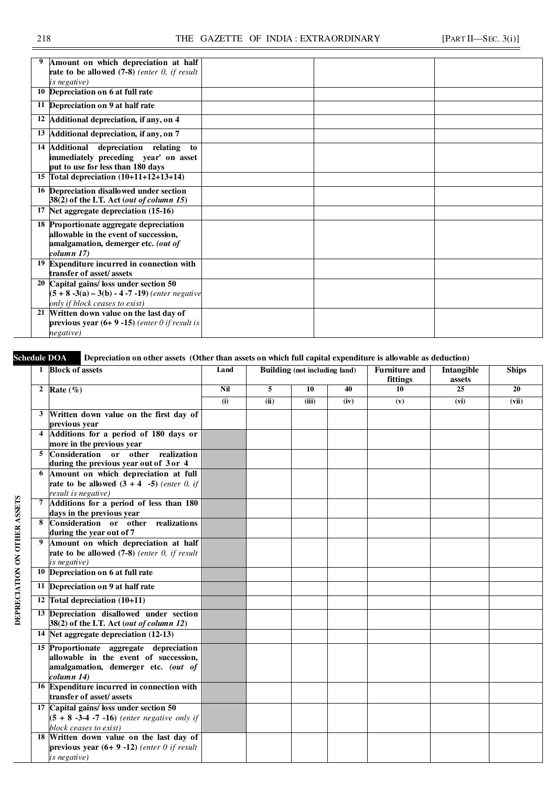| <b>rate to be allowed</b> $(7-8)$ (enter 0, if result<br>is negative)<br>10 Depreciation on 6 at full rate<br>11 Depreciation on 9 at half rate<br>12 Additional depreciation, if any, on 4<br>13 Additional depreciation, if any, on 7<br>14 Additional<br>depreciation relating<br>to<br>immediately preceding year' on asset<br>put to use for less than 180 days<br>15 Total depreciation $(10+11+12+13+14)$<br>16 Depreciation disallowed under section<br>38(2) of the I.T. Act (out of column 15)<br>17 Net aggregate depreciation (15-16)<br>18 Proportionate aggregate depreciation<br>allowable in the event of succession,<br>amalgamation, demerger etc. (out of<br>column 17)<br>19 Expenditure incurred in connection with<br>transfer of asset/assets<br>20 Capital gains/ loss under section 50<br>$(5 + 8 - 3(a) - 3(b) - 4 - 7 - 19)$ (enter negative<br>only if block ceases to exist)<br>21 Written down value on the last day of<br>previous year $(6+9-15)$ (enter 0 if result is<br>negative) |                                      |  |  |
|----------------------------------------------------------------------------------------------------------------------------------------------------------------------------------------------------------------------------------------------------------------------------------------------------------------------------------------------------------------------------------------------------------------------------------------------------------------------------------------------------------------------------------------------------------------------------------------------------------------------------------------------------------------------------------------------------------------------------------------------------------------------------------------------------------------------------------------------------------------------------------------------------------------------------------------------------------------------------------------------------------------------|--------------------------------------|--|--|
|                                                                                                                                                                                                                                                                                                                                                                                                                                                                                                                                                                                                                                                                                                                                                                                                                                                                                                                                                                                                                      | Amount on which depreciation at half |  |  |
|                                                                                                                                                                                                                                                                                                                                                                                                                                                                                                                                                                                                                                                                                                                                                                                                                                                                                                                                                                                                                      |                                      |  |  |
|                                                                                                                                                                                                                                                                                                                                                                                                                                                                                                                                                                                                                                                                                                                                                                                                                                                                                                                                                                                                                      |                                      |  |  |
|                                                                                                                                                                                                                                                                                                                                                                                                                                                                                                                                                                                                                                                                                                                                                                                                                                                                                                                                                                                                                      |                                      |  |  |
|                                                                                                                                                                                                                                                                                                                                                                                                                                                                                                                                                                                                                                                                                                                                                                                                                                                                                                                                                                                                                      |                                      |  |  |
|                                                                                                                                                                                                                                                                                                                                                                                                                                                                                                                                                                                                                                                                                                                                                                                                                                                                                                                                                                                                                      |                                      |  |  |
|                                                                                                                                                                                                                                                                                                                                                                                                                                                                                                                                                                                                                                                                                                                                                                                                                                                                                                                                                                                                                      |                                      |  |  |
|                                                                                                                                                                                                                                                                                                                                                                                                                                                                                                                                                                                                                                                                                                                                                                                                                                                                                                                                                                                                                      |                                      |  |  |
|                                                                                                                                                                                                                                                                                                                                                                                                                                                                                                                                                                                                                                                                                                                                                                                                                                                                                                                                                                                                                      |                                      |  |  |
|                                                                                                                                                                                                                                                                                                                                                                                                                                                                                                                                                                                                                                                                                                                                                                                                                                                                                                                                                                                                                      |                                      |  |  |
|                                                                                                                                                                                                                                                                                                                                                                                                                                                                                                                                                                                                                                                                                                                                                                                                                                                                                                                                                                                                                      |                                      |  |  |
|                                                                                                                                                                                                                                                                                                                                                                                                                                                                                                                                                                                                                                                                                                                                                                                                                                                                                                                                                                                                                      |                                      |  |  |
|                                                                                                                                                                                                                                                                                                                                                                                                                                                                                                                                                                                                                                                                                                                                                                                                                                                                                                                                                                                                                      |                                      |  |  |
|                                                                                                                                                                                                                                                                                                                                                                                                                                                                                                                                                                                                                                                                                                                                                                                                                                                                                                                                                                                                                      |                                      |  |  |
|                                                                                                                                                                                                                                                                                                                                                                                                                                                                                                                                                                                                                                                                                                                                                                                                                                                                                                                                                                                                                      |                                      |  |  |
|                                                                                                                                                                                                                                                                                                                                                                                                                                                                                                                                                                                                                                                                                                                                                                                                                                                                                                                                                                                                                      |                                      |  |  |
|                                                                                                                                                                                                                                                                                                                                                                                                                                                                                                                                                                                                                                                                                                                                                                                                                                                                                                                                                                                                                      |                                      |  |  |
|                                                                                                                                                                                                                                                                                                                                                                                                                                                                                                                                                                                                                                                                                                                                                                                                                                                                                                                                                                                                                      |                                      |  |  |
|                                                                                                                                                                                                                                                                                                                                                                                                                                                                                                                                                                                                                                                                                                                                                                                                                                                                                                                                                                                                                      |                                      |  |  |
|                                                                                                                                                                                                                                                                                                                                                                                                                                                                                                                                                                                                                                                                                                                                                                                                                                                                                                                                                                                                                      |                                      |  |  |
|                                                                                                                                                                                                                                                                                                                                                                                                                                                                                                                                                                                                                                                                                                                                                                                                                                                                                                                                                                                                                      |                                      |  |  |
|                                                                                                                                                                                                                                                                                                                                                                                                                                                                                                                                                                                                                                                                                                                                                                                                                                                                                                                                                                                                                      |                                      |  |  |
|                                                                                                                                                                                                                                                                                                                                                                                                                                                                                                                                                                                                                                                                                                                                                                                                                                                                                                                                                                                                                      |                                      |  |  |
|                                                                                                                                                                                                                                                                                                                                                                                                                                                                                                                                                                                                                                                                                                                                                                                                                                                                                                                                                                                                                      |                                      |  |  |
|                                                                                                                                                                                                                                                                                                                                                                                                                                                                                                                                                                                                                                                                                                                                                                                                                                                                                                                                                                                                                      |                                      |  |  |
|                                                                                                                                                                                                                                                                                                                                                                                                                                                                                                                                                                                                                                                                                                                                                                                                                                                                                                                                                                                                                      |                                      |  |  |

Schedule DOA Depreciation on other assets (Other than assets on which full capital expenditure is allowable as deduction)

|   | 1 Block of assets                                                                                                                     | Land                      | <b>Building (not including land)</b> |       |      | <b>Furniture and</b><br>fittings | <b>Intangible</b><br>assets | <b>Ships</b>    |
|---|---------------------------------------------------------------------------------------------------------------------------------------|---------------------------|--------------------------------------|-------|------|----------------------------------|-----------------------------|-----------------|
|   | 2 Rate $(\%)$                                                                                                                         | Nil                       | 5                                    | 10    | 40   | 10                               | 25                          | $\overline{20}$ |
|   |                                                                                                                                       | $\overline{(\mathbf{i})}$ | (ii)                                 | (iii) | (iv) | (v)                              | (vi)                        | (vii)           |
|   | 3 Written down value on the first day of                                                                                              |                           |                                      |       |      |                                  |                             |                 |
|   | previous year                                                                                                                         |                           |                                      |       |      |                                  |                             |                 |
|   | 4 Additions for a period of 180 days or<br>more in the previous year                                                                  |                           |                                      |       |      |                                  |                             |                 |
|   | 5 Consideration or other realization                                                                                                  |                           |                                      |       |      |                                  |                             |                 |
|   | during the previous year out of 3 or 4                                                                                                |                           |                                      |       |      |                                  |                             |                 |
|   | 6 Amount on which depreciation at full<br>rate to be allowed $(3 + 4 -5)$ (enter 0, if<br>result is negative)                         |                           |                                      |       |      |                                  |                             |                 |
|   | 7 Additions for a period of less than 180<br>days in the previous year                                                                |                           |                                      |       |      |                                  |                             |                 |
|   | 8 Consideration or other<br>realizations<br>during the year out of 7                                                                  |                           |                                      |       |      |                                  |                             |                 |
| 9 | Amount on which depreciation at half<br>rate to be allowed $(7-8)$ (enter 0, if result<br>is negative)                                |                           |                                      |       |      |                                  |                             |                 |
|   | 10 Depreciation on 6 at full rate                                                                                                     |                           |                                      |       |      |                                  |                             |                 |
|   | 11 Depreciation on 9 at half rate                                                                                                     |                           |                                      |       |      |                                  |                             |                 |
|   | 12 Total depreciation (10+11)                                                                                                         |                           |                                      |       |      |                                  |                             |                 |
|   | 13 Depreciation disallowed under section<br>38(2) of the I.T. Act (out of column 12)                                                  |                           |                                      |       |      |                                  |                             |                 |
|   | 14 Net aggregate depreciation (12-13)                                                                                                 |                           |                                      |       |      |                                  |                             |                 |
|   | 15 Proportionate aggregate depreciation<br>allowable in the event of succession,<br>amalgamation, demerger etc. (out of<br>column 14) |                           |                                      |       |      |                                  |                             |                 |
|   | 16 Expenditure incurred in connection with<br>transfer of asset/assets                                                                |                           |                                      |       |      |                                  |                             |                 |
|   | 17 Capital gains/ loss under section 50<br>$(5 + 8 -3 -4 -7 -16)$ (enter negative only if<br>block ceases to exist)                   |                           |                                      |       |      |                                  |                             |                 |
|   | 18 Written down value on the last day of<br>previous year $(6+9-12)$ (enter 0 if result<br>is negative)                               |                           |                                      |       |      |                                  |                             |                 |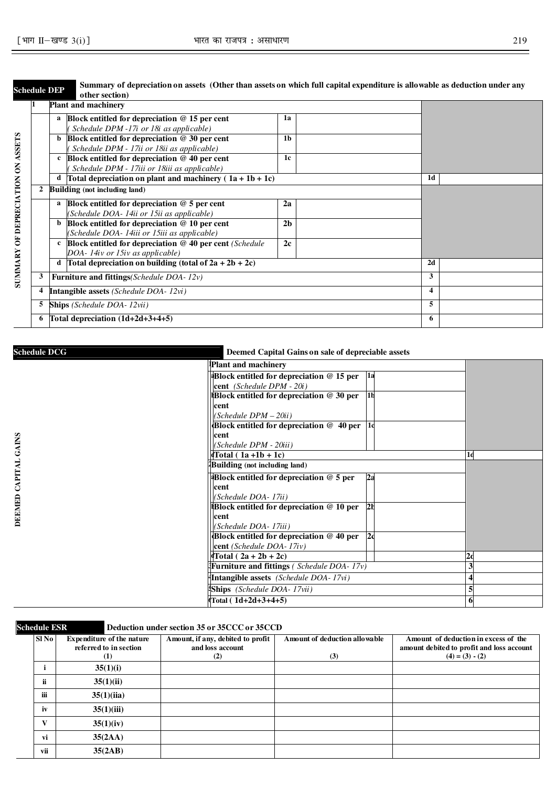|   |                                                     | other section)                             |                                                                                                                                                                                                                                                                                                                                                                                                                                                                                                                                                                                                                                                                                                                                                                            |                |   |                           |
|---|-----------------------------------------------------|--------------------------------------------|----------------------------------------------------------------------------------------------------------------------------------------------------------------------------------------------------------------------------------------------------------------------------------------------------------------------------------------------------------------------------------------------------------------------------------------------------------------------------------------------------------------------------------------------------------------------------------------------------------------------------------------------------------------------------------------------------------------------------------------------------------------------------|----------------|---|---------------------------|
|   |                                                     |                                            |                                                                                                                                                                                                                                                                                                                                                                                                                                                                                                                                                                                                                                                                                                                                                                            |                |   |                           |
|   |                                                     |                                            | 1a                                                                                                                                                                                                                                                                                                                                                                                                                                                                                                                                                                                                                                                                                                                                                                         |                |   |                           |
|   |                                                     |                                            |                                                                                                                                                                                                                                                                                                                                                                                                                                                                                                                                                                                                                                                                                                                                                                            |                |   |                           |
|   | b                                                   |                                            | 1 <sub>b</sub>                                                                                                                                                                                                                                                                                                                                                                                                                                                                                                                                                                                                                                                                                                                                                             |                |   |                           |
|   |                                                     |                                            |                                                                                                                                                                                                                                                                                                                                                                                                                                                                                                                                                                                                                                                                                                                                                                            |                |   |                           |
|   | $\mathbf{c}$                                        |                                            |                                                                                                                                                                                                                                                                                                                                                                                                                                                                                                                                                                                                                                                                                                                                                                            |                |   |                           |
|   |                                                     |                                            |                                                                                                                                                                                                                                                                                                                                                                                                                                                                                                                                                                                                                                                                                                                                                                            |                |   |                           |
|   |                                                     |                                            |                                                                                                                                                                                                                                                                                                                                                                                                                                                                                                                                                                                                                                                                                                                                                                            |                |   |                           |
| 2 |                                                     |                                            |                                                                                                                                                                                                                                                                                                                                                                                                                                                                                                                                                                                                                                                                                                                                                                            |                |   |                           |
|   | a                                                   |                                            | 2a                                                                                                                                                                                                                                                                                                                                                                                                                                                                                                                                                                                                                                                                                                                                                                         |                |   |                           |
|   |                                                     | (Schedule DOA- 14ii or 15ii as applicable) |                                                                                                                                                                                                                                                                                                                                                                                                                                                                                                                                                                                                                                                                                                                                                                            |                |   |                           |
|   | Block entitled for depreciation $@10$ per cent<br>b |                                            | 2 <sub>b</sub>                                                                                                                                                                                                                                                                                                                                                                                                                                                                                                                                                                                                                                                                                                                                                             |                |   |                           |
|   |                                                     |                                            |                                                                                                                                                                                                                                                                                                                                                                                                                                                                                                                                                                                                                                                                                                                                                                            |                |   |                           |
|   | $\mathbf c$                                         |                                            | 2c                                                                                                                                                                                                                                                                                                                                                                                                                                                                                                                                                                                                                                                                                                                                                                         |                |   |                           |
|   |                                                     | DOA-14iv or 15iv as applicable)            |                                                                                                                                                                                                                                                                                                                                                                                                                                                                                                                                                                                                                                                                                                                                                                            |                |   |                           |
|   | d                                                   |                                            |                                                                                                                                                                                                                                                                                                                                                                                                                                                                                                                                                                                                                                                                                                                                                                            |                |   |                           |
|   |                                                     |                                            |                                                                                                                                                                                                                                                                                                                                                                                                                                                                                                                                                                                                                                                                                                                                                                            |                | 3 |                           |
|   | <b>Intangible assets</b> (Schedule DOA-12vi)        |                                            |                                                                                                                                                                                                                                                                                                                                                                                                                                                                                                                                                                                                                                                                                                                                                                            |                | 4 |                           |
|   |                                                     |                                            |                                                                                                                                                                                                                                                                                                                                                                                                                                                                                                                                                                                                                                                                                                                                                                            |                | 5 |                           |
|   | Total depreciation $(1d+2d+3+4+5)$                  |                                            |                                                                                                                                                                                                                                                                                                                                                                                                                                                                                                                                                                                                                                                                                                                                                                            |                |   |                           |
|   |                                                     |                                            | schedule Def<br><b>Plant and machinery</b><br>Block entitled for depreciation $@$ 15 per cent<br>Schedule DPM -17i or 18i as applicable)<br>Block entitled for depreciation $@30$ per cent<br>Schedule DPM - 17ii or 18ii as applicable)<br>Block entitled for depreciation $@$ 40 per cent<br>Schedule DPM - 17iii or 18iii as applicable)<br>d Total depreciation on plant and machinery $(1a + 1b + 1c)$<br><b>Building</b> (not including land)<br>Block entitled for depreciation $@$ 5 per cent<br>(Schedule DOA- 14iii or 15iii as applicable)<br><b>Block entitled for depreciation @ 40 per cent</b> (Schedule<br>Total depreciation on building (total of $2a + 2b + 2c$ )<br>Furniture and fittings (Schedule DOA- $12v$ )<br><b>Ships</b> (Schedule DOA-12vii) | 1 <sub>c</sub> |   | 1 <sub>d</sub><br>2d<br>6 |

## **Summary of depreciation on assets (Other than assets on which full capital expenditure is allowable as deduction under any**

**DEEMED CAPITAL GAINS**

DEEMED CAPITAL GAINS

#### **Schedule DCG** Deemed Capital Gains on sale of depreciable assets

| <b>Plant and machinery</b>                                   |                |    |
|--------------------------------------------------------------|----------------|----|
| <b>Block entitled for depreciation <math>@</math> 15 per</b> | 1a             |    |
| <b>cent</b> (Schedule DPM - $20i$ )                          |                |    |
| <b>Block entitled for depreciation <math>@30</math> per</b>  | 1 <sub>h</sub> |    |
| cent                                                         |                |    |
| (Schedule DPM – 20ii)                                        |                |    |
| Block entitled for depreciation $@$ 40 per                   | 1 <sub>c</sub> |    |
| cent                                                         |                |    |
| $(Schedule DPM - 20iii)$                                     |                |    |
| Total $(1a+1b+1c)$                                           |                | 1d |
| <b>Building</b> (not including land)                         |                |    |
| <b>Block entitled for depreciation <math>@</math> 5 per</b>  | 2a             |    |
| cent                                                         |                |    |
| $(Schedule DOA-17ii)$                                        |                |    |
| Block entitled for depreciation @ 10 per                     | 2ŀ             |    |
| cent                                                         |                |    |
| $(Schedule DOA-17iii)$                                       |                |    |
| Block entitled for depreciation @ 40 per                     | 2 <sub>c</sub> |    |
| cent (Schedule DOA- $17iv$ )                                 |                |    |
| $\text{Total}$ ( 2a + 2b + 2c)                               |                | 2d |
| Furniture and fittings (Schedule DOA- $17v$ )                |                | 3  |
| Intangible assets (Schedule DOA- 17vi)                       |                |    |
| <b>Ships</b> (Schedule DOA-17vii)                            |                | 5  |
| Total $(1d+2d+3+4+5)$                                        |                | 6  |

| <b>Schedule ESR</b> |                                                            | Deduction under section 35 or 35CCC or 35CCD          |                               |                                                                                   |
|---------------------|------------------------------------------------------------|-------------------------------------------------------|-------------------------------|-----------------------------------------------------------------------------------|
| $SI$ No             | <b>Expenditure of the nature</b><br>referred to in section | Amount, if any, debited to profit<br>and loss account | Amount of deduction allowable | Amount of deduction in excess of the<br>amount debited to profit and loss account |
|                     | (1)                                                        | (2)                                                   | (3)                           | $(4) = (3) - (2)$                                                                 |
| ÷                   | 35(1)(i)                                                   |                                                       |                               |                                                                                   |
| ii                  | 35(1)(ii)                                                  |                                                       |                               |                                                                                   |
| iii                 | 35(1)(iia)                                                 |                                                       |                               |                                                                                   |
| iv                  | 35(1)(iii)                                                 |                                                       |                               |                                                                                   |
| V                   | 35(1)(iv)                                                  |                                                       |                               |                                                                                   |
| vi                  | 35(2AA)                                                    |                                                       |                               |                                                                                   |
| vii                 | 35(2AB)                                                    |                                                       |                               |                                                                                   |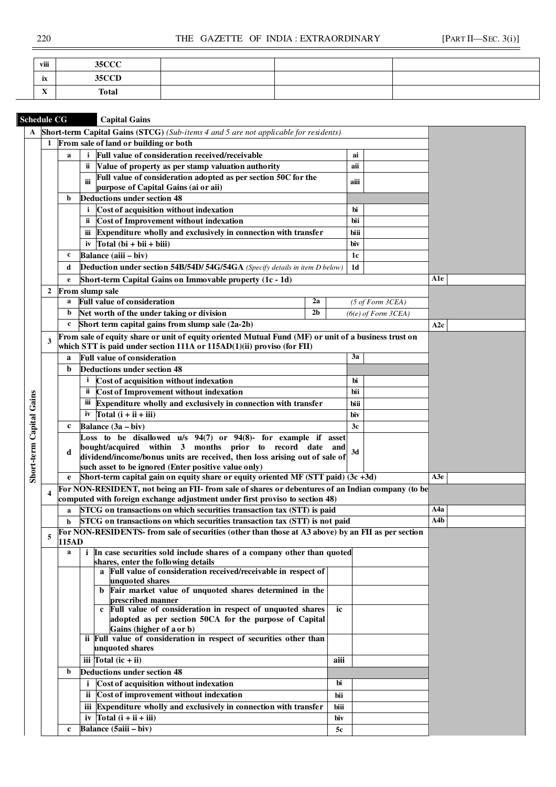| viii                      | 35CCT<br>ັ |  |  |
|---------------------------|------------|--|--|
| ix                        | 35CCD      |  |  |
| $\mathbf{v}$<br>$\Lambda$ | Total      |  |  |

| <b>Schedule CG</b>       |              |                                                     | <b>Capital Gains</b>                                                                                                                                                           |     |                |                             |     |
|--------------------------|--------------|-----------------------------------------------------|--------------------------------------------------------------------------------------------------------------------------------------------------------------------------------|-----|----------------|-----------------------------|-----|
| $\mathbf{A}$             |              |                                                     | Short-term Capital Gains (STCG) (Sub-items 4 and 5 are not applicable for residents)                                                                                           |     |                |                             |     |
|                          | 1            | From sale of land or building or both               |                                                                                                                                                                                |     |                |                             |     |
|                          |              | a                                                   |                                                                                                                                                                                |     |                |                             |     |
|                          |              |                                                     | Value of property as per stamp valuation authority<br>ii.                                                                                                                      |     | aii            |                             |     |
|                          |              |                                                     | Full value of consideration adopted as per section 50C for the<br>iii                                                                                                          |     | aiii           |                             |     |
|                          |              |                                                     | purpose of Capital Gains (ai or aii)                                                                                                                                           |     |                |                             |     |
|                          |              | b                                                   | <b>Deductions under section 48</b>                                                                                                                                             |     |                |                             |     |
|                          |              |                                                     | Cost of acquisition without indexation<br>$\mathbf{i}$                                                                                                                         |     | bi             |                             |     |
|                          |              | Cost of Improvement without indexation<br>bii<br>й. |                                                                                                                                                                                |     |                |                             |     |
|                          |              |                                                     | Expenditure wholly and exclusively in connection with transfer<br>ш                                                                                                            |     | biii           |                             |     |
|                          |              |                                                     | iv $\text{Total}(\text{bi} + \text{bii} + \text{biii})$                                                                                                                        |     | biv            |                             |     |
|                          |              | c                                                   | Balance (aiii – biv)                                                                                                                                                           |     | 1c             |                             |     |
|                          |              | d                                                   | Deduction under section 54B/54D/ 54G/54GA (Specify details in item D below)                                                                                                    |     | 1 <sub>d</sub> |                             |     |
|                          |              | e                                                   | Short-term Capital Gains on Immovable property (1c - 1d)                                                                                                                       |     |                |                             | A1e |
|                          | $\mathbf{2}$ |                                                     | <b>From slump sale</b>                                                                                                                                                         |     |                |                             |     |
|                          |              | a                                                   | <b>Full value of consideration</b><br>2a                                                                                                                                       |     |                | $(5 \text{ of Form } 3CEA)$ |     |
|                          |              | b                                                   | 2 <sub>b</sub><br>Net worth of the under taking or division                                                                                                                    |     |                | $(6(e)$ of Form $3CEA)$     |     |
|                          |              | c                                                   | Short term capital gains from slump sale (2a-2b)                                                                                                                               |     |                |                             | A2c |
|                          |              |                                                     |                                                                                                                                                                                |     |                |                             |     |
|                          | 3            |                                                     | From sale of equity share or unit of equity oriented Mutual Fund (MF) or unit of a business trust on<br>which STT is paid under section 111A or 115AD(1)(ii) proviso (for FII) |     |                |                             |     |
|                          |              | a                                                   | <b>Full value of consideration</b>                                                                                                                                             |     | 3a             |                             |     |
|                          |              | $\mathbf b$                                         | <b>Deductions under section 48</b>                                                                                                                                             |     |                |                             |     |
|                          |              |                                                     | Cost of acquisition without indexation<br>$\mathbf{i}$                                                                                                                         |     | bi             |                             |     |
|                          |              |                                                     | Cost of Improvement without indexation<br>ü                                                                                                                                    |     | bii            |                             |     |
|                          |              |                                                     |                                                                                                                                                                                |     |                |                             |     |
|                          |              |                                                     | Expenditure wholly and exclusively in connection with transfer<br>Ш                                                                                                            |     | biii           |                             |     |
|                          |              |                                                     | Total $(i + ii + iii)$<br>iv                                                                                                                                                   |     | biv            |                             |     |
|                          |              | c                                                   | Balance $(3a - biv)$                                                                                                                                                           |     | 3c             |                             |     |
|                          |              |                                                     | Loss to be disallowed u/s 94(7) or 94(8)- for example if asset                                                                                                                 |     |                |                             |     |
|                          |              | d                                                   | bought/acquired within 3 months prior to record date and<br>dividend/income/bonus units are received, then loss arising out of sale of                                         |     | 3d             |                             |     |
|                          |              |                                                     | such asset to be ignored (Enter positive value only)                                                                                                                           |     |                |                             |     |
| Short-term Capital Gains |              | e                                                   | Short-term capital gain on equity share or equity oriented MF (STT paid) (3c +3d)                                                                                              |     |                |                             | A3e |
|                          |              |                                                     | For NON-RESIDENT, not being an FII- from sale of shares or debentures of an Indian company (to be                                                                              |     |                |                             |     |
|                          |              |                                                     | computed with foreign exchange adjustment under first proviso to section 48)                                                                                                   |     |                |                             |     |
|                          |              | a                                                   | STCG on transactions on which securities transaction tax (STT) is paid                                                                                                         |     |                |                             | A4a |
|                          |              | b                                                   | STCG on transactions on which securities transaction tax (STT) is not paid                                                                                                     |     |                |                             | A4b |
|                          |              |                                                     | For NON-RESIDENTS- from sale of securities (other than those at A3 above) by an FII as per section                                                                             |     |                |                             |     |
|                          | 5            | 115AD                                               |                                                                                                                                                                                |     |                |                             |     |
|                          |              | $\mathbf{a}$                                        | <i>i</i> In case securities sold include shares of a company other than quoted                                                                                                 |     |                |                             |     |
|                          |              |                                                     | shares, enter the following details                                                                                                                                            |     |                |                             |     |
|                          |              |                                                     | a Full value of consideration received/receivable in respect of                                                                                                                |     |                |                             |     |
|                          |              |                                                     | unquoted shares<br>b Fair market value of unquoted shares determined in the                                                                                                    |     |                |                             |     |
|                          |              |                                                     | prescribed manner                                                                                                                                                              |     |                |                             |     |
|                          |              |                                                     | c Full value of consideration in respect of unquoted shares                                                                                                                    | ic  |                |                             |     |
|                          |              |                                                     | adopted as per section 50CA for the purpose of Capital                                                                                                                         |     |                |                             |     |
|                          |              |                                                     | Gains (higher of a or b)                                                                                                                                                       |     |                |                             |     |
|                          |              |                                                     | ii Full value of consideration in respect of securities other than<br>unquoted shares                                                                                          |     |                |                             |     |
|                          |              |                                                     |                                                                                                                                                                                |     |                |                             |     |
|                          |              |                                                     |                                                                                                                                                                                |     |                |                             |     |
|                          |              | b                                                   |                                                                                                                                                                                |     |                |                             |     |
|                          |              |                                                     |                                                                                                                                                                                |     |                |                             |     |
|                          |              |                                                     |                                                                                                                                                                                |     |                |                             |     |
|                          |              |                                                     |                                                                                                                                                                                |     |                |                             |     |
|                          |              |                                                     | iii Expenditure wholly and exclusively in connection with transfer<br>iv $\text{Total}(\mathbf{i} + \mathbf{ii} + \mathbf{iii})$                                               | biv |                |                             |     |
|                          |              | $\mathbf c$                                         | Balance (5aiii – biv)                                                                                                                                                          | 5c  |                |                             |     |
|                          |              |                                                     |                                                                                                                                                                                |     |                |                             |     |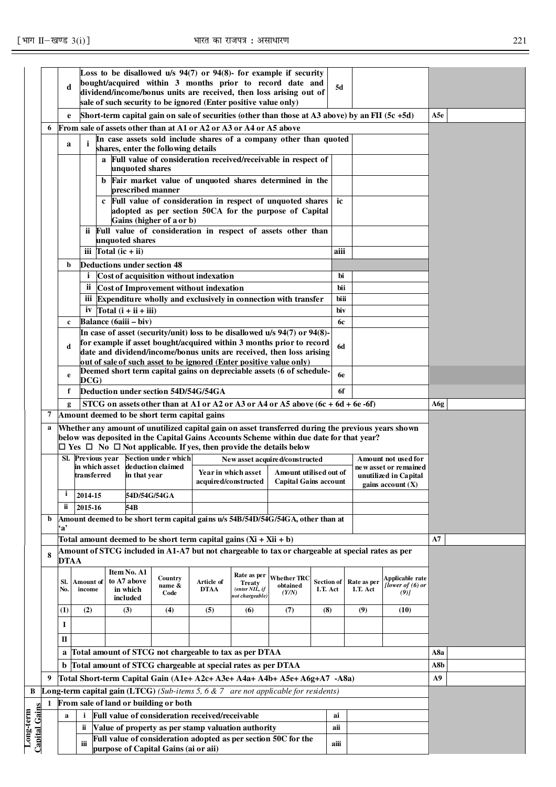|                           |                                                                                                                                              |                                                                                                                                                                                                                    |                                     |                                                                                                                                                                            |                                                                                                       |                           |                                                | Loss to be disallowed $u/s$ 94(7) or 94(8)- for example if security                                                                                                                           |                               |                                              |                                               |     |  |
|---------------------------|----------------------------------------------------------------------------------------------------------------------------------------------|--------------------------------------------------------------------------------------------------------------------------------------------------------------------------------------------------------------------|-------------------------------------|----------------------------------------------------------------------------------------------------------------------------------------------------------------------------|-------------------------------------------------------------------------------------------------------|---------------------------|------------------------------------------------|-----------------------------------------------------------------------------------------------------------------------------------------------------------------------------------------------|-------------------------------|----------------------------------------------|-----------------------------------------------|-----|--|
|                           |                                                                                                                                              | d                                                                                                                                                                                                                  |                                     |                                                                                                                                                                            |                                                                                                       |                           |                                                | bought/acquired within 3 months prior to record date and                                                                                                                                      | 5d                            |                                              |                                               |     |  |
|                           |                                                                                                                                              |                                                                                                                                                                                                                    |                                     |                                                                                                                                                                            | sale of such security to be ignored (Enter positive value only)                                       |                           |                                                | dividend/income/bonus units are received, then loss arising out of                                                                                                                            |                               |                                              |                                               |     |  |
|                           |                                                                                                                                              |                                                                                                                                                                                                                    |                                     |                                                                                                                                                                            |                                                                                                       |                           |                                                |                                                                                                                                                                                               |                               |                                              |                                               |     |  |
|                           |                                                                                                                                              | e                                                                                                                                                                                                                  |                                     |                                                                                                                                                                            |                                                                                                       |                           |                                                | Short-term capital gain on sale of securities (other than those at A3 above) by an FII (5c +5d)                                                                                               |                               |                                              |                                               | A5e |  |
|                           | From sale of assets other than at A1 or A2 or A3 or A4 or A5 above<br>6<br>In case assets sold include shares of a company other than quoted |                                                                                                                                                                                                                    |                                     |                                                                                                                                                                            |                                                                                                       |                           |                                                |                                                                                                                                                                                               |                               |                                              |                                               |     |  |
|                           |                                                                                                                                              | a                                                                                                                                                                                                                  | i                                   |                                                                                                                                                                            | shares, enter the following details                                                                   |                           |                                                |                                                                                                                                                                                               |                               |                                              |                                               |     |  |
|                           |                                                                                                                                              |                                                                                                                                                                                                                    |                                     | unquoted shares                                                                                                                                                            | a Full value of consideration received/receivable in respect of                                       |                           |                                                |                                                                                                                                                                                               |                               |                                              |                                               |     |  |
|                           |                                                                                                                                              |                                                                                                                                                                                                                    |                                     | prescribed manner                                                                                                                                                          | b Fair market value of unquoted shares determined in the                                              |                           |                                                |                                                                                                                                                                                               |                               |                                              |                                               |     |  |
|                           |                                                                                                                                              |                                                                                                                                                                                                                    |                                     |                                                                                                                                                                            | c Full value of consideration in respect of unquoted shares                                           |                           | ic                                             |                                                                                                                                                                                               |                               |                                              |                                               |     |  |
|                           |                                                                                                                                              |                                                                                                                                                                                                                    |                                     |                                                                                                                                                                            | adopted as per section 50CA for the purpose of Capital                                                |                           |                                                |                                                                                                                                                                                               |                               |                                              |                                               |     |  |
|                           |                                                                                                                                              |                                                                                                                                                                                                                    |                                     |                                                                                                                                                                            | Gains (higher of a or b)                                                                              |                           |                                                | ii Full value of consideration in respect of assets other than                                                                                                                                |                               |                                              |                                               |     |  |
|                           |                                                                                                                                              |                                                                                                                                                                                                                    |                                     | unquoted shares                                                                                                                                                            |                                                                                                       |                           |                                                |                                                                                                                                                                                               |                               |                                              |                                               |     |  |
|                           |                                                                                                                                              |                                                                                                                                                                                                                    | iii $\int$ Total (ic + ii)          |                                                                                                                                                                            |                                                                                                       |                           |                                                |                                                                                                                                                                                               | aiii                          |                                              |                                               |     |  |
|                           |                                                                                                                                              | b                                                                                                                                                                                                                  | <b>Deductions under section 48</b>  |                                                                                                                                                                            |                                                                                                       |                           |                                                |                                                                                                                                                                                               |                               |                                              |                                               |     |  |
|                           |                                                                                                                                              |                                                                                                                                                                                                                    | i                                   |                                                                                                                                                                            | Cost of acquisition without indexation                                                                |                           | bi                                             |                                                                                                                                                                                               |                               |                                              |                                               |     |  |
|                           |                                                                                                                                              |                                                                                                                                                                                                                    |                                     |                                                                                                                                                                            | ii Cost of Improvement without indexation                                                             |                           |                                                | iii Expenditure wholly and exclusively in connection with transfer                                                                                                                            | bii<br>biii                   |                                              |                                               |     |  |
|                           |                                                                                                                                              |                                                                                                                                                                                                                    |                                     | iv $\text{Total}$ (i + ii + iii)                                                                                                                                           |                                                                                                       |                           |                                                |                                                                                                                                                                                               | biv                           |                                              |                                               |     |  |
|                           |                                                                                                                                              | $\mathbf{c}$                                                                                                                                                                                                       | Balance (6aiii - biv)               |                                                                                                                                                                            |                                                                                                       |                           |                                                |                                                                                                                                                                                               | 6с                            |                                              |                                               |     |  |
|                           |                                                                                                                                              |                                                                                                                                                                                                                    |                                     |                                                                                                                                                                            |                                                                                                       |                           |                                                | In case of asset (security/unit) loss to be disallowed u/s 94(7) or 94(8)-                                                                                                                    |                               |                                              |                                               |     |  |
|                           |                                                                                                                                              | d                                                                                                                                                                                                                  |                                     |                                                                                                                                                                            |                                                                                                       |                           |                                                | for example if asset bought/acquired within 3 months prior to record<br>date and dividend/income/bonus units are received, then loss arising                                                  | <b>6d</b>                     |                                              |                                               |     |  |
|                           |                                                                                                                                              | out of sale of such asset to be ignored (Enter positive value only)<br>Deemed short term capital gains on depreciable assets (6 of schedule-<br>6e<br>e<br>DCG)<br>Deduction under section 54D/54G/54GA<br>6f<br>f |                                     |                                                                                                                                                                            |                                                                                                       |                           |                                                |                                                                                                                                                                                               |                               |                                              |                                               |     |  |
|                           |                                                                                                                                              |                                                                                                                                                                                                                    |                                     |                                                                                                                                                                            |                                                                                                       |                           |                                                |                                                                                                                                                                                               |                               |                                              |                                               |     |  |
|                           |                                                                                                                                              | g                                                                                                                                                                                                                  |                                     |                                                                                                                                                                            |                                                                                                       |                           |                                                | STCG on assets other than at A1 or A2 or A3 or A4 or A5 above $(6c + 6d + 6e - 6f)$                                                                                                           |                               |                                              |                                               | A6g |  |
|                           |                                                                                                                                              |                                                                                                                                                                                                                    |                                     |                                                                                                                                                                            | Amount deemed to be short term capital gains                                                          |                           |                                                |                                                                                                                                                                                               |                               |                                              |                                               |     |  |
|                           | a                                                                                                                                            |                                                                                                                                                                                                                    |                                     |                                                                                                                                                                            |                                                                                                       |                           |                                                | Whether any amount of unutilized capital gain on asset transferred during the previous years shown<br>below was deposited in the Capital Gains Accounts Scheme within due date for that year? |                               |                                              |                                               |     |  |
|                           |                                                                                                                                              |                                                                                                                                                                                                                    |                                     |                                                                                                                                                                            |                                                                                                       |                           |                                                | $\Box$ Yes $\Box$ No $\Box$ Not applicable. If yes, then provide the details below                                                                                                            |                               |                                              |                                               |     |  |
|                           |                                                                                                                                              |                                                                                                                                                                                                                    | Sl. Previous vear<br>in which asset |                                                                                                                                                                            | <b>Section under which</b><br>deduction claimed                                                       |                           |                                                | New asset acquired/constructed                                                                                                                                                                |                               |                                              | Amount not used for<br>ne w asset or remained |     |  |
|                           |                                                                                                                                              |                                                                                                                                                                                                                    | transferred                         | in that year                                                                                                                                                               |                                                                                                       |                           | Year in which asset<br>acquired/constructed    | Amount utilised out of<br><b>Capital Gains account</b>                                                                                                                                        |                               | unutilized in Capital<br>gains account $(X)$ |                                               |     |  |
|                           |                                                                                                                                              | $\mathbf{i}$                                                                                                                                                                                                       | 2014-15                             |                                                                                                                                                                            | 54D/54G/54GA                                                                                          |                           |                                                |                                                                                                                                                                                               |                               |                                              |                                               |     |  |
|                           |                                                                                                                                              | ii                                                                                                                                                                                                                 | 2015-16                             | 54B                                                                                                                                                                        |                                                                                                       |                           |                                                |                                                                                                                                                                                               |                               |                                              |                                               |     |  |
|                           | b                                                                                                                                            | ʻa'                                                                                                                                                                                                                |                                     |                                                                                                                                                                            |                                                                                                       |                           |                                                | Amount deemed to be short term capital gains u/s 54B/54D/54G/54GA, other than at                                                                                                              |                               |                                              |                                               |     |  |
|                           |                                                                                                                                              |                                                                                                                                                                                                                    |                                     |                                                                                                                                                                            | Total amount deemed to be short term capital gains $(Xi + Xii + b)$                                   |                           |                                                |                                                                                                                                                                                               |                               |                                              |                                               | A7  |  |
|                           | 8                                                                                                                                            |                                                                                                                                                                                                                    |                                     |                                                                                                                                                                            |                                                                                                       |                           |                                                | Amount of STCG included in A1-A7 but not chargeable to tax or chargeable at special rates as per                                                                                              |                               |                                              |                                               |     |  |
|                           |                                                                                                                                              | <b>DTAA</b>                                                                                                                                                                                                        |                                     | Item No. A1                                                                                                                                                                |                                                                                                       |                           |                                                |                                                                                                                                                                                               |                               |                                              |                                               |     |  |
|                           |                                                                                                                                              | SI.<br>No.                                                                                                                                                                                                         | Amount of<br>income                 | to A7 above<br>in which                                                                                                                                                    | Country<br>name &<br>Code                                                                             | Article of<br><b>DTAA</b> | Rate as per<br><b>Treaty</b><br>(enter NIL, if | <b>Whether TRC</b><br>obtained<br>(Y/N)                                                                                                                                                       | <b>Section of</b><br>I.T. Act | Rate as per<br>I.T. Act                      | Applicable rate<br>[lower of (6) or<br>(9)    |     |  |
|                           |                                                                                                                                              |                                                                                                                                                                                                                    |                                     | included                                                                                                                                                                   |                                                                                                       |                           | not chargeable)                                |                                                                                                                                                                                               |                               |                                              |                                               |     |  |
|                           |                                                                                                                                              | $\bf(1)$                                                                                                                                                                                                           | (2)                                 | (3)                                                                                                                                                                        | (4)                                                                                                   | (5)                       | (6)                                            | (7)                                                                                                                                                                                           | (8)                           | (9)                                          | (10)                                          |     |  |
|                           |                                                                                                                                              | 1                                                                                                                                                                                                                  |                                     |                                                                                                                                                                            |                                                                                                       |                           |                                                |                                                                                                                                                                                               |                               |                                              |                                               |     |  |
|                           |                                                                                                                                              | П                                                                                                                                                                                                                  |                                     |                                                                                                                                                                            |                                                                                                       |                           |                                                |                                                                                                                                                                                               |                               |                                              |                                               |     |  |
|                           |                                                                                                                                              | a Total amount of STCG not chargeable to tax as per DTAA                                                                                                                                                           |                                     |                                                                                                                                                                            |                                                                                                       |                           |                                                |                                                                                                                                                                                               |                               |                                              | A8a                                           |     |  |
|                           |                                                                                                                                              | b Total amount of STCG chargeable at special rates as per DTAA                                                                                                                                                     |                                     |                                                                                                                                                                            |                                                                                                       |                           |                                                |                                                                                                                                                                                               |                               |                                              | A8b<br>A9                                     |     |  |
|                           |                                                                                                                                              |                                                                                                                                                                                                                    |                                     | Total Short-term Capital Gain (A1e+ A2c+ A3e+ A4a+ A4b+ A5e+ A6g+A7 -A8a)<br><b>Long-term capital gain (LTCG)</b> (Sub-items 5, 6 $\&$ 7 are not applicable for residents) |                                                                                                       |                           |                                                |                                                                                                                                                                                               |                               |                                              |                                               |     |  |
|                           | 9                                                                                                                                            |                                                                                                                                                                                                                    |                                     |                                                                                                                                                                            |                                                                                                       |                           |                                                |                                                                                                                                                                                               |                               |                                              |                                               |     |  |
| B                         |                                                                                                                                              |                                                                                                                                                                                                                    |                                     |                                                                                                                                                                            |                                                                                                       |                           |                                                |                                                                                                                                                                                               |                               |                                              |                                               |     |  |
|                           | 1                                                                                                                                            | a                                                                                                                                                                                                                  | $\mathbf{i}$                        |                                                                                                                                                                            | From sale of land or building or both                                                                 |                           |                                                |                                                                                                                                                                                               | ai                            |                                              |                                               |     |  |
|                           |                                                                                                                                              |                                                                                                                                                                                                                    | ï                                   |                                                                                                                                                                            | Full value of consideration received/receivable<br>Value of property as per stamp valuation authority |                           |                                                |                                                                                                                                                                                               | aii                           |                                              |                                               |     |  |
| Capital Gain<br>Long-term |                                                                                                                                              |                                                                                                                                                                                                                    | iii                                 |                                                                                                                                                                            |                                                                                                       |                           |                                                | Full value of consideration adopted as per section 50C for the                                                                                                                                | aiii                          |                                              |                                               |     |  |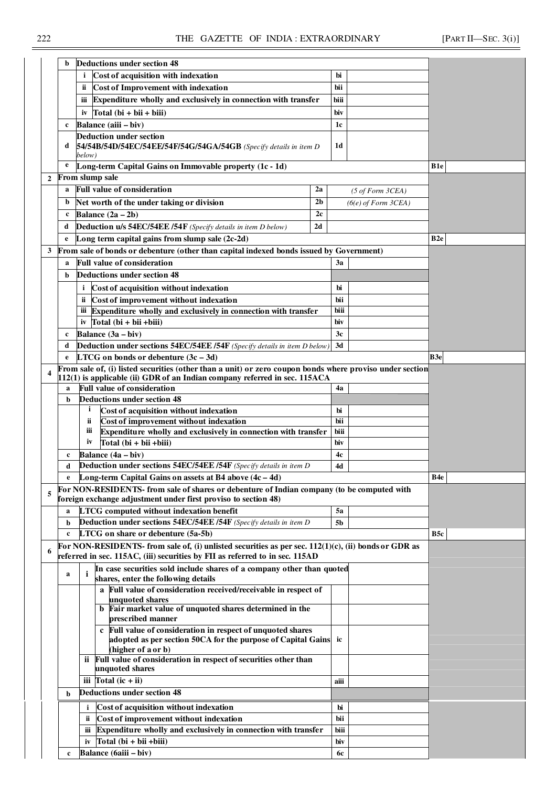|                | b            | Deductions under section 48                                                                                                                                  |                |           |                             |                 |
|----------------|--------------|--------------------------------------------------------------------------------------------------------------------------------------------------------------|----------------|-----------|-----------------------------|-----------------|
|                |              | Cost of acquisition with indexation                                                                                                                          |                | bi        |                             |                 |
|                |              | ii<br>Cost of Improvement with indexation                                                                                                                    |                | bii       |                             |                 |
|                |              | Expenditure wholly and exclusively in connection with transfer<br>iii                                                                                        |                | biii      |                             |                 |
|                |              | $Total (bi + bi + bi)$<br>iv                                                                                                                                 |                | biv       |                             |                 |
|                |              | Balance (aiii - biv)                                                                                                                                         |                |           |                             |                 |
|                | c            |                                                                                                                                                              |                | 1c        |                             |                 |
|                | d            | Deduction under section<br>54/54B/54D/54EC/54EE/54F/54G/54GA/54GB (Specify details in item D                                                                 |                | 1d        |                             |                 |
|                |              | below)                                                                                                                                                       |                |           |                             |                 |
|                | e            | Long-term Capital Gains on Immovable property (1c - 1d)                                                                                                      |                |           |                             | B1e             |
| $\overline{2}$ |              | From slump sale                                                                                                                                              |                |           |                             |                 |
|                | a            | <b>Full value of consideration</b>                                                                                                                           | 2a             |           | $(5 \text{ of Form } 3CEA)$ |                 |
|                | b            | Net worth of the under taking or division                                                                                                                    | 2 <sub>b</sub> |           |                             |                 |
|                | c            | Balance $(2a - 2b)$                                                                                                                                          | 2c             |           | $(6(e)$ of Form $3CEA)$     |                 |
|                |              |                                                                                                                                                              |                |           |                             |                 |
|                | d            | Deduction u/s 54EC/54EE /54F (Specify details in item D below)                                                                                               | 2d             |           |                             |                 |
|                | e            | Long term capital gains from slump sale (2c-2d)                                                                                                              |                |           |                             | B <sub>2e</sub> |
| 3              |              | From sale of bonds or debenture (other than capital indexed bonds issued by Government)                                                                      |                |           |                             |                 |
|                | a            | <b>Full value of consideration</b>                                                                                                                           |                | 3a        |                             |                 |
|                | b            | Deductions under section 48                                                                                                                                  |                |           |                             |                 |
|                |              | Cost of acquisition without indexation<br>$\mathbf{i}$                                                                                                       |                | bi        |                             |                 |
|                |              | Cost of improvement without indexation<br>ü                                                                                                                  |                | bii       |                             |                 |
|                |              | Expenditure wholly and exclusively in connection with transfer<br>ііі                                                                                        |                | biii      |                             |                 |
|                |              | $Total (bi + bii + biii)$<br>iv                                                                                                                              |                | biv       |                             |                 |
|                | c            | Balance (3a – biv)                                                                                                                                           |                | 3c        |                             |                 |
|                | d            | <b>Deduction under sections 54EC/54EE /54F</b> (Specify details in item D below)                                                                             |                | 3d        |                             |                 |
|                | $\mathbf{e}$ | <b>LTCG</b> on bonds or debenture $(3c - 3d)$                                                                                                                |                |           |                             | B3e             |
|                |              | From sale of, (i) listed securities (other than a unit) or zero coupon bonds where proviso under section                                                     |                |           |                             |                 |
|                |              | 112(1) is applicable (ii) GDR of an Indian company referred in sec. 115ACA                                                                                   |                |           |                             |                 |
|                | $\mathbf a$  | <b>Full value of consideration</b>                                                                                                                           |                | 4a        |                             |                 |
|                | b            | <b>Deductions under section 48</b>                                                                                                                           |                |           |                             |                 |
|                |              | Cost of acquisition without indexation<br>i                                                                                                                  |                | bi        |                             |                 |
|                |              | ii<br>Cost of improvement without indexation                                                                                                                 |                | bii       |                             |                 |
|                |              | iii<br>Expenditure wholly and exclusively in connection with transfer                                                                                        |                | biii      |                             |                 |
|                |              | iv<br>$Total (bi + bii + biii)$                                                                                                                              |                | biv       |                             |                 |
|                | $\mathbf c$  | Balance $(4a - biv)$                                                                                                                                         |                | 4c        |                             |                 |
|                | d            | Deduction under sections 54EC/54EE /54F (Specify details in item D                                                                                           |                | 4d        |                             |                 |
|                |              | Long-term Capital Gains on assets at B4 above (4c - 4d)                                                                                                      |                |           |                             | B4e             |
| 5              |              | For NON-RESIDENTS- from sale of shares or debenture of Indian company (to be computed with<br>foreign exchange adjustment under first proviso to section 48) |                |           |                             |                 |
|                | a            | LTCG computed without indexation benefit                                                                                                                     |                | <b>5a</b> |                             |                 |
|                | b            | <b>Deduction under sections 54EC/54EE /54F</b> (Specify details in item D)                                                                                   |                | 5b        |                             |                 |
|                | $\mathbf c$  | LTCG on share or debenture (5a-5b)                                                                                                                           |                |           |                             | B5c             |
|                |              | For NON-RESIDENTS- from sale of, (i) unlisted securities as per sec. $112(1)(c)$ , (ii) bonds or GDR as                                                      |                |           |                             |                 |
|                |              | referred in sec. 115AC, (iii) securities by FII as referred to in sec. 115AD                                                                                 |                |           |                             |                 |
|                | $\bf{a}$     | In case securities sold include shares of a company other than quoted<br>i<br>shares, enter the following details                                            |                |           |                             |                 |
|                |              | a Full value of consideration received/receivable in respect of                                                                                              |                |           |                             |                 |
|                |              | unquoted shares                                                                                                                                              |                |           |                             |                 |
|                |              | b Fair market value of unquoted shares determined in the<br>prescribed manner                                                                                |                |           |                             |                 |
|                |              | Full value of consideration in respect of unquoted shares<br>$\mathbf c$                                                                                     |                |           |                             |                 |
|                |              | adopted as per section 50CA for the purpose of Capital Gains ic                                                                                              |                |           |                             |                 |
|                |              | (higher of a or b)                                                                                                                                           |                |           |                             |                 |
|                |              | ii Full value of consideration in respect of securities other than                                                                                           |                |           |                             |                 |
|                |              | unquoted shares                                                                                                                                              |                |           |                             |                 |
|                |              | iii $\Delta$ Total (ic + ii)                                                                                                                                 |                | aiii      |                             |                 |
|                | b            | <b>Deductions under section 48</b>                                                                                                                           |                |           |                             |                 |
|                |              | Cost of acquisition without indexation<br>i.                                                                                                                 | bi             |           |                             |                 |
|                |              | Cost of improvement without indexation<br>ii.                                                                                                                |                | bii       |                             |                 |
|                |              | Expenditure wholly and exclusively in connection with transfer<br>ш                                                                                          |                | biii      |                             |                 |
|                |              | Total $(bi + bii + biii)$<br>iv                                                                                                                              |                | biv       |                             |                 |
|                | c            | Balance (6aiii - biv)                                                                                                                                        |                | 6c        |                             |                 |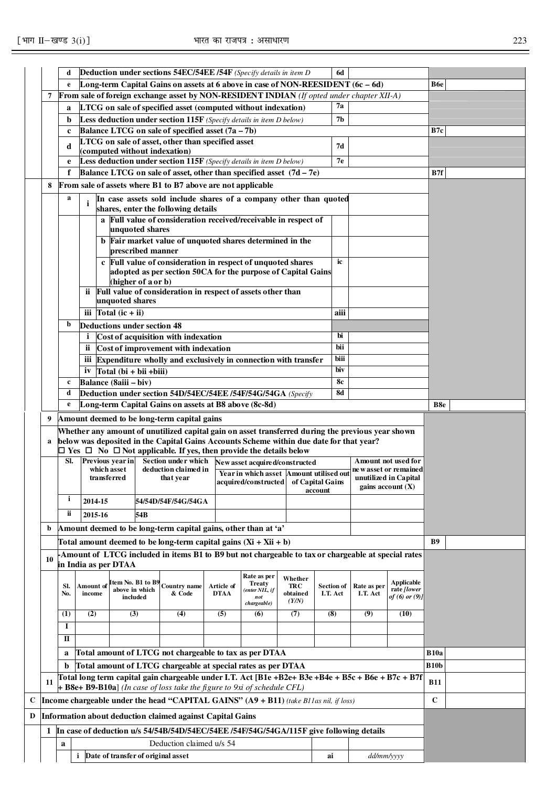| Long-term Capital Gains on assets at 6 above in case of NON-REESIDENT (6c - 6d)<br>$\mathbf{e}$<br>From sale of foreign exchange asset by NON-RESIDENT INDIAN (If opted under chapter XII-A)<br>7<br>7а<br>LTCG on sale of specified asset (computed without indexation)<br>a<br>Less deduction under section 115F (Specify details in item D below)<br>7 <sub>b</sub><br>b<br>Balance LTCG on sale of specified asset (7a - 7b)<br>B7c<br>$\mathbf c$<br>LTCG on sale of asset, other than specified asset<br>7d<br>d<br>(computed without indexation)<br>Less deduction under section 115F (Specify details in item D below)<br>7e<br>e<br>Balance LTCG on sale of asset, other than specified asset $(7d - 7e)$<br>B7f<br>f<br>From sale of assets where B1 to B7 above are not applicable<br>8<br>a<br>In case assets sold include shares of a company other than quoted<br>i<br>shares, enter the following details<br>a Full value of consideration received/receivable in respect of<br>unquoted shares<br>b Fair market value of unquoted shares determined in the<br>prescribed manner<br>c Full value of consideration in respect of unquoted shares<br>ic<br>adopted as per section 50CA for the purpose of Capital Gains<br>(higher of a or b)<br>ii Full value of consideration in respect of assets other than<br>unquoted shares<br>iii $\text{Total}$ (ic + ii)<br>aiii<br>b<br><b>Deductions under section 48</b><br>Cost of acquisition with indexation<br>bi<br>1<br>bii<br>ii Cost of improvement with indexation<br>biii<br>iii Expenditure wholly and exclusively in connection with transfer<br>iv $\text{Total}(\text{bi} + \text{bii} + \text{biii})$<br>biv<br>Balance (8aiii - biv)<br>8с<br>$\mathbf{c}$<br>Deduction under section 54D/54EC/54EE /54F/54G/54GA (Specify<br>8d<br>d<br>Long-term Capital Gains on assets at B8 above (8c-8d)<br>e<br>B8e<br>Amount deemed to be long-term capital gains<br>9<br>Whether any amount of unutilized capital gain on asset transferred during the previous year shown<br>below was deposited in the Capital Gains Accounts Scheme within due date for that year?<br>a<br>$\Box$ Yes $\Box$ No $\Box$ Not applicable. If yes, then provide the details below<br>Previous year in<br>Section under which<br>SI.<br>Amount not used for<br>New asset acquired/constructed<br>which asset<br>deduction claimed in<br>new asset or remained<br>Year in which asset Amount utilised out<br>transferred<br>unutilized in Capital<br>that year<br>acquired/constructed of Capital Gains<br>gains account $(X)$<br>account<br>i<br>2014-15<br>54/54D/54F/54G/54GA<br>ii.<br>2015-16<br>54B<br>Amount deemed to be long-term capital gains, other than at 'a'<br>b<br><b>B9</b><br>Total amount deemed to be long-term capital gains $(Xi + Xii + b)$<br>Amount of LTCG included in items B1 to B9 but not chargeable to tax or chargeable at special rates<br>10<br>in India as per DTAA<br>Rate as per<br>Whether<br><b>Applicable</b><br>Item No. B1 to B9<br><b>Treaty</b><br><b>Country</b> name<br>Article of<br><b>TRC</b><br>Rate as per<br>SI.<br><b>Section of</b><br>Amount of<br>rate [lower<br>above in which<br>(enter NIL, if<br>income<br>& Code<br><b>DTAA</b><br>obtained<br>I.T. Act<br>I.T. Act<br>No.<br>of (6) or (9)]<br>included<br>not<br>(Y/N)<br>chargeable)<br>(2)<br>(3)<br>(4)<br>(5)<br>(7)<br>(9)<br>(6)<br>(8)<br>(10)<br>(1)<br>-1<br>П<br>Total amount of LTCG not chargeable to tax as per DTAA<br><b>B10a</b><br>a<br>Total amount of LTCG chargeable at special rates as per DTAA<br><b>B10b</b><br>Total long term capital gain chargeable under I.T. Act [B1e +B2e+ B3e +B4e + B5c + B6e + B7c + B7f<br><b>B11</b><br>11<br>$+$ B8e+ B9-B10a] (In case of loss take the figure to 9xi of schedule CFL)<br><b>Income chargeable under the head "CAPITAL GAINS" (A9 + B11)</b> (take B11as nil, if loss)<br>C<br>C<br>D Information about deduction claimed against Capital Gains<br>1 In case of deduction u/s 54/54B/54D/54EC/54EE /54F/54G/54GA/115F give following details<br>Deduction claimed u/s 54<br>a<br>Date of transfer of original asset<br>i<br>ai<br>dd/mm/yyyy |  |  | Deduction under sections 54EC/54EE /54F (Specify details in item D<br>d<br>6d |  |  |  |  |  |  |  |  |  |  |            |  |
|------------------------------------------------------------------------------------------------------------------------------------------------------------------------------------------------------------------------------------------------------------------------------------------------------------------------------------------------------------------------------------------------------------------------------------------------------------------------------------------------------------------------------------------------------------------------------------------------------------------------------------------------------------------------------------------------------------------------------------------------------------------------------------------------------------------------------------------------------------------------------------------------------------------------------------------------------------------------------------------------------------------------------------------------------------------------------------------------------------------------------------------------------------------------------------------------------------------------------------------------------------------------------------------------------------------------------------------------------------------------------------------------------------------------------------------------------------------------------------------------------------------------------------------------------------------------------------------------------------------------------------------------------------------------------------------------------------------------------------------------------------------------------------------------------------------------------------------------------------------------------------------------------------------------------------------------------------------------------------------------------------------------------------------------------------------------------------------------------------------------------------------------------------------------------------------------------------------------------------------------------------------------------------------------------------------------------------------------------------------------------------------------------------------------------------------------------------------------------------------------------------------------------------------------------------------------------------------------------------------------------------------------------------------------------------------------------------------------------------------------------------------------------------------------------------------------------------------------------------------------------------------------------------------------------------------------------------------------------------------------------------------------------------------------------------------------------------------------------------------------------------------------------------------------------------------------------------------------------------------------------------------------------------------------------------------------------------------------------------------------------------------------------------------------------------------------------------------------------------------------------------------------------------------------------------------------------------------------------------------------------------------------------------------------------------------------------------------------------------------------------------------------------------------------------------------------------------------------------------------------------------------------------------------------------------------------------------------------------------------------------------------------------------------------------------------------------------------------------------------------------------------------------------------------------------|--|--|-------------------------------------------------------------------------------|--|--|--|--|--|--|--|--|--|--|------------|--|
|                                                                                                                                                                                                                                                                                                                                                                                                                                                                                                                                                                                                                                                                                                                                                                                                                                                                                                                                                                                                                                                                                                                                                                                                                                                                                                                                                                                                                                                                                                                                                                                                                                                                                                                                                                                                                                                                                                                                                                                                                                                                                                                                                                                                                                                                                                                                                                                                                                                                                                                                                                                                                                                                                                                                                                                                                                                                                                                                                                                                                                                                                                                                                                                                                                                                                                                                                                                                                                                                                                                                                                                                                                                                                                                                                                                                                                                                                                                                                                                                                                                                                                                                                                                    |  |  |                                                                               |  |  |  |  |  |  |  |  |  |  | <b>B6e</b> |  |
|                                                                                                                                                                                                                                                                                                                                                                                                                                                                                                                                                                                                                                                                                                                                                                                                                                                                                                                                                                                                                                                                                                                                                                                                                                                                                                                                                                                                                                                                                                                                                                                                                                                                                                                                                                                                                                                                                                                                                                                                                                                                                                                                                                                                                                                                                                                                                                                                                                                                                                                                                                                                                                                                                                                                                                                                                                                                                                                                                                                                                                                                                                                                                                                                                                                                                                                                                                                                                                                                                                                                                                                                                                                                                                                                                                                                                                                                                                                                                                                                                                                                                                                                                                                    |  |  |                                                                               |  |  |  |  |  |  |  |  |  |  |            |  |
|                                                                                                                                                                                                                                                                                                                                                                                                                                                                                                                                                                                                                                                                                                                                                                                                                                                                                                                                                                                                                                                                                                                                                                                                                                                                                                                                                                                                                                                                                                                                                                                                                                                                                                                                                                                                                                                                                                                                                                                                                                                                                                                                                                                                                                                                                                                                                                                                                                                                                                                                                                                                                                                                                                                                                                                                                                                                                                                                                                                                                                                                                                                                                                                                                                                                                                                                                                                                                                                                                                                                                                                                                                                                                                                                                                                                                                                                                                                                                                                                                                                                                                                                                                                    |  |  |                                                                               |  |  |  |  |  |  |  |  |  |  |            |  |
|                                                                                                                                                                                                                                                                                                                                                                                                                                                                                                                                                                                                                                                                                                                                                                                                                                                                                                                                                                                                                                                                                                                                                                                                                                                                                                                                                                                                                                                                                                                                                                                                                                                                                                                                                                                                                                                                                                                                                                                                                                                                                                                                                                                                                                                                                                                                                                                                                                                                                                                                                                                                                                                                                                                                                                                                                                                                                                                                                                                                                                                                                                                                                                                                                                                                                                                                                                                                                                                                                                                                                                                                                                                                                                                                                                                                                                                                                                                                                                                                                                                                                                                                                                                    |  |  |                                                                               |  |  |  |  |  |  |  |  |  |  |            |  |
|                                                                                                                                                                                                                                                                                                                                                                                                                                                                                                                                                                                                                                                                                                                                                                                                                                                                                                                                                                                                                                                                                                                                                                                                                                                                                                                                                                                                                                                                                                                                                                                                                                                                                                                                                                                                                                                                                                                                                                                                                                                                                                                                                                                                                                                                                                                                                                                                                                                                                                                                                                                                                                                                                                                                                                                                                                                                                                                                                                                                                                                                                                                                                                                                                                                                                                                                                                                                                                                                                                                                                                                                                                                                                                                                                                                                                                                                                                                                                                                                                                                                                                                                                                                    |  |  |                                                                               |  |  |  |  |  |  |  |  |  |  |            |  |
|                                                                                                                                                                                                                                                                                                                                                                                                                                                                                                                                                                                                                                                                                                                                                                                                                                                                                                                                                                                                                                                                                                                                                                                                                                                                                                                                                                                                                                                                                                                                                                                                                                                                                                                                                                                                                                                                                                                                                                                                                                                                                                                                                                                                                                                                                                                                                                                                                                                                                                                                                                                                                                                                                                                                                                                                                                                                                                                                                                                                                                                                                                                                                                                                                                                                                                                                                                                                                                                                                                                                                                                                                                                                                                                                                                                                                                                                                                                                                                                                                                                                                                                                                                                    |  |  |                                                                               |  |  |  |  |  |  |  |  |  |  |            |  |
|                                                                                                                                                                                                                                                                                                                                                                                                                                                                                                                                                                                                                                                                                                                                                                                                                                                                                                                                                                                                                                                                                                                                                                                                                                                                                                                                                                                                                                                                                                                                                                                                                                                                                                                                                                                                                                                                                                                                                                                                                                                                                                                                                                                                                                                                                                                                                                                                                                                                                                                                                                                                                                                                                                                                                                                                                                                                                                                                                                                                                                                                                                                                                                                                                                                                                                                                                                                                                                                                                                                                                                                                                                                                                                                                                                                                                                                                                                                                                                                                                                                                                                                                                                                    |  |  |                                                                               |  |  |  |  |  |  |  |  |  |  |            |  |
|                                                                                                                                                                                                                                                                                                                                                                                                                                                                                                                                                                                                                                                                                                                                                                                                                                                                                                                                                                                                                                                                                                                                                                                                                                                                                                                                                                                                                                                                                                                                                                                                                                                                                                                                                                                                                                                                                                                                                                                                                                                                                                                                                                                                                                                                                                                                                                                                                                                                                                                                                                                                                                                                                                                                                                                                                                                                                                                                                                                                                                                                                                                                                                                                                                                                                                                                                                                                                                                                                                                                                                                                                                                                                                                                                                                                                                                                                                                                                                                                                                                                                                                                                                                    |  |  |                                                                               |  |  |  |  |  |  |  |  |  |  |            |  |
|                                                                                                                                                                                                                                                                                                                                                                                                                                                                                                                                                                                                                                                                                                                                                                                                                                                                                                                                                                                                                                                                                                                                                                                                                                                                                                                                                                                                                                                                                                                                                                                                                                                                                                                                                                                                                                                                                                                                                                                                                                                                                                                                                                                                                                                                                                                                                                                                                                                                                                                                                                                                                                                                                                                                                                                                                                                                                                                                                                                                                                                                                                                                                                                                                                                                                                                                                                                                                                                                                                                                                                                                                                                                                                                                                                                                                                                                                                                                                                                                                                                                                                                                                                                    |  |  |                                                                               |  |  |  |  |  |  |  |  |  |  |            |  |
|                                                                                                                                                                                                                                                                                                                                                                                                                                                                                                                                                                                                                                                                                                                                                                                                                                                                                                                                                                                                                                                                                                                                                                                                                                                                                                                                                                                                                                                                                                                                                                                                                                                                                                                                                                                                                                                                                                                                                                                                                                                                                                                                                                                                                                                                                                                                                                                                                                                                                                                                                                                                                                                                                                                                                                                                                                                                                                                                                                                                                                                                                                                                                                                                                                                                                                                                                                                                                                                                                                                                                                                                                                                                                                                                                                                                                                                                                                                                                                                                                                                                                                                                                                                    |  |  |                                                                               |  |  |  |  |  |  |  |  |  |  |            |  |
|                                                                                                                                                                                                                                                                                                                                                                                                                                                                                                                                                                                                                                                                                                                                                                                                                                                                                                                                                                                                                                                                                                                                                                                                                                                                                                                                                                                                                                                                                                                                                                                                                                                                                                                                                                                                                                                                                                                                                                                                                                                                                                                                                                                                                                                                                                                                                                                                                                                                                                                                                                                                                                                                                                                                                                                                                                                                                                                                                                                                                                                                                                                                                                                                                                                                                                                                                                                                                                                                                                                                                                                                                                                                                                                                                                                                                                                                                                                                                                                                                                                                                                                                                                                    |  |  |                                                                               |  |  |  |  |  |  |  |  |  |  |            |  |
|                                                                                                                                                                                                                                                                                                                                                                                                                                                                                                                                                                                                                                                                                                                                                                                                                                                                                                                                                                                                                                                                                                                                                                                                                                                                                                                                                                                                                                                                                                                                                                                                                                                                                                                                                                                                                                                                                                                                                                                                                                                                                                                                                                                                                                                                                                                                                                                                                                                                                                                                                                                                                                                                                                                                                                                                                                                                                                                                                                                                                                                                                                                                                                                                                                                                                                                                                                                                                                                                                                                                                                                                                                                                                                                                                                                                                                                                                                                                                                                                                                                                                                                                                                                    |  |  |                                                                               |  |  |  |  |  |  |  |  |  |  |            |  |
|                                                                                                                                                                                                                                                                                                                                                                                                                                                                                                                                                                                                                                                                                                                                                                                                                                                                                                                                                                                                                                                                                                                                                                                                                                                                                                                                                                                                                                                                                                                                                                                                                                                                                                                                                                                                                                                                                                                                                                                                                                                                                                                                                                                                                                                                                                                                                                                                                                                                                                                                                                                                                                                                                                                                                                                                                                                                                                                                                                                                                                                                                                                                                                                                                                                                                                                                                                                                                                                                                                                                                                                                                                                                                                                                                                                                                                                                                                                                                                                                                                                                                                                                                                                    |  |  |                                                                               |  |  |  |  |  |  |  |  |  |  |            |  |
|                                                                                                                                                                                                                                                                                                                                                                                                                                                                                                                                                                                                                                                                                                                                                                                                                                                                                                                                                                                                                                                                                                                                                                                                                                                                                                                                                                                                                                                                                                                                                                                                                                                                                                                                                                                                                                                                                                                                                                                                                                                                                                                                                                                                                                                                                                                                                                                                                                                                                                                                                                                                                                                                                                                                                                                                                                                                                                                                                                                                                                                                                                                                                                                                                                                                                                                                                                                                                                                                                                                                                                                                                                                                                                                                                                                                                                                                                                                                                                                                                                                                                                                                                                                    |  |  |                                                                               |  |  |  |  |  |  |  |  |  |  |            |  |
|                                                                                                                                                                                                                                                                                                                                                                                                                                                                                                                                                                                                                                                                                                                                                                                                                                                                                                                                                                                                                                                                                                                                                                                                                                                                                                                                                                                                                                                                                                                                                                                                                                                                                                                                                                                                                                                                                                                                                                                                                                                                                                                                                                                                                                                                                                                                                                                                                                                                                                                                                                                                                                                                                                                                                                                                                                                                                                                                                                                                                                                                                                                                                                                                                                                                                                                                                                                                                                                                                                                                                                                                                                                                                                                                                                                                                                                                                                                                                                                                                                                                                                                                                                                    |  |  |                                                                               |  |  |  |  |  |  |  |  |  |  |            |  |
|                                                                                                                                                                                                                                                                                                                                                                                                                                                                                                                                                                                                                                                                                                                                                                                                                                                                                                                                                                                                                                                                                                                                                                                                                                                                                                                                                                                                                                                                                                                                                                                                                                                                                                                                                                                                                                                                                                                                                                                                                                                                                                                                                                                                                                                                                                                                                                                                                                                                                                                                                                                                                                                                                                                                                                                                                                                                                                                                                                                                                                                                                                                                                                                                                                                                                                                                                                                                                                                                                                                                                                                                                                                                                                                                                                                                                                                                                                                                                                                                                                                                                                                                                                                    |  |  |                                                                               |  |  |  |  |  |  |  |  |  |  |            |  |
|                                                                                                                                                                                                                                                                                                                                                                                                                                                                                                                                                                                                                                                                                                                                                                                                                                                                                                                                                                                                                                                                                                                                                                                                                                                                                                                                                                                                                                                                                                                                                                                                                                                                                                                                                                                                                                                                                                                                                                                                                                                                                                                                                                                                                                                                                                                                                                                                                                                                                                                                                                                                                                                                                                                                                                                                                                                                                                                                                                                                                                                                                                                                                                                                                                                                                                                                                                                                                                                                                                                                                                                                                                                                                                                                                                                                                                                                                                                                                                                                                                                                                                                                                                                    |  |  |                                                                               |  |  |  |  |  |  |  |  |  |  |            |  |
|                                                                                                                                                                                                                                                                                                                                                                                                                                                                                                                                                                                                                                                                                                                                                                                                                                                                                                                                                                                                                                                                                                                                                                                                                                                                                                                                                                                                                                                                                                                                                                                                                                                                                                                                                                                                                                                                                                                                                                                                                                                                                                                                                                                                                                                                                                                                                                                                                                                                                                                                                                                                                                                                                                                                                                                                                                                                                                                                                                                                                                                                                                                                                                                                                                                                                                                                                                                                                                                                                                                                                                                                                                                                                                                                                                                                                                                                                                                                                                                                                                                                                                                                                                                    |  |  |                                                                               |  |  |  |  |  |  |  |  |  |  |            |  |
|                                                                                                                                                                                                                                                                                                                                                                                                                                                                                                                                                                                                                                                                                                                                                                                                                                                                                                                                                                                                                                                                                                                                                                                                                                                                                                                                                                                                                                                                                                                                                                                                                                                                                                                                                                                                                                                                                                                                                                                                                                                                                                                                                                                                                                                                                                                                                                                                                                                                                                                                                                                                                                                                                                                                                                                                                                                                                                                                                                                                                                                                                                                                                                                                                                                                                                                                                                                                                                                                                                                                                                                                                                                                                                                                                                                                                                                                                                                                                                                                                                                                                                                                                                                    |  |  |                                                                               |  |  |  |  |  |  |  |  |  |  |            |  |
|                                                                                                                                                                                                                                                                                                                                                                                                                                                                                                                                                                                                                                                                                                                                                                                                                                                                                                                                                                                                                                                                                                                                                                                                                                                                                                                                                                                                                                                                                                                                                                                                                                                                                                                                                                                                                                                                                                                                                                                                                                                                                                                                                                                                                                                                                                                                                                                                                                                                                                                                                                                                                                                                                                                                                                                                                                                                                                                                                                                                                                                                                                                                                                                                                                                                                                                                                                                                                                                                                                                                                                                                                                                                                                                                                                                                                                                                                                                                                                                                                                                                                                                                                                                    |  |  |                                                                               |  |  |  |  |  |  |  |  |  |  |            |  |
|                                                                                                                                                                                                                                                                                                                                                                                                                                                                                                                                                                                                                                                                                                                                                                                                                                                                                                                                                                                                                                                                                                                                                                                                                                                                                                                                                                                                                                                                                                                                                                                                                                                                                                                                                                                                                                                                                                                                                                                                                                                                                                                                                                                                                                                                                                                                                                                                                                                                                                                                                                                                                                                                                                                                                                                                                                                                                                                                                                                                                                                                                                                                                                                                                                                                                                                                                                                                                                                                                                                                                                                                                                                                                                                                                                                                                                                                                                                                                                                                                                                                                                                                                                                    |  |  |                                                                               |  |  |  |  |  |  |  |  |  |  |            |  |
|                                                                                                                                                                                                                                                                                                                                                                                                                                                                                                                                                                                                                                                                                                                                                                                                                                                                                                                                                                                                                                                                                                                                                                                                                                                                                                                                                                                                                                                                                                                                                                                                                                                                                                                                                                                                                                                                                                                                                                                                                                                                                                                                                                                                                                                                                                                                                                                                                                                                                                                                                                                                                                                                                                                                                                                                                                                                                                                                                                                                                                                                                                                                                                                                                                                                                                                                                                                                                                                                                                                                                                                                                                                                                                                                                                                                                                                                                                                                                                                                                                                                                                                                                                                    |  |  |                                                                               |  |  |  |  |  |  |  |  |  |  |            |  |
|                                                                                                                                                                                                                                                                                                                                                                                                                                                                                                                                                                                                                                                                                                                                                                                                                                                                                                                                                                                                                                                                                                                                                                                                                                                                                                                                                                                                                                                                                                                                                                                                                                                                                                                                                                                                                                                                                                                                                                                                                                                                                                                                                                                                                                                                                                                                                                                                                                                                                                                                                                                                                                                                                                                                                                                                                                                                                                                                                                                                                                                                                                                                                                                                                                                                                                                                                                                                                                                                                                                                                                                                                                                                                                                                                                                                                                                                                                                                                                                                                                                                                                                                                                                    |  |  |                                                                               |  |  |  |  |  |  |  |  |  |  |            |  |
|                                                                                                                                                                                                                                                                                                                                                                                                                                                                                                                                                                                                                                                                                                                                                                                                                                                                                                                                                                                                                                                                                                                                                                                                                                                                                                                                                                                                                                                                                                                                                                                                                                                                                                                                                                                                                                                                                                                                                                                                                                                                                                                                                                                                                                                                                                                                                                                                                                                                                                                                                                                                                                                                                                                                                                                                                                                                                                                                                                                                                                                                                                                                                                                                                                                                                                                                                                                                                                                                                                                                                                                                                                                                                                                                                                                                                                                                                                                                                                                                                                                                                                                                                                                    |  |  |                                                                               |  |  |  |  |  |  |  |  |  |  |            |  |
|                                                                                                                                                                                                                                                                                                                                                                                                                                                                                                                                                                                                                                                                                                                                                                                                                                                                                                                                                                                                                                                                                                                                                                                                                                                                                                                                                                                                                                                                                                                                                                                                                                                                                                                                                                                                                                                                                                                                                                                                                                                                                                                                                                                                                                                                                                                                                                                                                                                                                                                                                                                                                                                                                                                                                                                                                                                                                                                                                                                                                                                                                                                                                                                                                                                                                                                                                                                                                                                                                                                                                                                                                                                                                                                                                                                                                                                                                                                                                                                                                                                                                                                                                                                    |  |  |                                                                               |  |  |  |  |  |  |  |  |  |  |            |  |
|                                                                                                                                                                                                                                                                                                                                                                                                                                                                                                                                                                                                                                                                                                                                                                                                                                                                                                                                                                                                                                                                                                                                                                                                                                                                                                                                                                                                                                                                                                                                                                                                                                                                                                                                                                                                                                                                                                                                                                                                                                                                                                                                                                                                                                                                                                                                                                                                                                                                                                                                                                                                                                                                                                                                                                                                                                                                                                                                                                                                                                                                                                                                                                                                                                                                                                                                                                                                                                                                                                                                                                                                                                                                                                                                                                                                                                                                                                                                                                                                                                                                                                                                                                                    |  |  |                                                                               |  |  |  |  |  |  |  |  |  |  |            |  |
|                                                                                                                                                                                                                                                                                                                                                                                                                                                                                                                                                                                                                                                                                                                                                                                                                                                                                                                                                                                                                                                                                                                                                                                                                                                                                                                                                                                                                                                                                                                                                                                                                                                                                                                                                                                                                                                                                                                                                                                                                                                                                                                                                                                                                                                                                                                                                                                                                                                                                                                                                                                                                                                                                                                                                                                                                                                                                                                                                                                                                                                                                                                                                                                                                                                                                                                                                                                                                                                                                                                                                                                                                                                                                                                                                                                                                                                                                                                                                                                                                                                                                                                                                                                    |  |  |                                                                               |  |  |  |  |  |  |  |  |  |  |            |  |
|                                                                                                                                                                                                                                                                                                                                                                                                                                                                                                                                                                                                                                                                                                                                                                                                                                                                                                                                                                                                                                                                                                                                                                                                                                                                                                                                                                                                                                                                                                                                                                                                                                                                                                                                                                                                                                                                                                                                                                                                                                                                                                                                                                                                                                                                                                                                                                                                                                                                                                                                                                                                                                                                                                                                                                                                                                                                                                                                                                                                                                                                                                                                                                                                                                                                                                                                                                                                                                                                                                                                                                                                                                                                                                                                                                                                                                                                                                                                                                                                                                                                                                                                                                                    |  |  |                                                                               |  |  |  |  |  |  |  |  |  |  |            |  |
|                                                                                                                                                                                                                                                                                                                                                                                                                                                                                                                                                                                                                                                                                                                                                                                                                                                                                                                                                                                                                                                                                                                                                                                                                                                                                                                                                                                                                                                                                                                                                                                                                                                                                                                                                                                                                                                                                                                                                                                                                                                                                                                                                                                                                                                                                                                                                                                                                                                                                                                                                                                                                                                                                                                                                                                                                                                                                                                                                                                                                                                                                                                                                                                                                                                                                                                                                                                                                                                                                                                                                                                                                                                                                                                                                                                                                                                                                                                                                                                                                                                                                                                                                                                    |  |  |                                                                               |  |  |  |  |  |  |  |  |  |  |            |  |
|                                                                                                                                                                                                                                                                                                                                                                                                                                                                                                                                                                                                                                                                                                                                                                                                                                                                                                                                                                                                                                                                                                                                                                                                                                                                                                                                                                                                                                                                                                                                                                                                                                                                                                                                                                                                                                                                                                                                                                                                                                                                                                                                                                                                                                                                                                                                                                                                                                                                                                                                                                                                                                                                                                                                                                                                                                                                                                                                                                                                                                                                                                                                                                                                                                                                                                                                                                                                                                                                                                                                                                                                                                                                                                                                                                                                                                                                                                                                                                                                                                                                                                                                                                                    |  |  |                                                                               |  |  |  |  |  |  |  |  |  |  |            |  |
|                                                                                                                                                                                                                                                                                                                                                                                                                                                                                                                                                                                                                                                                                                                                                                                                                                                                                                                                                                                                                                                                                                                                                                                                                                                                                                                                                                                                                                                                                                                                                                                                                                                                                                                                                                                                                                                                                                                                                                                                                                                                                                                                                                                                                                                                                                                                                                                                                                                                                                                                                                                                                                                                                                                                                                                                                                                                                                                                                                                                                                                                                                                                                                                                                                                                                                                                                                                                                                                                                                                                                                                                                                                                                                                                                                                                                                                                                                                                                                                                                                                                                                                                                                                    |  |  |                                                                               |  |  |  |  |  |  |  |  |  |  |            |  |
|                                                                                                                                                                                                                                                                                                                                                                                                                                                                                                                                                                                                                                                                                                                                                                                                                                                                                                                                                                                                                                                                                                                                                                                                                                                                                                                                                                                                                                                                                                                                                                                                                                                                                                                                                                                                                                                                                                                                                                                                                                                                                                                                                                                                                                                                                                                                                                                                                                                                                                                                                                                                                                                                                                                                                                                                                                                                                                                                                                                                                                                                                                                                                                                                                                                                                                                                                                                                                                                                                                                                                                                                                                                                                                                                                                                                                                                                                                                                                                                                                                                                                                                                                                                    |  |  |                                                                               |  |  |  |  |  |  |  |  |  |  |            |  |
|                                                                                                                                                                                                                                                                                                                                                                                                                                                                                                                                                                                                                                                                                                                                                                                                                                                                                                                                                                                                                                                                                                                                                                                                                                                                                                                                                                                                                                                                                                                                                                                                                                                                                                                                                                                                                                                                                                                                                                                                                                                                                                                                                                                                                                                                                                                                                                                                                                                                                                                                                                                                                                                                                                                                                                                                                                                                                                                                                                                                                                                                                                                                                                                                                                                                                                                                                                                                                                                                                                                                                                                                                                                                                                                                                                                                                                                                                                                                                                                                                                                                                                                                                                                    |  |  |                                                                               |  |  |  |  |  |  |  |  |  |  |            |  |
|                                                                                                                                                                                                                                                                                                                                                                                                                                                                                                                                                                                                                                                                                                                                                                                                                                                                                                                                                                                                                                                                                                                                                                                                                                                                                                                                                                                                                                                                                                                                                                                                                                                                                                                                                                                                                                                                                                                                                                                                                                                                                                                                                                                                                                                                                                                                                                                                                                                                                                                                                                                                                                                                                                                                                                                                                                                                                                                                                                                                                                                                                                                                                                                                                                                                                                                                                                                                                                                                                                                                                                                                                                                                                                                                                                                                                                                                                                                                                                                                                                                                                                                                                                                    |  |  |                                                                               |  |  |  |  |  |  |  |  |  |  |            |  |
|                                                                                                                                                                                                                                                                                                                                                                                                                                                                                                                                                                                                                                                                                                                                                                                                                                                                                                                                                                                                                                                                                                                                                                                                                                                                                                                                                                                                                                                                                                                                                                                                                                                                                                                                                                                                                                                                                                                                                                                                                                                                                                                                                                                                                                                                                                                                                                                                                                                                                                                                                                                                                                                                                                                                                                                                                                                                                                                                                                                                                                                                                                                                                                                                                                                                                                                                                                                                                                                                                                                                                                                                                                                                                                                                                                                                                                                                                                                                                                                                                                                                                                                                                                                    |  |  |                                                                               |  |  |  |  |  |  |  |  |  |  |            |  |
|                                                                                                                                                                                                                                                                                                                                                                                                                                                                                                                                                                                                                                                                                                                                                                                                                                                                                                                                                                                                                                                                                                                                                                                                                                                                                                                                                                                                                                                                                                                                                                                                                                                                                                                                                                                                                                                                                                                                                                                                                                                                                                                                                                                                                                                                                                                                                                                                                                                                                                                                                                                                                                                                                                                                                                                                                                                                                                                                                                                                                                                                                                                                                                                                                                                                                                                                                                                                                                                                                                                                                                                                                                                                                                                                                                                                                                                                                                                                                                                                                                                                                                                                                                                    |  |  |                                                                               |  |  |  |  |  |  |  |  |  |  |            |  |
|                                                                                                                                                                                                                                                                                                                                                                                                                                                                                                                                                                                                                                                                                                                                                                                                                                                                                                                                                                                                                                                                                                                                                                                                                                                                                                                                                                                                                                                                                                                                                                                                                                                                                                                                                                                                                                                                                                                                                                                                                                                                                                                                                                                                                                                                                                                                                                                                                                                                                                                                                                                                                                                                                                                                                                                                                                                                                                                                                                                                                                                                                                                                                                                                                                                                                                                                                                                                                                                                                                                                                                                                                                                                                                                                                                                                                                                                                                                                                                                                                                                                                                                                                                                    |  |  |                                                                               |  |  |  |  |  |  |  |  |  |  |            |  |
|                                                                                                                                                                                                                                                                                                                                                                                                                                                                                                                                                                                                                                                                                                                                                                                                                                                                                                                                                                                                                                                                                                                                                                                                                                                                                                                                                                                                                                                                                                                                                                                                                                                                                                                                                                                                                                                                                                                                                                                                                                                                                                                                                                                                                                                                                                                                                                                                                                                                                                                                                                                                                                                                                                                                                                                                                                                                                                                                                                                                                                                                                                                                                                                                                                                                                                                                                                                                                                                                                                                                                                                                                                                                                                                                                                                                                                                                                                                                                                                                                                                                                                                                                                                    |  |  |                                                                               |  |  |  |  |  |  |  |  |  |  |            |  |
|                                                                                                                                                                                                                                                                                                                                                                                                                                                                                                                                                                                                                                                                                                                                                                                                                                                                                                                                                                                                                                                                                                                                                                                                                                                                                                                                                                                                                                                                                                                                                                                                                                                                                                                                                                                                                                                                                                                                                                                                                                                                                                                                                                                                                                                                                                                                                                                                                                                                                                                                                                                                                                                                                                                                                                                                                                                                                                                                                                                                                                                                                                                                                                                                                                                                                                                                                                                                                                                                                                                                                                                                                                                                                                                                                                                                                                                                                                                                                                                                                                                                                                                                                                                    |  |  |                                                                               |  |  |  |  |  |  |  |  |  |  |            |  |
|                                                                                                                                                                                                                                                                                                                                                                                                                                                                                                                                                                                                                                                                                                                                                                                                                                                                                                                                                                                                                                                                                                                                                                                                                                                                                                                                                                                                                                                                                                                                                                                                                                                                                                                                                                                                                                                                                                                                                                                                                                                                                                                                                                                                                                                                                                                                                                                                                                                                                                                                                                                                                                                                                                                                                                                                                                                                                                                                                                                                                                                                                                                                                                                                                                                                                                                                                                                                                                                                                                                                                                                                                                                                                                                                                                                                                                                                                                                                                                                                                                                                                                                                                                                    |  |  |                                                                               |  |  |  |  |  |  |  |  |  |  |            |  |
|                                                                                                                                                                                                                                                                                                                                                                                                                                                                                                                                                                                                                                                                                                                                                                                                                                                                                                                                                                                                                                                                                                                                                                                                                                                                                                                                                                                                                                                                                                                                                                                                                                                                                                                                                                                                                                                                                                                                                                                                                                                                                                                                                                                                                                                                                                                                                                                                                                                                                                                                                                                                                                                                                                                                                                                                                                                                                                                                                                                                                                                                                                                                                                                                                                                                                                                                                                                                                                                                                                                                                                                                                                                                                                                                                                                                                                                                                                                                                                                                                                                                                                                                                                                    |  |  |                                                                               |  |  |  |  |  |  |  |  |  |  |            |  |
|                                                                                                                                                                                                                                                                                                                                                                                                                                                                                                                                                                                                                                                                                                                                                                                                                                                                                                                                                                                                                                                                                                                                                                                                                                                                                                                                                                                                                                                                                                                                                                                                                                                                                                                                                                                                                                                                                                                                                                                                                                                                                                                                                                                                                                                                                                                                                                                                                                                                                                                                                                                                                                                                                                                                                                                                                                                                                                                                                                                                                                                                                                                                                                                                                                                                                                                                                                                                                                                                                                                                                                                                                                                                                                                                                                                                                                                                                                                                                                                                                                                                                                                                                                                    |  |  |                                                                               |  |  |  |  |  |  |  |  |  |  |            |  |
|                                                                                                                                                                                                                                                                                                                                                                                                                                                                                                                                                                                                                                                                                                                                                                                                                                                                                                                                                                                                                                                                                                                                                                                                                                                                                                                                                                                                                                                                                                                                                                                                                                                                                                                                                                                                                                                                                                                                                                                                                                                                                                                                                                                                                                                                                                                                                                                                                                                                                                                                                                                                                                                                                                                                                                                                                                                                                                                                                                                                                                                                                                                                                                                                                                                                                                                                                                                                                                                                                                                                                                                                                                                                                                                                                                                                                                                                                                                                                                                                                                                                                                                                                                                    |  |  |                                                                               |  |  |  |  |  |  |  |  |  |  |            |  |
|                                                                                                                                                                                                                                                                                                                                                                                                                                                                                                                                                                                                                                                                                                                                                                                                                                                                                                                                                                                                                                                                                                                                                                                                                                                                                                                                                                                                                                                                                                                                                                                                                                                                                                                                                                                                                                                                                                                                                                                                                                                                                                                                                                                                                                                                                                                                                                                                                                                                                                                                                                                                                                                                                                                                                                                                                                                                                                                                                                                                                                                                                                                                                                                                                                                                                                                                                                                                                                                                                                                                                                                                                                                                                                                                                                                                                                                                                                                                                                                                                                                                                                                                                                                    |  |  |                                                                               |  |  |  |  |  |  |  |  |  |  |            |  |
|                                                                                                                                                                                                                                                                                                                                                                                                                                                                                                                                                                                                                                                                                                                                                                                                                                                                                                                                                                                                                                                                                                                                                                                                                                                                                                                                                                                                                                                                                                                                                                                                                                                                                                                                                                                                                                                                                                                                                                                                                                                                                                                                                                                                                                                                                                                                                                                                                                                                                                                                                                                                                                                                                                                                                                                                                                                                                                                                                                                                                                                                                                                                                                                                                                                                                                                                                                                                                                                                                                                                                                                                                                                                                                                                                                                                                                                                                                                                                                                                                                                                                                                                                                                    |  |  |                                                                               |  |  |  |  |  |  |  |  |  |  |            |  |
|                                                                                                                                                                                                                                                                                                                                                                                                                                                                                                                                                                                                                                                                                                                                                                                                                                                                                                                                                                                                                                                                                                                                                                                                                                                                                                                                                                                                                                                                                                                                                                                                                                                                                                                                                                                                                                                                                                                                                                                                                                                                                                                                                                                                                                                                                                                                                                                                                                                                                                                                                                                                                                                                                                                                                                                                                                                                                                                                                                                                                                                                                                                                                                                                                                                                                                                                                                                                                                                                                                                                                                                                                                                                                                                                                                                                                                                                                                                                                                                                                                                                                                                                                                                    |  |  |                                                                               |  |  |  |  |  |  |  |  |  |  |            |  |
|                                                                                                                                                                                                                                                                                                                                                                                                                                                                                                                                                                                                                                                                                                                                                                                                                                                                                                                                                                                                                                                                                                                                                                                                                                                                                                                                                                                                                                                                                                                                                                                                                                                                                                                                                                                                                                                                                                                                                                                                                                                                                                                                                                                                                                                                                                                                                                                                                                                                                                                                                                                                                                                                                                                                                                                                                                                                                                                                                                                                                                                                                                                                                                                                                                                                                                                                                                                                                                                                                                                                                                                                                                                                                                                                                                                                                                                                                                                                                                                                                                                                                                                                                                                    |  |  |                                                                               |  |  |  |  |  |  |  |  |  |  |            |  |
|                                                                                                                                                                                                                                                                                                                                                                                                                                                                                                                                                                                                                                                                                                                                                                                                                                                                                                                                                                                                                                                                                                                                                                                                                                                                                                                                                                                                                                                                                                                                                                                                                                                                                                                                                                                                                                                                                                                                                                                                                                                                                                                                                                                                                                                                                                                                                                                                                                                                                                                                                                                                                                                                                                                                                                                                                                                                                                                                                                                                                                                                                                                                                                                                                                                                                                                                                                                                                                                                                                                                                                                                                                                                                                                                                                                                                                                                                                                                                                                                                                                                                                                                                                                    |  |  |                                                                               |  |  |  |  |  |  |  |  |  |  |            |  |
|                                                                                                                                                                                                                                                                                                                                                                                                                                                                                                                                                                                                                                                                                                                                                                                                                                                                                                                                                                                                                                                                                                                                                                                                                                                                                                                                                                                                                                                                                                                                                                                                                                                                                                                                                                                                                                                                                                                                                                                                                                                                                                                                                                                                                                                                                                                                                                                                                                                                                                                                                                                                                                                                                                                                                                                                                                                                                                                                                                                                                                                                                                                                                                                                                                                                                                                                                                                                                                                                                                                                                                                                                                                                                                                                                                                                                                                                                                                                                                                                                                                                                                                                                                                    |  |  |                                                                               |  |  |  |  |  |  |  |  |  |  |            |  |
|                                                                                                                                                                                                                                                                                                                                                                                                                                                                                                                                                                                                                                                                                                                                                                                                                                                                                                                                                                                                                                                                                                                                                                                                                                                                                                                                                                                                                                                                                                                                                                                                                                                                                                                                                                                                                                                                                                                                                                                                                                                                                                                                                                                                                                                                                                                                                                                                                                                                                                                                                                                                                                                                                                                                                                                                                                                                                                                                                                                                                                                                                                                                                                                                                                                                                                                                                                                                                                                                                                                                                                                                                                                                                                                                                                                                                                                                                                                                                                                                                                                                                                                                                                                    |  |  |                                                                               |  |  |  |  |  |  |  |  |  |  |            |  |
|                                                                                                                                                                                                                                                                                                                                                                                                                                                                                                                                                                                                                                                                                                                                                                                                                                                                                                                                                                                                                                                                                                                                                                                                                                                                                                                                                                                                                                                                                                                                                                                                                                                                                                                                                                                                                                                                                                                                                                                                                                                                                                                                                                                                                                                                                                                                                                                                                                                                                                                                                                                                                                                                                                                                                                                                                                                                                                                                                                                                                                                                                                                                                                                                                                                                                                                                                                                                                                                                                                                                                                                                                                                                                                                                                                                                                                                                                                                                                                                                                                                                                                                                                                                    |  |  |                                                                               |  |  |  |  |  |  |  |  |  |  |            |  |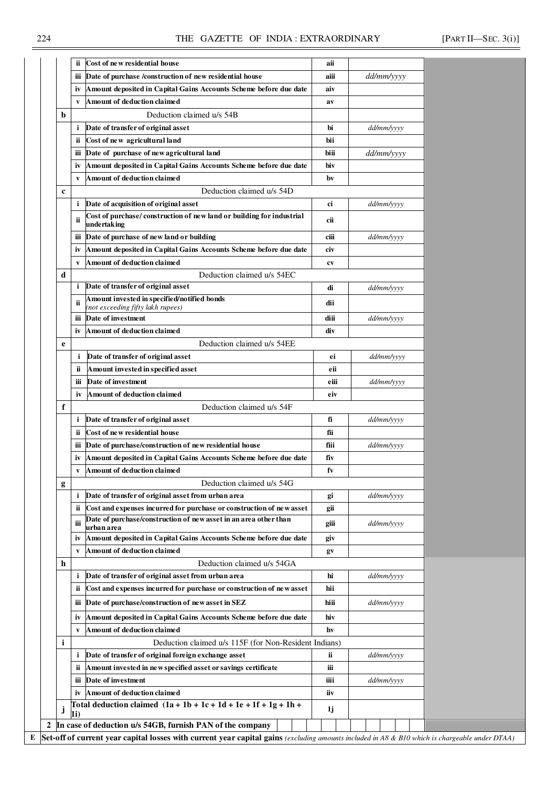### 224 THE GAZETTE OF INDIA : EXTRAORDINARY [PART II—SEC. 3(i)]

|   | ï                                 | Cost of new residential house                                                                                                            | aii         |            |  |
|---|-----------------------------------|------------------------------------------------------------------------------------------------------------------------------------------|-------------|------------|--|
|   | iіі                               | Date of purchase /construction of new residential house                                                                                  | aiii        | dd/mm/yyyy |  |
|   | iv                                | Amount deposited in Capital Gains Accounts Scheme before due date                                                                        | aiv         |            |  |
|   | V                                 | Amount of deduction claimed                                                                                                              | av          |            |  |
| b |                                   | Deduction claimed u/s 54B                                                                                                                |             |            |  |
|   | i                                 | Date of transfer of original asset                                                                                                       | bi          | dd/mm/yyyy |  |
|   | ii                                | Cost of new agricultural land                                                                                                            | bii         |            |  |
|   |                                   |                                                                                                                                          |             |            |  |
|   | іij                               | Date of purchase of new agricultural land                                                                                                | biii        | dd/mm/yyyy |  |
|   | iv                                | Amount deposited in Capital Gains Accounts Scheme before due date                                                                        | biv         |            |  |
|   | V                                 | Amount of deduction claimed                                                                                                              | bv          |            |  |
| c |                                   | Deduction claimed u/s 54D                                                                                                                |             |            |  |
|   | i                                 | Date of acquisition of original asset                                                                                                    | ci          | dd/mm/yyyy |  |
|   | ii                                | Cost of purchase/construction of new land or building for industrial<br>undertaking                                                      | cii         |            |  |
|   | іij                               | Date of purchase of new land or building                                                                                                 | ciii        | dd/mm/yyyy |  |
|   | iv                                | Amount deposited in Capital Gains Accounts Scheme before due date                                                                        | civ         |            |  |
|   | V                                 | Amount of deduction claimed                                                                                                              | cv          |            |  |
| d |                                   | Deduction claimed u/s 54EC                                                                                                               |             |            |  |
|   | i                                 | Date of transfer of original asset                                                                                                       | di          | dd/mm/yyyy |  |
|   | ii                                | Amount invested in specified/notified bonds                                                                                              | dii         |            |  |
|   |                                   | (not exceeding fifty lakh rupees)                                                                                                        |             |            |  |
|   | iii                               | Date of investment                                                                                                                       | diii        | dd/mm/yyyy |  |
|   | iv                                | Amount of deduction claimed                                                                                                              | div         |            |  |
| e |                                   | Deduction claimed u/s 54EE                                                                                                               |             |            |  |
|   | i                                 | Date of transfer of original asset                                                                                                       | ei          | dd/mm/yyyy |  |
|   | ï                                 | Amount invested in specified asset                                                                                                       | eii         |            |  |
|   | iii                               | Date of investment                                                                                                                       | eiii        | dd/mm/yyyy |  |
|   | Amount of deduction claimed<br>iv |                                                                                                                                          | eiv         |            |  |
| f |                                   | Deduction claimed u/s 54F                                                                                                                |             |            |  |
|   | i                                 | Date of transfer of original asset                                                                                                       | fi          | dd/mm/yyyy |  |
|   | ii.                               | Cost of new residential house                                                                                                            | fii         |            |  |
|   | ш                                 | Date of purchase/construction of new residential house                                                                                   | fiii        | dd/mm/yyyy |  |
|   | iv                                | Amount deposited in Capital Gains Accounts Scheme before due date                                                                        | fiv         |            |  |
|   | V                                 | Amount of deduction claimed                                                                                                              | fv          |            |  |
|   |                                   |                                                                                                                                          |             |            |  |
| g |                                   | Deduction claimed u/s 54G                                                                                                                |             |            |  |
|   | i                                 | Date of transfer of original asset from urban area                                                                                       | gi          | dd/mm/yyyy |  |
|   | ïi.                               | Cost and expenses incurred for purchase or construction of new asset<br>Date of purchase/construction of new asset in an area other than | gii         |            |  |
|   | iii                               | urban area                                                                                                                               | giii        | dd/mm/yyyy |  |
|   | İV                                | Amount deposited in Capital Gains Accounts Scheme before due date                                                                        | giv         |            |  |
|   | V                                 | Amount of deduction claimed                                                                                                              | $g_{\rm V}$ |            |  |
| h |                                   | Deduction claimed u/s 54GA                                                                                                               |             |            |  |
|   | i                                 | Date of transfer of original asset from urban area                                                                                       | hi          | dd/mm/yyyy |  |
|   | ii.                               | Cost and expenses incurred for purchase or construction of new asset                                                                     | hii         |            |  |
|   |                                   | Date of purchase/construction of new asset in SEZ                                                                                        | hiii        |            |  |
|   | Ш                                 |                                                                                                                                          |             | dd/mm/yyyy |  |
|   |                                   | Amount deposited in Capital Gains Accounts Scheme before due date                                                                        | hiv         |            |  |
|   | iv                                |                                                                                                                                          |             |            |  |
|   | V                                 | Amount of deduction claimed                                                                                                              | hv          |            |  |
| i |                                   | Deduction claimed u/s 115F (for Non-Resident Indians)                                                                                    |             |            |  |
|   | i                                 | Date of transfer of original foreign exchange asset                                                                                      | ï           | dd/mm/yyyy |  |
|   | ii.                               | Amount invested in new specified asset or savings certificate                                                                            | iii         |            |  |
|   | ш                                 | Date of investment                                                                                                                       | iiii        | dd/mm/yyyy |  |
|   | iv                                | Amount of deduction claimed                                                                                                              | iiv         |            |  |
|   |                                   | Total deduction claimed $(1a + 1b + 1c + 1d + 1e + 1f + 1g + 1h +$                                                                       |             |            |  |
| J | 1i)                               | In case of deduction u/s 54GB, furnish PAN of the company                                                                                | 1j          |            |  |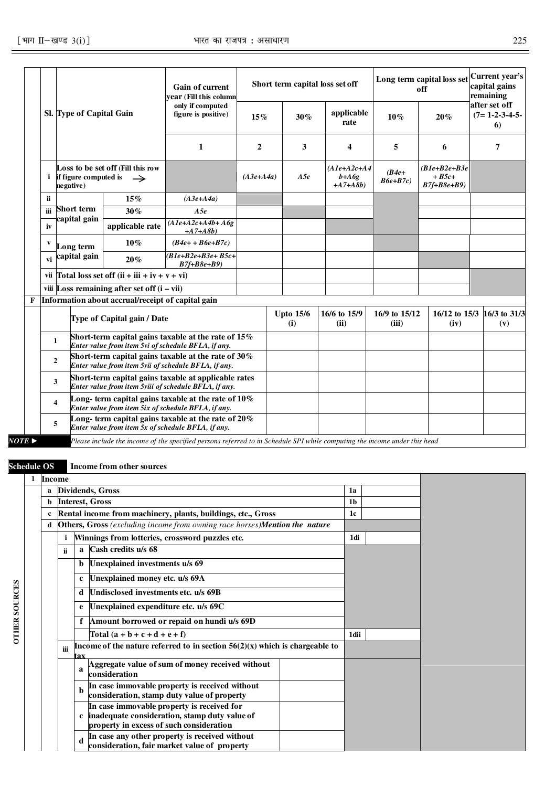|                       |                                                                                                                                          |                                   |                                                                                                               | <b>Gain of current</b><br>vear (Fill this column<br>only if computed                                                      |                |     |                                       | Short term capital loss set off |                                            | Long term capital loss set<br>off | Current year's<br>capital gains<br>remaining<br>after set off |
|-----------------------|------------------------------------------------------------------------------------------------------------------------------------------|-----------------------------------|---------------------------------------------------------------------------------------------------------------|---------------------------------------------------------------------------------------------------------------------------|----------------|-----|---------------------------------------|---------------------------------|--------------------------------------------|-----------------------------------|---------------------------------------------------------------|
|                       |                                                                                                                                          | Sl. Type of Capital Gain          |                                                                                                               | figure is positive)                                                                                                       | 15%            |     | 30%                                   | applicable<br>rate              | $10\%$                                     | 20%                               | $(7=1-2-3-4-5-$<br>6)                                         |
|                       |                                                                                                                                          |                                   |                                                                                                               | 1                                                                                                                         | $\overline{2}$ |     | 3                                     | 4                               | 5                                          | 6                                 | 7                                                             |
|                       | Loss to be set off (Fill this row<br><i>i</i> if figure computed is<br>$\rightarrow$<br>negative)                                        |                                   |                                                                                                               | $(A3e+A4a)$                                                                                                               |                | A5e | $(AIe+A2c+A4$<br>$b+A6g$<br>$+A7+A8b$ | $(B4e+$<br>$B6e+B7c$            | $(B1e+B2e+B3e$<br>$+ B5c+$<br>$B7f+B8e+B9$ |                                   |                                                               |
|                       | <b>ii</b>                                                                                                                                |                                   | 15%                                                                                                           | $(A3e+A4a)$                                                                                                               |                |     |                                       |                                 |                                            |                                   |                                                               |
|                       | iii                                                                                                                                      | <b>Short term</b><br>capital gain | $30\%$                                                                                                        | A5e                                                                                                                       |                |     |                                       |                                 |                                            |                                   |                                                               |
|                       | iv                                                                                                                                       |                                   | applicable rate                                                                                               | $(A1e+A2c+A4b+A6g$<br>$+A7 + A8b$                                                                                         |                |     |                                       |                                 |                                            |                                   |                                                               |
|                       | V                                                                                                                                        | Long term                         | $10\%$                                                                                                        | $(B4e+ + B6e+ B7c)$                                                                                                       |                |     |                                       |                                 |                                            |                                   |                                                               |
|                       | vi                                                                                                                                       | capital gain                      | $20\%$                                                                                                        | $B1e+B2e+B3e+B5c+$<br>$B7f+B8e+B9$                                                                                        |                |     |                                       |                                 |                                            |                                   |                                                               |
|                       |                                                                                                                                          |                                   | vii Total loss set off $(ii + iii + iv + v + vi)$                                                             |                                                                                                                           |                |     |                                       |                                 |                                            |                                   |                                                               |
|                       |                                                                                                                                          |                                   | viii Loss remaining after set off $(i - vii)$                                                                 |                                                                                                                           |                |     |                                       |                                 |                                            |                                   |                                                               |
| F                     |                                                                                                                                          |                                   | Information about accrual/receipt of capital gain                                                             |                                                                                                                           |                |     |                                       |                                 |                                            |                                   |                                                               |
|                       |                                                                                                                                          |                                   | Type of Capital gain / Date                                                                                   |                                                                                                                           |                |     | <b>Upto 15/6</b><br>(i)               | 16/6 to 15/9<br>(ii)            | 16/9 to 15/12<br>(iii)                     | $16/12$ to $15/3$<br>(iv)         | 16/3 to 31/3<br>(v)                                           |
|                       |                                                                                                                                          | $\mathbf{1}$                      |                                                                                                               | Short-term capital gains taxable at the rate of 15%<br>Enter value from item 5vi of schedule BFLA, if any.                |                |     |                                       |                                 |                                            |                                   |                                                               |
|                       | Short-term capital gains taxable at the rate of $30\%$<br>$\overline{2}$<br>Enter value from item 5vii of schedule BFLA, if any.         |                                   |                                                                                                               |                                                                                                                           |                |     |                                       |                                 |                                            |                                   |                                                               |
|                       |                                                                                                                                          | 3                                 | Short-term capital gains taxable at applicable rates<br>Enter value from item 5viii of schedule BFLA, if any. |                                                                                                                           |                |     |                                       |                                 |                                            |                                   |                                                               |
|                       | Long- term capital gains taxable at the rate of $10\%$<br>$\overline{\mathbf{4}}$<br>Enter value from item 5ix of schedule BFLA, if any. |                                   |                                                                                                               |                                                                                                                           |                |     |                                       |                                 |                                            |                                   |                                                               |
|                       | Long- term capital gains taxable at the rate of $20\%$<br>5<br>Enter value from item 5x of schedule BFLA, if any.                        |                                   |                                                                                                               |                                                                                                                           |                |     |                                       |                                 |                                            |                                   |                                                               |
| $NOTE \triangleright$ |                                                                                                                                          |                                   |                                                                                                               | Please include the income of the specified persons referred to in Schedule SPI while computing the income under this head |                |     |                                       |                                 |                                            |                                   |                                                               |

**OTHER SOURCES**

**OTHER SOURCES** 

**Schedule OS Income from other sources** 

|   | <b>Income</b> |              |                                                                                                                                           |                |  |
|---|---------------|--------------|-------------------------------------------------------------------------------------------------------------------------------------------|----------------|--|
| a |               |              | Dividends, Gross                                                                                                                          | 1a             |  |
| b |               |              | <b>Interest, Gross</b>                                                                                                                    | 1 <sub>b</sub> |  |
| c |               |              | Rental income from machinery, plants, buildings, etc., Gross                                                                              | 1c             |  |
| d |               |              | <b>Others, Gross</b> (excluding income from owning race horses) <b>Mention the nature</b>                                                 |                |  |
|   | i             |              | Winnings from lotteries, crossword puzzles etc.                                                                                           | 1di            |  |
|   | ii            | $\mathbf{a}$ | Cash credits u/s 68                                                                                                                       |                |  |
|   |               | b            | Unexplained investments u/s 69                                                                                                            |                |  |
|   |               | c            | Unexplained money etc. u/s 69A                                                                                                            |                |  |
|   |               | d            | Undisclosed investments etc. u/s 69B                                                                                                      |                |  |
|   |               | e            | Unexplained expenditure etc. u/s 69C                                                                                                      |                |  |
|   |               |              | Amount borrowed or repaid on hundi u/s 69D                                                                                                |                |  |
|   |               |              | Total $(a + b + c + d + e + f)$                                                                                                           | 1dii           |  |
|   | iii           | tax          | Income of the nature referred to in section $56(2)(x)$ which is chargeable to                                                             |                |  |
|   |               | a            | Aggregate value of sum of money received without<br>consideration                                                                         |                |  |
|   |               | h            | In case immovable property is received without<br>consideration, stamp duty value of property                                             |                |  |
|   |               |              | In case immovable property is received for<br>c inadequate consideration, stamp duty value of<br>property in excess of such consideration |                |  |
|   |               |              | In case any other property is received without<br>consideration, fair market value of property                                            |                |  |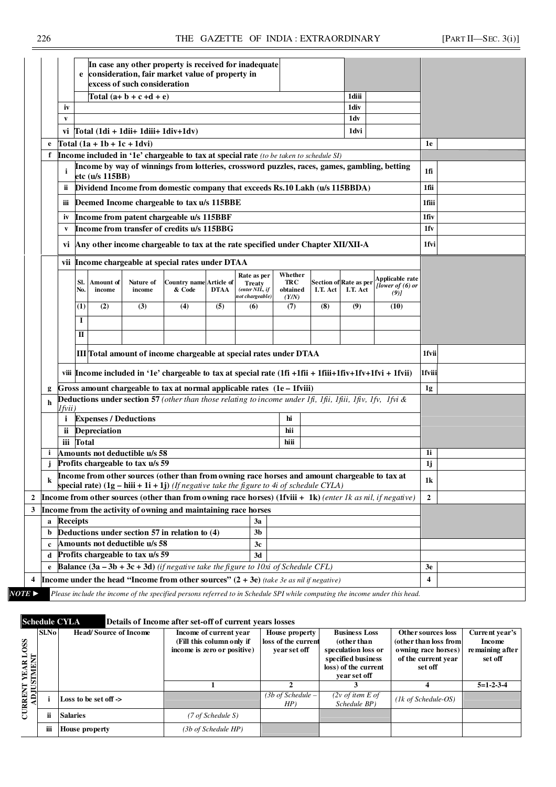|             |                                                                                     |                                            |                                                                                                                                                                                                                                                                                                                                                                                                                                                 | In case any other property is received for inadequate                                                            |             |                                                                   |                                            |          |                                    |                                                                                                             |              |  |
|-------------|-------------------------------------------------------------------------------------|--------------------------------------------|-------------------------------------------------------------------------------------------------------------------------------------------------------------------------------------------------------------------------------------------------------------------------------------------------------------------------------------------------------------------------------------------------------------------------------------------------|------------------------------------------------------------------------------------------------------------------|-------------|-------------------------------------------------------------------|--------------------------------------------|----------|------------------------------------|-------------------------------------------------------------------------------------------------------------|--------------|--|
|             | e                                                                                   |                                            | excess of such consideration                                                                                                                                                                                                                                                                                                                                                                                                                    | consideration, fair market value of property in                                                                  |             |                                                                   |                                            |          |                                    |                                                                                                             |              |  |
|             |                                                                                     |                                            | Total $(a+b+c+d+e)$                                                                                                                                                                                                                                                                                                                                                                                                                             |                                                                                                                  |             |                                                                   |                                            |          | 1diii                              |                                                                                                             |              |  |
| iv          |                                                                                     |                                            |                                                                                                                                                                                                                                                                                                                                                                                                                                                 |                                                                                                                  |             |                                                                   |                                            |          | 1div                               |                                                                                                             |              |  |
| V           |                                                                                     |                                            |                                                                                                                                                                                                                                                                                                                                                                                                                                                 |                                                                                                                  |             |                                                                   |                                            |          | 1dv                                |                                                                                                             |              |  |
|             |                                                                                     |                                            | vi $\int \text{Total} (1 \text{di} + 1 \text{dii} + 1 \text{di} + 1 \text{di} + 1 \text{d} + \text{id} + \text{id} + \text{id} + \text{id} + \text{id} + \text{id} + \text{id} + \text{id} + \text{id} + \text{id} + \text{id} + \text{id} + \text{id} + \text{id} + \text{id} + \text{id} + \text{id} + \text{id} + \text{id} + \text{id} + \text{id} + \text{id} + \text{id} + \text{id} + \text{id} + \text{id} + \text{id} + \text{id} + \$ |                                                                                                                  |             |                                                                   |                                            |          | 1dvi                               |                                                                                                             |              |  |
| e           |                                                                                     | Total $(1a + 1b + 1c + 1dv)$               |                                                                                                                                                                                                                                                                                                                                                                                                                                                 |                                                                                                                  |             |                                                                   |                                            |          |                                    |                                                                                                             | 1e           |  |
| f           |                                                                                     |                                            |                                                                                                                                                                                                                                                                                                                                                                                                                                                 | Income included in '1e' chargeable to tax at special rate (to be taken to schedule SI)                           |             |                                                                   |                                            |          |                                    |                                                                                                             |              |  |
|             |                                                                                     | etc (u/s 115BB)                            |                                                                                                                                                                                                                                                                                                                                                                                                                                                 | Income by way of winnings from lotteries, crossword puzzles, races, games, gambling, betting                     |             |                                                                   |                                            |          |                                    |                                                                                                             | 1fi          |  |
| ï           |                                                                                     |                                            |                                                                                                                                                                                                                                                                                                                                                                                                                                                 | Dividend Income from domestic company that exceeds Rs.10 Lakh (u/s 115BBDA)                                      |             |                                                                   |                                            |          |                                    |                                                                                                             | 1fii         |  |
| Ш           |                                                                                     | Deemed Income chargeable to tax u/s 115BBE |                                                                                                                                                                                                                                                                                                                                                                                                                                                 | 1fiii                                                                                                            |             |                                                                   |                                            |          |                                    |                                                                                                             |              |  |
| iv          | Income from patent chargeable u/s 115BBF                                            |                                            |                                                                                                                                                                                                                                                                                                                                                                                                                                                 |                                                                                                                  |             |                                                                   |                                            |          |                                    |                                                                                                             |              |  |
| V           |                                                                                     | Income from transfer of credits u/s 115BBG |                                                                                                                                                                                                                                                                                                                                                                                                                                                 | 1fv                                                                                                              |             |                                                                   |                                            |          |                                    |                                                                                                             |              |  |
|             | vi Any other income chargeable to tax at the rate specified under Chapter XII/XII-A |                                            |                                                                                                                                                                                                                                                                                                                                                                                                                                                 |                                                                                                                  |             |                                                                   |                                            |          |                                    |                                                                                                             | 1fvi         |  |
|             | vii Income chargeable at special rates under DTAA                                   |                                            |                                                                                                                                                                                                                                                                                                                                                                                                                                                 |                                                                                                                  |             |                                                                   |                                            |          |                                    |                                                                                                             |              |  |
|             | SI.<br>No.                                                                          | Amount of<br>income                        | Nature of<br>income                                                                                                                                                                                                                                                                                                                                                                                                                             | <b>Country name Article of</b><br>& Code                                                                         | <b>DTAA</b> | Rate as per<br><b>Treaty</b><br>(enter NIL, if<br>not chargeable) | Whether<br><b>TRC</b><br>obtained<br>(Y/N) | I.T. Act | Section of Rate as per<br>I.T. Act | Applicable rate<br>[lower of (6) or<br>(9)                                                                  |              |  |
|             | (1)                                                                                 | (2)                                        | (3)                                                                                                                                                                                                                                                                                                                                                                                                                                             | (4)                                                                                                              | (5)         | (6)                                                               | (7)                                        | (8)      | (9)                                | (10)                                                                                                        |              |  |
|             | I                                                                                   |                                            |                                                                                                                                                                                                                                                                                                                                                                                                                                                 |                                                                                                                  |             |                                                                   |                                            |          |                                    |                                                                                                             |              |  |
|             | П                                                                                   |                                            |                                                                                                                                                                                                                                                                                                                                                                                                                                                 |                                                                                                                  |             |                                                                   |                                            |          |                                    |                                                                                                             |              |  |
|             |                                                                                     |                                            |                                                                                                                                                                                                                                                                                                                                                                                                                                                 | III Total amount of income chargeable at special rates under DTAA                                                |             |                                                                   |                                            |          |                                    |                                                                                                             | 1fvii        |  |
|             |                                                                                     |                                            |                                                                                                                                                                                                                                                                                                                                                                                                                                                 | viii  Income included in '1e' chargeable to tax at special rate (1fi +1fii + 1fiii+1fiv+1fv+1fvi + 1fvii)        |             |                                                                   |                                            |          |                                    |                                                                                                             | 1fviii       |  |
| g           |                                                                                     |                                            |                                                                                                                                                                                                                                                                                                                                                                                                                                                 | Gross amount chargeable to tax at normal applicable rates $(1e-1fviii)$                                          |             |                                                                   |                                            |          |                                    |                                                                                                             | 1g           |  |
| h           |                                                                                     |                                            |                                                                                                                                                                                                                                                                                                                                                                                                                                                 | <b>Deductions under section 57</b> (other than those relating to income under 1fi, 1fii, 1fii, 1fiv, 1fv, 1fvi & |             |                                                                   |                                            |          |                                    |                                                                                                             |              |  |
| l fvii )    |                                                                                     |                                            |                                                                                                                                                                                                                                                                                                                                                                                                                                                 |                                                                                                                  |             |                                                                   |                                            |          |                                    |                                                                                                             |              |  |
|             |                                                                                     | <i>i</i> Expenses / Deductions             |                                                                                                                                                                                                                                                                                                                                                                                                                                                 |                                                                                                                  |             |                                                                   | hi                                         |          |                                    |                                                                                                             |              |  |
|             |                                                                                     | ii Depreciation                            |                                                                                                                                                                                                                                                                                                                                                                                                                                                 |                                                                                                                  |             |                                                                   | hii                                        |          |                                    |                                                                                                             |              |  |
| $\mathbf i$ | iii Total                                                                           |                                            | Amounts not deductible u/s 58                                                                                                                                                                                                                                                                                                                                                                                                                   |                                                                                                                  |             |                                                                   | hiii                                       |          |                                    |                                                                                                             | 1i           |  |
| i           |                                                                                     |                                            | Profits chargeable to tax u/s 59                                                                                                                                                                                                                                                                                                                                                                                                                |                                                                                                                  |             |                                                                   |                                            |          |                                    |                                                                                                             | 1j           |  |
|             |                                                                                     |                                            |                                                                                                                                                                                                                                                                                                                                                                                                                                                 | Income from other sources (other than from owning race horses and amount chargeable to tax at                    |             |                                                                   |                                            |          |                                    |                                                                                                             |              |  |
| $\bf k$     |                                                                                     |                                            |                                                                                                                                                                                                                                                                                                                                                                                                                                                 | special rate) $(1g - hiii + 1i + 1j)$ (If negative take the figure to 4i of schedule CYLA)                       |             |                                                                   |                                            |          |                                    |                                                                                                             | 1k           |  |
|             |                                                                                     |                                            |                                                                                                                                                                                                                                                                                                                                                                                                                                                 |                                                                                                                  |             |                                                                   |                                            |          |                                    | Income from other sources (other than from owning race horses) (1fviii + 1k) (enter 1k as nil, if negative) | $\mathbf{2}$ |  |
|             |                                                                                     |                                            |                                                                                                                                                                                                                                                                                                                                                                                                                                                 | Income from the activity of owning and maintaining race horses                                                   |             |                                                                   |                                            |          |                                    |                                                                                                             |              |  |
| a           | <b>Receipts</b><br>3a                                                               |                                            |                                                                                                                                                                                                                                                                                                                                                                                                                                                 |                                                                                                                  |             |                                                                   |                                            |          |                                    |                                                                                                             |              |  |
|             | Deductions under section 57 in relation to (4)<br>3b                                |                                            |                                                                                                                                                                                                                                                                                                                                                                                                                                                 |                                                                                                                  |             |                                                                   |                                            |          |                                    |                                                                                                             |              |  |
| b           | Amounts not deductible u/s 58<br>3c                                                 |                                            |                                                                                                                                                                                                                                                                                                                                                                                                                                                 |                                                                                                                  |             |                                                                   |                                            |          |                                    |                                                                                                             |              |  |
| $\mathbf c$ | Profits chargeable to tax $\overline{u/s}$ 59<br>3d<br>d                            |                                            |                                                                                                                                                                                                                                                                                                                                                                                                                                                 |                                                                                                                  |             |                                                                   |                                            |          |                                    |                                                                                                             |              |  |
|             |                                                                                     |                                            |                                                                                                                                                                                                                                                                                                                                                                                                                                                 |                                                                                                                  |             |                                                                   |                                            |          |                                    |                                                                                                             | 3e           |  |
| e           |                                                                                     |                                            |                                                                                                                                                                                                                                                                                                                                                                                                                                                 |                                                                                                                  |             |                                                                   |                                            |          |                                    |                                                                                                             |              |  |
|             |                                                                                     |                                            |                                                                                                                                                                                                                                                                                                                                                                                                                                                 |                                                                                                                  |             |                                                                   |                                            |          |                                    | <b>Balance <math>(3a - 3b + 3c + 3d)</math></b> (if negative take the figure to 10xi of Schedule CFL)       |              |  |

**Schedule CYLA Details of Income after set-off of current years losses** 

| $\frac{1}{T}$ OSS<br>M<br>圄               | <b>Sl.No</b> | <b>Head/Source of Income</b> | Income of current year<br>(Fill this column only if<br>income is zero or positive) | House property<br>loss of the current<br>year set off | <b>Business Loss</b><br>(other than<br>speculation loss or<br>specified business<br>loss) of the current<br>vear set off | Other sources loss<br>(other than loss from<br>owning race horses)<br>of the current year<br>set off | Current year's<br>Income<br>remaining after<br>set off |
|-------------------------------------------|--------------|------------------------------|------------------------------------------------------------------------------------|-------------------------------------------------------|--------------------------------------------------------------------------------------------------------------------------|------------------------------------------------------------------------------------------------------|--------------------------------------------------------|
|                                           |              |                              |                                                                                    |                                                       |                                                                                                                          |                                                                                                      | $5=1-2-3-4$                                            |
| <b>CURRENT</b><br>$\overline{\mathbf{q}}$ |              | Loss to be set off ->        |                                                                                    | (3b of Schedule –<br>HP)                              | $(2v \text{ of item } E \text{ of }$<br>Schedule BP)                                                                     | $(lk$ of Schedule-OS)                                                                                |                                                        |
|                                           | ji           | <b>Salaries</b>              | (7 of Schedule S)                                                                  |                                                       |                                                                                                                          |                                                                                                      |                                                        |
|                                           | iii          | <b>House property</b>        | (3b of Schedule HP)                                                                |                                                       |                                                                                                                          |                                                                                                      |                                                        |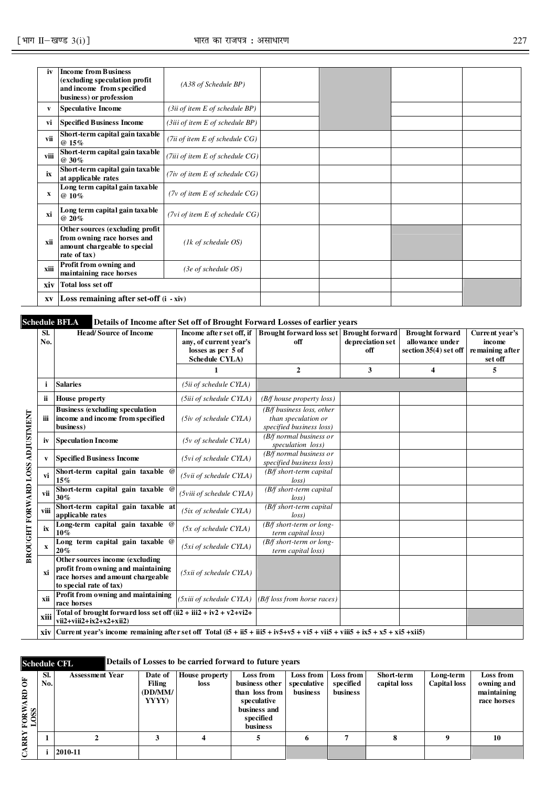| iv   | <b>Income from Business</b><br>(excluding speculation profit<br>and income from specified<br>business) or profession | ( A38 of Schedule BP)                             |  |  |
|------|----------------------------------------------------------------------------------------------------------------------|---------------------------------------------------|--|--|
| V    | <b>Speculative Income</b>                                                                                            | (3ii of item E of schedule BP)                    |  |  |
| vi   | <b>Specified Business Income</b>                                                                                     | (3iii of item E of schedule BP)                   |  |  |
| vii  | Short-term capital gain taxable<br>$@15\%$                                                                           | (7ii of item E of schedule CG)                    |  |  |
| viii | Short-term capital gain taxable<br>@ 30%                                                                             | (7iii of item $E$ of schedule $CG$ )              |  |  |
| ix   | Short-term capital gain taxable<br>at applicable rates                                                               | (7iv of item $E$ of schedule $CG$ )               |  |  |
| X    | Long term capital gain taxable<br>$@10\%$                                                                            | $(7v \text{ of item } E \text{ of schedule } CG)$ |  |  |
| xi   | Long term capital gain taxable<br>@ 20%                                                                              | ( $7vi$ of item E of schedule $CG$ )              |  |  |
| xii  | Other sources (excluding profit)<br>from owning race horses and<br>amount chargeable to special<br>rate of tax)      | $(lk \text{ of schedule } OS)$                    |  |  |
| xiii | Profit from owning and<br>maintaining race horses                                                                    | $(3e \text{ of schedule } OS)$                    |  |  |
| xiv  | Total loss set off                                                                                                   |                                                   |  |  |
| XV   | <b>Loss remaining after set-off <math>(i - xiv)</math></b>                                                           |                                                   |  |  |

### **Schedule BFLA Details of Income after Set off of Brought Forward Losses of earlier years**

|                                 | SI.<br>No. | <b>Head/Source of Income</b>                                                                                                          | Income after set off, if<br>any, of current year's<br>losses as per 5 of<br>Schedule CYLA) | <b>Brought forward loss set   Brought forward</b><br>off                     | depreciation set<br>off | <b>Brought forward</b><br>allowance under<br>section 35(4) set off | Current year's<br>income<br>remaining after<br>set off |
|---------------------------------|------------|---------------------------------------------------------------------------------------------------------------------------------------|--------------------------------------------------------------------------------------------|------------------------------------------------------------------------------|-------------------------|--------------------------------------------------------------------|--------------------------------------------------------|
|                                 |            |                                                                                                                                       | $\mathbf{1}$                                                                               | $\overline{2}$                                                               | 3                       | 4                                                                  | 5                                                      |
|                                 | j.         | <b>Salaries</b>                                                                                                                       | (5ii of schedule CYLA)                                                                     |                                                                              |                         |                                                                    |                                                        |
|                                 | ii         | <b>House property</b>                                                                                                                 | (5iii of schedule CYLA)                                                                    | (B/f house property loss)                                                    |                         |                                                                    |                                                        |
| BROUGHT FORWARD LOSS ADJUSTMENT | iii        | <b>Business (excluding speculation</b><br>income and income from specified<br>business)                                               | $(5iv \text{ of schedule } CYLA)$                                                          | (B/f business loss, other<br>than speculation or<br>specified business loss) |                         |                                                                    |                                                        |
|                                 | iv         | <b>Speculation Income</b>                                                                                                             | $(5v \text{ of schedule CYLA})$                                                            | $(B/f$ normal business or<br>speculation loss)                               |                         |                                                                    |                                                        |
|                                 | V          | <b>Specified Business Income</b>                                                                                                      | (5vi of schedule CYLA)                                                                     | $(B/f$ normal business or<br>specified business loss)                        |                         |                                                                    |                                                        |
|                                 | vi         | Short-term capital gain taxable @<br>15%                                                                                              | (5vii of schedule CYLA)                                                                    | (B/f short-term capital<br>loss                                              |                         |                                                                    |                                                        |
|                                 | vii        | Short-term capital gain taxable @<br>30%                                                                                              | (5viii of schedule CYLA)                                                                   | (B/f short-term capital<br>loss                                              |                         |                                                                    |                                                        |
|                                 | viii       | Short-term capital gain taxable at<br>applicable rates                                                                                | (5ix of schedule CYLA)                                                                     | (B/f short-term capital<br>loss                                              |                         |                                                                    |                                                        |
|                                 | ix         | Long-term capital gain taxable @<br>$10\%$                                                                                            | $(5x \text{ of schedule } CYLA)$                                                           | $(B/f \ short-term \ or \ long$<br>term capital loss)                        |                         |                                                                    |                                                        |
|                                 | x          | Long term capital gain taxable @<br>20%                                                                                               | (5xi of schedule CYLA)                                                                     | $(B/f \, short-term \, or \, long-$<br>term capital loss)                    |                         |                                                                    |                                                        |
|                                 | xi         | Other sources income (excluding<br>profit from owning and maintaining<br>race horses and amount chargeable<br>to special rate of tax) | (5xii of schedule CYLA)                                                                    |                                                                              |                         |                                                                    |                                                        |
|                                 | xii        | Profit from owning and maintaining<br>race horses                                                                                     | (5xiii of schedule CYLA)                                                                   | (B/f loss from horse races)                                                  |                         |                                                                    |                                                        |
|                                 | xiii       | Total of brought forward loss set off $(ii2 + iii2 + iv2 + v2 + vi2 +$<br>$vi2+viii2+ix2+x2+xi2)$                                     |                                                                                            |                                                                              |                         |                                                                    |                                                        |
|                                 | xiv l      |                                                                                                                                       |                                                                                            |                                                                              |                         |                                                                    |                                                        |

### **Schedule CFL** Details of Losses to be carried forward to future years

|               | SI. | <b>Assessment Year</b> | Date of | <b>House property</b> | Loss from      | Loss from   | Loss from | Short-term   | Long-term           | Loss from   |
|---------------|-----|------------------------|---------|-----------------------|----------------|-------------|-----------|--------------|---------------------|-------------|
| Ğ             | No. |                        | Filing  | loss                  | business other | speculative | specified | capital loss | <b>Capital</b> loss | owning and  |
| $\mathbf{B}$  |     |                        | (DDMM)  |                       | than loss from | business    | business  |              |                     | maintaining |
|               |     |                        | YYYY)   |                       | speculative    |             |           |              |                     | race horses |
|               |     |                        |         |                       | business and   |             |           |              |                     |             |
| FORWA<br>LOSS |     |                        |         |                       | specified      |             |           |              |                     |             |
|               |     |                        |         |                       | business       |             |           |              |                     |             |
| RRY           |     |                        |         |                       |                |             |           |              |                     | 10          |
|               |     |                        |         |                       |                |             |           |              |                     |             |
| ن             |     | 2010-11                |         |                       |                |             |           |              |                     |             |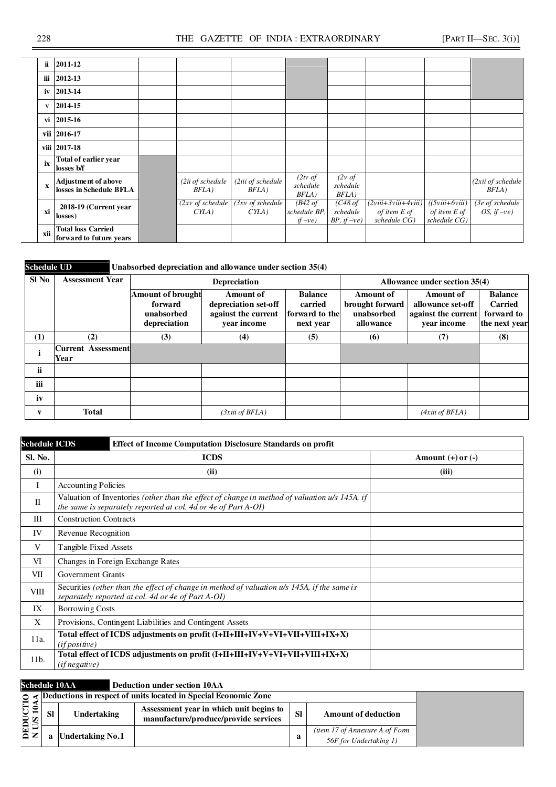| ii          | 2011-12                                              |                                      |                                      |                                                |                                               |                                                         |                                                     |                                   |
|-------------|------------------------------------------------------|--------------------------------------|--------------------------------------|------------------------------------------------|-----------------------------------------------|---------------------------------------------------------|-----------------------------------------------------|-----------------------------------|
| iii         | 2012-13                                              |                                      |                                      |                                                |                                               |                                                         |                                                     |                                   |
| iv          | 2013-14                                              |                                      |                                      |                                                |                                               |                                                         |                                                     |                                   |
| V           | 2014-15                                              |                                      |                                      |                                                |                                               |                                                         |                                                     |                                   |
|             | vi 2015-16                                           |                                      |                                      |                                                |                                               |                                                         |                                                     |                                   |
|             | vii 2016-17                                          |                                      |                                      |                                                |                                               |                                                         |                                                     |                                   |
|             | viii 2017-18                                         |                                      |                                      |                                                |                                               |                                                         |                                                     |                                   |
| ix          | Total of earlier year<br>losses b/f                  |                                      |                                      |                                                |                                               |                                                         |                                                     |                                   |
| $\mathbf x$ | Adjustment of above<br>losses in Schedule BFLA       | (2ii of schedule<br>BFLA)            | (2iii of schedule<br>$BFLA$ )        | $(2iv \text{ of }$<br>schedule<br>BFLA)        | $(2v \text{ of }$<br>schedule<br>BFLA)        |                                                         |                                                     | (2xii of schedule<br>BFLA)        |
| xi          | 2018-19 (Current year<br>losses)                     | $(2xy \text{ of schedule})$<br>CYLA) | $(3xy \text{ of schedule})$<br>CYLA) | $(B42 \text{ of}$<br>schedule BP,<br>$if -ve)$ | $(C48$ of<br>schedule<br><i>BP</i> , $if -ve$ | $(2viii+3viii+4viii)$<br>of item $E$ of<br>schedule CG) | $( (5viii+6viii)$<br>of item $E$ of<br>schedule CG) | (3e of schedule<br>OS, if $-ve$ ) |
| xii         | <b>Total loss Carried</b><br>forward to future years |                                      |                                      |                                                |                                               |                                                         |                                                     |                                   |

**Schedule UD** Unabsorbed depreciation and allowance under section 35(4)

| Sl No | <b>Assessment Year</b>            |                                                            | Depreciation                                                                   |                                                          | Allowance under section 35(4)                           |                                                                             |                                                          |  |  |
|-------|-----------------------------------|------------------------------------------------------------|--------------------------------------------------------------------------------|----------------------------------------------------------|---------------------------------------------------------|-----------------------------------------------------------------------------|----------------------------------------------------------|--|--|
|       |                                   | Amount of brought<br>forward<br>unabsorbed<br>depreciation | <b>Amount of</b><br>depreciation set-off<br>against the current<br>year income | <b>Balance</b><br>carried<br>forward to the<br>next year | Amount of<br>brought forward<br>unabsorbed<br>allowance | <b>Amount of</b><br>allowance set-off<br>against the current<br>vear income | <b>Balance</b><br>Carried<br>forward to<br>the next year |  |  |
| (1)   | (2)                               | (3)                                                        | (4)                                                                            | (5)                                                      | (6)                                                     | (7)                                                                         | (8)                                                      |  |  |
|       | <b>Current Assessment</b><br>Year |                                                            |                                                                                |                                                          |                                                         |                                                                             |                                                          |  |  |
| ii    |                                   |                                                            |                                                                                |                                                          |                                                         |                                                                             |                                                          |  |  |
| iii   |                                   |                                                            |                                                                                |                                                          |                                                         |                                                                             |                                                          |  |  |
| iv    |                                   |                                                            |                                                                                |                                                          |                                                         |                                                                             |                                                          |  |  |
| V     | <b>Total</b>                      |                                                            | (3xiii of BFLA)                                                                |                                                          |                                                         | (4xiii of BFLA)                                                             |                                                          |  |  |

| <b>Schedule ICDS</b> | <b>Effect of Income Computation Disclosure Standards on profit</b>                                                                                              |                       |  |  |  |  |  |  |  |  |
|----------------------|-----------------------------------------------------------------------------------------------------------------------------------------------------------------|-----------------------|--|--|--|--|--|--|--|--|
| Sl. No.              | <b>ICDS</b>                                                                                                                                                     | Amount $(+)$ or $(-)$ |  |  |  |  |  |  |  |  |
| (i)                  | (ii)                                                                                                                                                            | (iii)                 |  |  |  |  |  |  |  |  |
| Ι                    | <b>Accounting Policies</b>                                                                                                                                      |                       |  |  |  |  |  |  |  |  |
| $\mathbf{I}$         | Valuation of Inventories (other than the effect of change in method of valuation u/s 145A, if<br>the same is separately reported at col. 4d or 4e of Part A-OI) |                       |  |  |  |  |  |  |  |  |
| Ш                    | <b>Construction Contracts</b>                                                                                                                                   |                       |  |  |  |  |  |  |  |  |
| IV                   | Revenue Recognition                                                                                                                                             |                       |  |  |  |  |  |  |  |  |
| V                    | Tangible Fixed Assets                                                                                                                                           |                       |  |  |  |  |  |  |  |  |
| VI                   | Changes in Foreign Exchange Rates                                                                                                                               |                       |  |  |  |  |  |  |  |  |
| VII                  | <b>Government Grants</b>                                                                                                                                        |                       |  |  |  |  |  |  |  |  |
| VIII                 | Securities (other than the effect of change in method of valuation u/s 145A, if the same is<br>separately reported at col. 4d or 4e of Part A-OI)               |                       |  |  |  |  |  |  |  |  |
| IX                   | <b>Borrowing Costs</b>                                                                                                                                          |                       |  |  |  |  |  |  |  |  |
| X                    | Provisions, Contingent Liabilities and Contingent Assets                                                                                                        |                       |  |  |  |  |  |  |  |  |
| 11a.                 | Total effect of ICDS adjustments on profit (I+II+III+IV+V+VI+VII+VIII+IX+X)<br>(if positive)                                                                    |                       |  |  |  |  |  |  |  |  |
| 11b.                 | Total effect of ICDS adjustments on profit (I+II+III+IV+V+VI+VII+VIII+IX+X)<br>(if negative)                                                                    |                       |  |  |  |  |  |  |  |  |

**Schedule 10AA Deduction under section 10AA** 

|                  |           |                         | $\circ$ $\leq$ Deductions in respect of units located in Special Economic Zone  |           |                                                          |
|------------------|-----------|-------------------------|---------------------------------------------------------------------------------|-----------|----------------------------------------------------------|
| H S<br>ত ভ       | <b>SI</b> | <b>Undertaking</b>      | Assessment year in which unit begins to<br>manufacture/produce/provide services | <b>SI</b> | <b>Amount of deduction</b>                               |
| <b>QED</b><br>NU |           | <b>Undertaking No.1</b> |                                                                                 | a         | (item 17 of Annexure A of Form<br>56F for Undertaking 1) |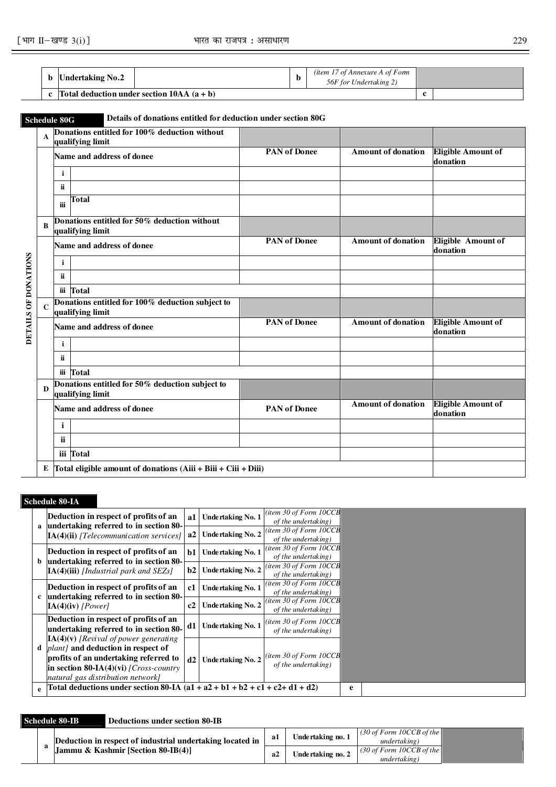|  | Undertaking No.2                            | D | <i>(item 17 of Annexure A of Form</i><br>56F for Undertaking 2) |  |
|--|---------------------------------------------|---|-----------------------------------------------------------------|--|
|  | Total deduction under section $10AA(a + b)$ |   |                                                                 |  |

**Schedule 80G Details of donations entitled for deduction under section 80G <sup>A</sup>Donations entitled for 100% deduction without qualifying limit**  Name and address of donee **PAN** of Donee **Amount of donation Eligible Amount of donation i ii iii Total <sup>B</sup>Donations entitled for 50% deduction without qualifying limit**  Name and address of donee **PAN** of Donee **Amount of donation** Eligible Amount of **Amount of donation i ii iii Total <sup>C</sup>Donations entitled for 100% deduction subject to qualifying limit Name and address of donee PAN of Donee Amount of donation Eligible Amount of Amount of donation i ii iii Total <sup>D</sup>Donations entitled for 50% deduction subject to qualifying limit Name and address of donee PAN of Donee Amount of donation Eligible Amount of Amount of donation i ii iii Total E Total eligible amount of donations (Aiii + Biii + Ciii + Diii)**

#### **Schedule 80-IA**

**DETAILS OF DONATIONS** 

DETAILS OF DONATIONS

|  | Deduction in respect of profits of an<br>a undertaking referred to in section 80-                                                                                                                              |      | Undertaking No. 1        | (item 30 of Form $10CCB$<br>of the undertaking) |   |  |
|--|----------------------------------------------------------------------------------------------------------------------------------------------------------------------------------------------------------------|------|--------------------------|-------------------------------------------------|---|--|
|  | $IA(4)(ii)$ [Telecommunication services]                                                                                                                                                                       | a2   | Undertaking No. 2        | (item 30 of Form $10CCB$<br>of the undertaking) |   |  |
|  | Deduction in respect of profits of an<br>b undertaking referred to in section 80-                                                                                                                              | $b1$ | Undertaking No. 1        | (item 30 of Form $10CCB$<br>of the undertaking) |   |  |
|  | $IA(4)(iii)$ [Industrial park and SEZs]                                                                                                                                                                        | b2   | Undertaking No. 2        | (item 30 of Form $10CCB$<br>of the undertaking) |   |  |
|  | Deduction in respect of profits of an                                                                                                                                                                          | c1   | Undertaking No. 1        | (item 30 of Form $10CCB$<br>of the undertaking) |   |  |
|  | c undertaking referred to in section 80-<br>$IA(4)(iv)$ [Power]                                                                                                                                                |      | <b>Undertaking No. 2</b> | (item 30 of Form $10CCB$<br>of the undertaking) |   |  |
|  | Deduction in respect of profits of an<br>undertaking referred to in section 80-                                                                                                                                | d1   | Undertaking No. 1        | (item 30 of Form $10CCB$<br>of the undertaking) |   |  |
|  | $IA(4)(v)$ [Revival of power generating<br>d <i>plant]</i> and deduction in respect of<br>profits of an undertaking referred to<br>in section 80-IA(4)(vi) [Cross-country<br>natural gas distribution network] | d2   | Undertaking No. 2        | (item 30 of Form $10CCB$<br>of the undertaking) |   |  |
|  | e  Total deductions under section 80-IA $(a1 + a2 + b1 + b2 + c1 + c2 + d1 + d2)$                                                                                                                              |      |                          |                                                 | e |  |

#### **Schedule 80-IB Deductions under section 80-IB**

|  | Deduction in respect of industrial undertaking located in |    | Undertaking no. 1 | (30 of Form 10CCB of the $\parallel$<br>undertaking) |  |
|--|-----------------------------------------------------------|----|-------------------|------------------------------------------------------|--|
|  | LIammu & Kashmir [Section 80-IB(4)]                       | aż | Undertaking no. 2 | (30 of Form 10CCB of the)<br>undertaking)            |  |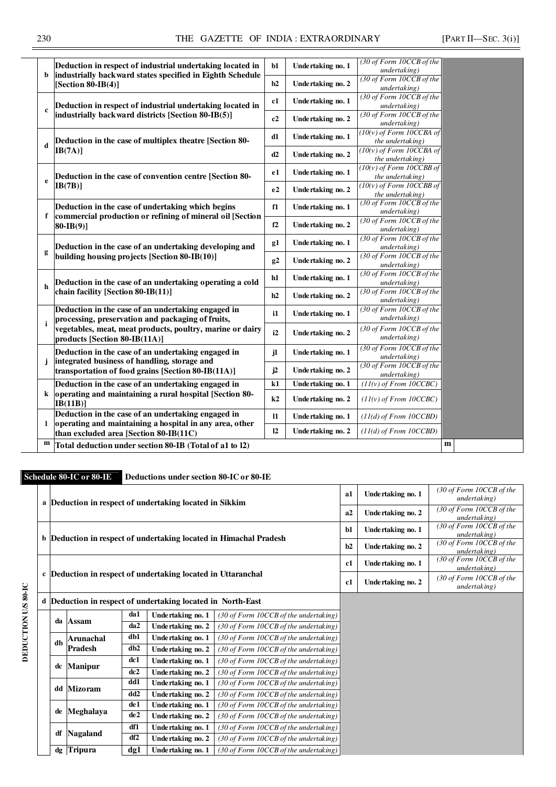|              | Deduction in respect of industrial undertaking located in                                                     | $b1$         | Undertaking no. 1 | (30 of Form 10CCB of the<br>undertaking)               |  |
|--------------|---------------------------------------------------------------------------------------------------------------|--------------|-------------------|--------------------------------------------------------|--|
| b            | industrially backward states specified in Eighth Schedule<br>[Section 80-IB $(4)$ ]                           | b2           | Undertaking no. 2 | (30 of Form 10CCB of the<br>undertaking)               |  |
|              | Deduction in respect of industrial undertaking located in                                                     | c1           | Undertaking no. 1 | (30 of Form 10CCB of the<br>undertaking)               |  |
| $\mathbf c$  | industrially backward districts [Section 80-IB(5)]                                                            | c2           | Undertaking no. 2 | (30 of Form 10CCB of the                               |  |
|              |                                                                                                               |              |                   | undertaking)<br>$(10(v)$ of Form 10CCBA of             |  |
|              | Deduction in the case of multiplex theatre [Section 80-                                                       | d1           | Undertaking no. 1 | the undertaking)                                       |  |
| d            | IB(7A)]                                                                                                       | d2           | Undertaking no. 2 | $(10(v)$ of Form 10CCBA of                             |  |
|              |                                                                                                               |              |                   | <i>the undertaking</i> )<br>$(10(y)$ of Form 10CCBB of |  |
|              | Deduction in the case of convention centre [Section 80-                                                       | e1           | Undertaking no. 1 | the undertaking)                                       |  |
| e            | IB(7B)]                                                                                                       |              |                   | $(10(y)$ of Form 10CCBB of                             |  |
|              |                                                                                                               | e2           | Undertaking no. 2 | the undertaking)                                       |  |
|              | Deduction in the case of undertaking which begins                                                             | f1           | Undertaking no. 1 | $(30$ of Form $10CCB$ of the                           |  |
| f            | commercial production or refining of mineral oil [Section                                                     |              |                   | undertaking)                                           |  |
|              | $80-IB(9)]$                                                                                                   | f2           | Undertaking no. 2 | (30 of Form 10CCB of the<br>undertaking)               |  |
|              |                                                                                                               | g1           |                   | (30 of Form 10CCB of the                               |  |
|              | Deduction in the case of an undertaking developing and                                                        |              | Undertaking no. 1 | undertaking)                                           |  |
| g            | building housing projects [Section 80-IB(10)]                                                                 | g2           | Undertaking no. 2 | (30 of Form 10CCB of the                               |  |
|              |                                                                                                               |              |                   | undertaking)                                           |  |
|              | Deduction in the case of an undertaking operating a cold                                                      | h1           | Undertaking no. 1 | (30 of Form 10CCB of the<br>undertaking)               |  |
| h            | chain facility [Section 80-IB(11)]                                                                            |              |                   | (30 of Form 10CCB of the                               |  |
|              |                                                                                                               | h2           | Undertaking no. 2 | undertaking)                                           |  |
|              | Deduction in the case of an undertaking engaged in                                                            | i1           | Undertaking no. 1 | (30 of Form 10CCB of the                               |  |
| j            | processing, preservation and packaging of fruits,                                                             |              |                   | undertaking)                                           |  |
|              | vegetables, meat, meat products, poultry, marine or dairy                                                     | i2           | Undertaking no. 2 | (30 of Form 10CCB of the<br>undertaking)               |  |
|              | products [Section 80-IB(11A)]                                                                                 |              |                   | (30 of Form 10CCB of the                               |  |
|              | Deduction in the case of an undertaking engaged in                                                            | $\mathbf{1}$ | Undertaking no. 1 | undertaking)                                           |  |
| $\mathbf{j}$ | integrated business of handling, storage and                                                                  |              |                   | (30 of Form 10CCB of the                               |  |
|              | transportation of food grains [Section 80-IB(11A)]                                                            | j2           | Undertaking no. 2 | undertaking)                                           |  |
|              | Deduction in the case of an undertaking engaged in                                                            | k1           | Undertaking no. 1 | $(11(v)$ of From 10CCBC)                               |  |
| k            | operating and maintaining a rural hospital [Section 80-                                                       | k2           | Undertaking no. 2 | $(11(v)$ of From 10CCBC)                               |  |
|              | IB(11B)]                                                                                                      |              |                   |                                                        |  |
| 1            | Deduction in the case of an undertaking engaged in<br>operating and maintaining a hospital in any area, other | $\mathbf{I}$ | Undertaking no. 1 | $(11(d)$ of From $10CCBD)$                             |  |
|              | than excluded area [Section 80-IB(11C)                                                                        | 12           | Undertaking no. 2 | $(11(d)$ of From $10CCBD$ )                            |  |
| m            | Total deduction under section 80-IB (Total of a1 to 12)                                                       |              |                   |                                                        |  |
|              |                                                                                                               |              |                   |                                                        |  |

**Schedule 80-IC or 80-IE Deductions under section 80-IC or 80-IE** 

|                    |    |                                                              |                 | a Deduction in respect of undertaking located in Sikkim     |                                                                          | a1   | Undertaking no. 1 | (30 of Form 10CCB of the<br>undertaking) |
|--------------------|----|--------------------------------------------------------------|-----------------|-------------------------------------------------------------|--------------------------------------------------------------------------|------|-------------------|------------------------------------------|
|                    |    |                                                              |                 |                                                             |                                                                          | a2   | Undertaking no. 2 | (30 of Form 10CCB of the<br>undertaking) |
|                    |    |                                                              |                 |                                                             | <b>b</b> Deduction in respect of undertaking located in Himachal Pradesh | $b1$ | Undertaking no. 1 | (30 of Form 10CCB of the<br>undertaking) |
|                    |    |                                                              |                 |                                                             |                                                                          | b2   | Undertaking no. 2 | (30 of Form 10CCB of the<br>undertaking) |
|                    |    |                                                              |                 |                                                             |                                                                          | c1   | Undertaking no. 1 | (30 of Form 10CCB of the<br>undertaking) |
|                    |    | c Deduction in respect of undertaking located in Uttaranchal |                 |                                                             |                                                                          |      | Undertaking no. 2 | (30 of Form 10CCB of the<br>undertaking) |
| DEDUCTION US 80-IC |    |                                                              |                 | d Deduction in respect of undertaking located in North-East |                                                                          |      |                   |                                          |
|                    |    |                                                              | da1             | Undertaking no. 1                                           | (30 of Form 10CCB of the undertaking)                                    |      |                   |                                          |
|                    |    | da Assam                                                     | da2             | Undertaking no. 2                                           | (30 of Form 10CCB of the undertaking)                                    |      |                   |                                          |
|                    | db | Arunachal                                                    | db1             | Undertaking no. 1                                           | (30 of Form 10CCB of the undertaking)                                    |      |                   |                                          |
|                    |    | <b>Pradesh</b>                                               | db2             | Undertaking no. 2                                           | (30 of Form 10CCB of the undertaking)                                    |      |                   |                                          |
|                    | dc | <b>Manipur</b>                                               | dc1             | Undertaking no. 1                                           | (30 of Form 10CCB of the undertaking)                                    |      |                   |                                          |
|                    |    |                                                              | dc2             | Undertaking no. 2                                           | (30 of Form 10CCB of the undertaking)                                    |      |                   |                                          |
|                    |    | dd Mizoram                                                   | dd1             | Undertaking no. 1                                           | (30 of Form 10CCB of the undertaking)                                    |      |                   |                                          |
|                    |    |                                                              | dd2             | Undertaking no. 2                                           | (30 of Form 10CCB of the undertaking)                                    |      |                   |                                          |
|                    | de | Meghalaya                                                    | de1             | Undertaking no. 1                                           | (30 of Form 10CCB of the undertaking)                                    |      |                   |                                          |
|                    |    |                                                              | de <sub>2</sub> | Undertaking no. 2                                           | (30 of Form 10CCB of the undertaking)                                    |      |                   |                                          |
|                    | df | <b>Nagaland</b>                                              | df1             | Undertaking no. 1                                           | (30 of Form 10CCB of the undertaking)                                    |      |                   |                                          |
|                    |    |                                                              | df2             | Undertaking no. 2                                           | (30 of Form 10CCB of the undertaking)                                    |      |                   |                                          |
|                    |    | dg Tripura                                                   | dg1             | Undertaking no. 1                                           | (30 of Form 10CCB of the undertaking)                                    |      |                   |                                          |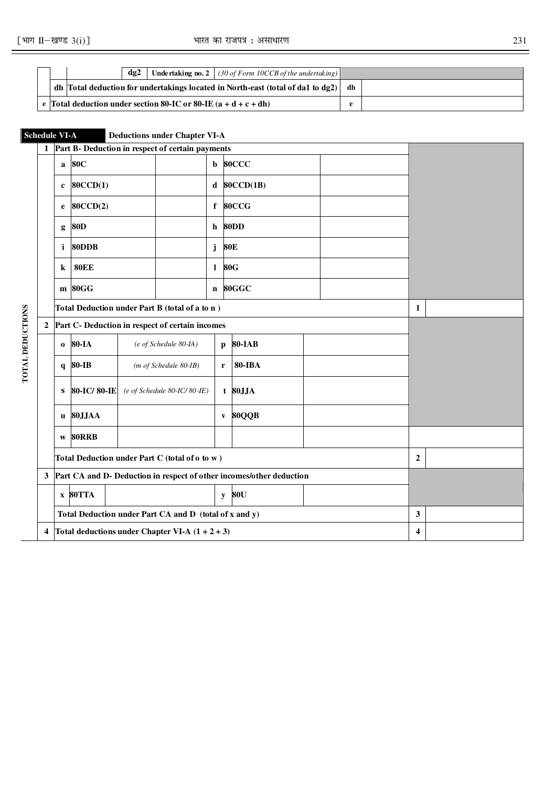$\overline{\mathbf{r}}$ 

|                                                                   |  | $d\mathbf{g}$ |  | <b>Undertaking no. 2</b>   (30 of Form 10CCB of the undertaking)                            |    |  |
|-------------------------------------------------------------------|--|---------------|--|---------------------------------------------------------------------------------------------|----|--|
|                                                                   |  |               |  | dh   Total deduction for undertakings located in North-east (total of da1 to $\text{d}g2$ ) | dh |  |
| e Total deduction under section 80-IC or 80-IE $(a + d + c + dh)$ |  |               |  |                                                                                             |    |  |

| <b>Schedule VI-A</b>    |                               |              |                                                 |                 | <b>Deductions under Chapter VI-A</b>                   |              |                                                                        |   |                  |  |
|-------------------------|-------------------------------|--------------|-------------------------------------------------|-----------------|--------------------------------------------------------|--------------|------------------------------------------------------------------------|---|------------------|--|
|                         |                               |              |                                                 |                 | Part B- Deduction in respect of certain payments       |              |                                                                        |   |                  |  |
|                         |                               | $\mathbf{a}$ | <b>80C</b>                                      |                 |                                                        | $\mathbf b$  | 80CCC                                                                  |   |                  |  |
|                         | 80CCD(1)<br>d<br>$\mathbf c$  |              |                                                 |                 |                                                        |              | 80CCD(1B)                                                              |   |                  |  |
|                         |                               | e            | 80CCD(2)                                        |                 |                                                        | $\mathbf{f}$ | 80CCG                                                                  |   |                  |  |
|                         |                               | g            | <b>80D</b>                                      |                 |                                                        | h            | 80DD                                                                   |   |                  |  |
|                         | 80DDB<br><b>80E</b><br>i<br>j |              |                                                 |                 |                                                        |              |                                                                        |   |                  |  |
|                         |                               | k            | <b>80EE</b>                                     | <b>80G</b><br>1 |                                                        |              |                                                                        |   |                  |  |
|                         |                               |              | m 80GG                                          |                 |                                                        | $\mathbf{n}$ | 80GGC                                                                  |   |                  |  |
|                         |                               |              |                                                 |                 | Total Deduction under Part B (total of a to n)         |              |                                                                        |   | 1                |  |
|                         | 2                             |              | Part C- Deduction in respect of certain incomes |                 |                                                        |              |                                                                        |   |                  |  |
|                         |                               | $\bf{0}$     | 80-IA                                           |                 | (e of Schedule 80-IA)                                  | p            | <b>80-IAB</b>                                                          |   |                  |  |
| <b>TOTAL DEDUCTIONS</b> |                               | $\mathbf{q}$ | <b>80-IB</b>                                    |                 | $(m of Schedule 80-IB)$                                | r            | <b>80-IBA</b>                                                          |   |                  |  |
|                         |                               | S            | 80-IC/80-IE                                     |                 | $(e$ of Schedule 80-IC/80-IE)                          |              | $t$ 80JJA                                                              |   |                  |  |
|                         |                               | u            | 80JJAA                                          |                 |                                                        | $\mathbf{V}$ | 80QQB                                                                  |   |                  |  |
|                         |                               | W            | 80RRB                                           |                 |                                                        |              |                                                                        |   |                  |  |
|                         |                               |              |                                                 |                 | Total Deduction under Part C (total of o to w)         |              |                                                                        |   | $\boldsymbol{2}$ |  |
|                         |                               |              |                                                 |                 |                                                        |              | 3 Part CA and D- Deduction in respect of other incomes/other deduction |   |                  |  |
|                         |                               |              | $x$ 80TTA                                       |                 |                                                        | y            | 80U                                                                    |   |                  |  |
|                         |                               |              |                                                 |                 | Total Deduction under Part CA and D (total of x and y) |              |                                                                        | 3 |                  |  |
|                         |                               |              |                                                 |                 | 4 Total deductions under Chapter VI-A $(1 + 2 + 3)$    |              |                                                                        |   | 4                |  |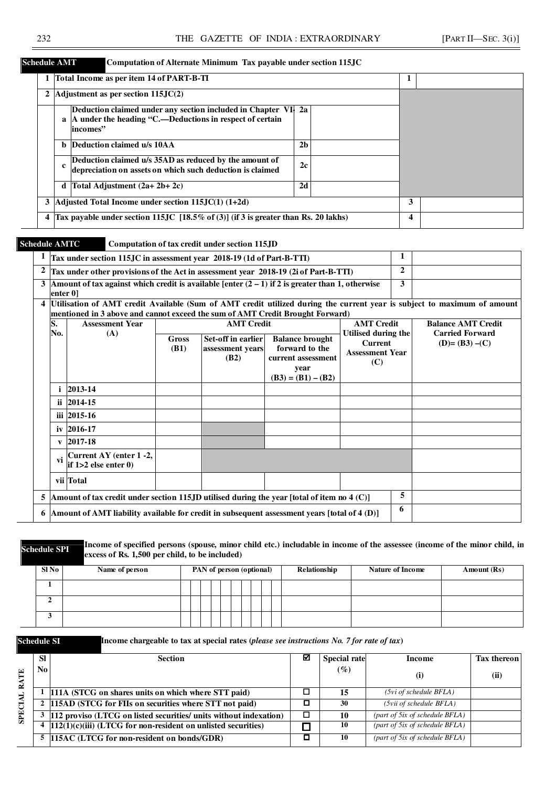#### **Schedule AMT Computation of Alternate Minimum Tax payable under section 115JC**

|   |    | Total Income as per item 14 of PART-B-TI                                                                                               |                |  |   |  |
|---|----|----------------------------------------------------------------------------------------------------------------------------------------|----------------|--|---|--|
|   |    | 2 Adjustment as per section $115JC(2)$                                                                                                 |                |  |   |  |
|   |    | Deduction claimed under any section included in Chapter VI.<br>a  A under the heading "C.—Deductions in respect of certain<br>incomes" | 2a             |  |   |  |
|   |    | <b>b</b> Deduction claimed u/s 10AA                                                                                                    | 2 <sub>b</sub> |  |   |  |
|   | c. | Deduction claimed u/s 35AD as reduced by the amount of<br>depreciation on assets on which such deduction is claimed                    | 2c             |  |   |  |
|   |    | d   Total Adjustment $(2a+2b+2c)$                                                                                                      | 2d             |  |   |  |
|   |    | 3   Adjusted Total Income under section $115$ , JC(1) $(1+2d)$                                                                         |                |  | 3 |  |
| 4 |    | Tax payable under section 115JC $[18.5\% \text{ of } (3)]$ (if 3 is greater than Rs. 20 lakhs)                                         |                |  | 4 |  |

#### **Schedule AMTC Computation of tax credit under section 115JD**

|                |              | Tax under section 115JC in assessment year 2018-19 (1d of Part-B-TTI)                            |                      |                                                |                                                                                                |                                                                                                                         | $\mathbf{2}$ |                                          |
|----------------|--------------|--------------------------------------------------------------------------------------------------|----------------------|------------------------------------------------|------------------------------------------------------------------------------------------------|-------------------------------------------------------------------------------------------------------------------------|--------------|------------------------------------------|
| $\overline{2}$ |              | Tax under other provisions of the Act in assessment year 2018-19 (2i of Part-B-TTI)              |                      |                                                |                                                                                                |                                                                                                                         |              |                                          |
|                | enter 0]     | Amount of tax against which credit is available [enter $(2-1)$ if 2 is greater than 1, otherwise |                      |                                                |                                                                                                |                                                                                                                         | 3            |                                          |
|                |              | mentioned in 3 above and cannot exceed the sum of AMT Credit Brought Forward)                    |                      |                                                |                                                                                                | Utilisation of AMT credit Available (Sum of AMT credit utilized during the current year is subject to maximum of amount |              |                                          |
|                | S.           | <b>Assessment Year</b>                                                                           |                      | <b>AMT</b> Credit                              |                                                                                                | <b>AMT</b> Credit                                                                                                       |              | <b>Balance AMT Credit</b>                |
|                | No.          | (A)                                                                                              | Gross<br><b>(B1)</b> | Set-off in earlier<br>assessment years<br>(B2) | <b>Balance brought</b><br>forward to the<br>current assessment<br>year<br>$(B3) = (B1) - (B2)$ | Utilised during the<br><b>Current</b><br><b>Assessment Year</b><br>(C)                                                  |              | <b>Carried Forward</b><br>$(D)=(B3)-(C)$ |
|                |              | 2013-14                                                                                          |                      |                                                |                                                                                                |                                                                                                                         |              |                                          |
|                |              | ii 2014-15                                                                                       |                      |                                                |                                                                                                |                                                                                                                         |              |                                          |
|                |              | iii 2015-16                                                                                      |                      |                                                |                                                                                                |                                                                                                                         |              |                                          |
|                |              | iv 2016-17                                                                                       |                      |                                                |                                                                                                |                                                                                                                         |              |                                          |
|                | $\mathbf{v}$ | 2017-18                                                                                          |                      |                                                |                                                                                                |                                                                                                                         |              |                                          |
|                | vi           | Current AY (enter 1 -2,<br>if $1>2$ else enter $0$ )                                             |                      |                                                |                                                                                                |                                                                                                                         |              |                                          |
|                |              | vii Total                                                                                        |                      |                                                |                                                                                                |                                                                                                                         |              |                                          |
|                |              | Amount of tax credit under section 115JD utilised during the year [total of item no $4(C)$ ]     |                      |                                                |                                                                                                |                                                                                                                         | 5            |                                          |
|                |              | Amount of AMT liability available for credit in subsequent assessment years [total of 4 (D)]     |                      |                                                |                                                                                                |                                                                                                                         | 6            |                                          |

**Schedule SPI Income of specified persons (spouse, minor child etc.) includable in income of the assessee (income of the minor child, in**  $\mathbb{R}^n$  **and**  $\mathbb{R}^n$  **and**  $\mathbb{R}^n$  **and**  $\mathbb{R}^n$  **and**  $\mathbb{R}^n$  **in \mathbb{R}^n excess of Rs. 1,500 per child, to be included)**

| S1No | Name of person | PAN of person (optional) | Relationship | <b>Nature of Income</b> | Amount (Rs) |
|------|----------------|--------------------------|--------------|-------------------------|-------------|
|      |                |                          |              |                         |             |
| ∸    |                |                          |              |                         |             |
|      |                |                          |              |                         |             |



**Schedule SI Income chargeable to tax at special rates (***please see instructions No. 7 for rate of tax***)** 

|                    | <b>SI</b> | <b>Section</b>                                                           | М | <b>Special rate</b> | Income                            | <b>Tax thereon</b> |
|--------------------|-----------|--------------------------------------------------------------------------|---|---------------------|-----------------------------------|--------------------|
| TE<br>$\mathbf{R}$ | No l      |                                                                          |   | $(\%)$              | (i)                               | (ii)               |
|                    |           | 111A (STCG on shares units on which where STT paid)                      |   | 15                  | $(5vi \text{ of schedule } BFLA)$ |                    |
| <b>SPECIAL</b>     |           | 2 115AD (STCG for FIIs on securities where STT not paid)                 |   | 30                  | (5vii of schedule BFLA)           |                    |
|                    |           | 112 proviso (LTCG on listed securities/ units without indexation)        |   | 10                  | (part of 5ix of schedule BFLA)    |                    |
|                    |           | $4 \left  112(1)(c)(iii)$ (LTCG for non-resident on unlisted securities) |   | 10                  | (part of 5ix of schedule BFLA)    |                    |
|                    |           | 5 115AC (LTCG for non-resident on bonds/GDR)                             |   | 10                  | (part of 5ix of schedule BFLA)    |                    |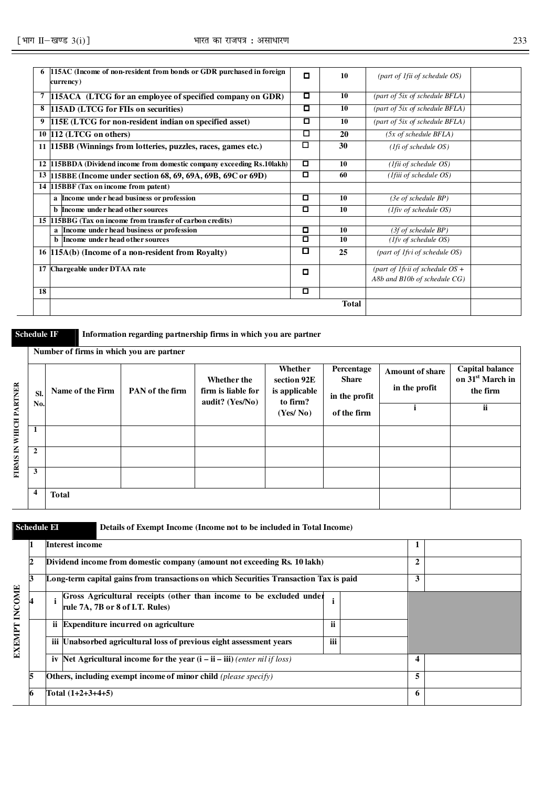|    | 115AC (Income of non-resident from bonds or GDR purchased in foreign<br>currency) | $\Box$ | 10           | (part of 1fii of schedule OS)      |  |
|----|-----------------------------------------------------------------------------------|--------|--------------|------------------------------------|--|
|    | 115ACA (LTCG for an employee of specified company on GDR)                         | о      | 10           | (part of 5ix of schedule BFLA)     |  |
| 8  | 115AD (LTCG for FIIs on securities)                                               | о      | 10           | (part of 5ix of schedule BFLA)     |  |
| 9  | 115E (LTCG for non-resident indian on specified asset)                            | о      | 10           | (part of 5ix of schedule BFLA)     |  |
|    | 10 112 (LTCG on others)                                                           | □      | 20           | $(5x \text{ of schedule } BFLA)$   |  |
|    | 11 15BB (Winnings from lotteries, puzzles, races, games etc.)                     | □      | 30           | (1fi of schedule OS)               |  |
|    | 12 115BBDA (Dividend income from domestic company exceeding Rs.10lakh)            | о      | 10           | $(1$ fii of schedule OS)           |  |
|    | 13 115BBE (Income under section 68, 69, 69A, 69B, 69C or 69D)                     | о      | 60           | (Ifiii of schedule OS)             |  |
|    | 14 115BBF (Tax on income from patent)                                             |        |              |                                    |  |
|    | a Income under head business or profession                                        | о      | 10           | $(3e \text{ of schedule BP})$      |  |
|    | <b>b</b> Income under head other sources                                          | 0      | 10           | $(1$ fiv of schedule OS)           |  |
|    | 15 115BBG (Tax on income from transfer of carbon credits)                         |        |              |                                    |  |
|    | a Income under head business or profession                                        | о      | 10           | (3f of schedule BP)                |  |
|    | <b>b</b> Income under head other sources                                          | о      | 10           | $(1fv \text{ of schedule OS})$     |  |
|    | 16 115A(b) (Income of a non-resident from Royalty)                                | 0      | 25           | (part of 1fvi of schedule OS)      |  |
|    | 17 Chargeable under DTAA rate                                                     | о      |              | (part of 1 fvii of schedule $OS +$ |  |
|    |                                                                                   |        |              | A8b and B10b of schedule CG)       |  |
| 18 |                                                                                   | o      |              |                                    |  |
|    |                                                                                   |        | <b>Total</b> |                                    |  |

**Schedule IF** Information regarding partnership firms in which you are partner

|                 |                    | Number of firms in which you are partner |                 |                                                               |                                                     |                                             |                                         |                                                                   |
|-----------------|--------------------|------------------------------------------|-----------------|---------------------------------------------------------------|-----------------------------------------------------|---------------------------------------------|-----------------------------------------|-------------------------------------------------------------------|
| WHICH PARTNER   | SI.<br>No.         | Name of the Firm                         | PAN of the firm | <b>Whether the</b><br>firm is liable for<br>audit? $(Yes/No)$ | Whether<br>section 92E<br>is applicable<br>to firm? | Percentage<br><b>Share</b><br>in the profit | <b>Amount of share</b><br>in the profit | Capital balance<br>on 31 <sup>st</sup> March in<br>the firm<br>ii |
|                 |                    |                                          |                 |                                                               | (Yes/No)                                            | of the firm                                 |                                         |                                                                   |
|                 | 1                  |                                          |                 |                                                               |                                                     |                                             |                                         |                                                                   |
| <b>FIRMS IN</b> | $\overline{2}$     |                                          |                 |                                                               |                                                     |                                             |                                         |                                                                   |
|                 | 3                  |                                          |                 |                                                               |                                                     |                                             |                                         |                                                                   |
|                 | $\overline{\bf 4}$ | <b>Total</b>                             |                 |                                                               |                                                     |                                             |                                         |                                                                   |

**Schedule EI Details of Exempt Income (Income not to be included in Total Income)** 

|               |    |     | <b>Interest income</b>                                                                                 |              |  |   |  |
|---------------|----|-----|--------------------------------------------------------------------------------------------------------|--------------|--|---|--|
|               | 12 |     | Dividend income from domestic company (amount not exceeding Rs. 10 lakh)                               | $\mathbf{2}$ |  |   |  |
|               | 13 |     | Long-term capital gains from transactions on which Securities Transaction Tax is paid                  |              |  | 3 |  |
| <b>INCOME</b> |    |     | Gross Agricultural receipts (other than income to be excluded under<br>rule 7A, 7B or 8 of I.T. Rules) |              |  |   |  |
|               |    |     | ii Expenditure incurred on agriculture                                                                 | <br>п        |  |   |  |
| <b>EXEMPT</b> |    | iii | Unabsorbed agricultural loss of previous eight assessment years                                        | <br>m        |  |   |  |
|               |    | iv  | Net Agricultural income for the year $(i - ii - iii)$ (enter nil if loss)                              |              |  | 4 |  |
|               | 5  |     | Others, including exempt income of minor child (please specify)                                        |              |  | 5 |  |
|               | 6  |     | Total (1+2+3+4+5)                                                                                      |              |  | 6 |  |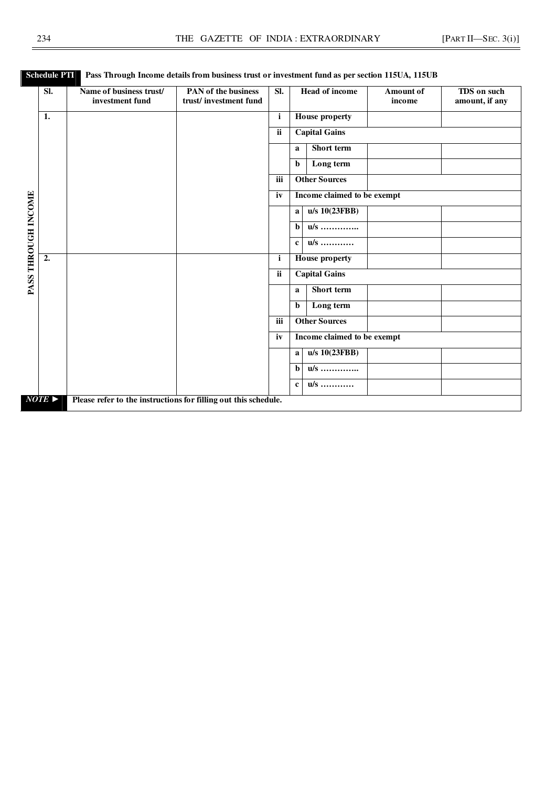|                     | $\overline{\text{SL}}$ | Name of business trust/<br>investment fund                      | PAN of the business<br>trust/investment fund | $\overline{\text{SL}}$ | <b>Head of income</b>             | <b>Amount of</b><br>income | <b>TDS</b> on such<br>amount, if any |
|---------------------|------------------------|-----------------------------------------------------------------|----------------------------------------------|------------------------|-----------------------------------|----------------------------|--------------------------------------|
|                     | 1.                     |                                                                 |                                              | i                      | <b>House property</b>             |                            |                                      |
|                     |                        |                                                                 |                                              | ii                     | <b>Capital Gains</b>              |                            |                                      |
|                     |                        |                                                                 |                                              |                        |                                   |                            |                                      |
|                     |                        |                                                                 |                                              |                        | Short term<br>a                   |                            |                                      |
|                     |                        |                                                                 |                                              |                        | Long term<br>$\mathbf b$          |                            |                                      |
|                     |                        |                                                                 |                                              | iii                    | <b>Other Sources</b>              |                            |                                      |
|                     |                        |                                                                 |                                              | iv                     | Income claimed to be exempt       |                            |                                      |
|                     |                        |                                                                 |                                              |                        | $u/s \overline{10(23FBB)}$<br>a l |                            |                                      |
|                     |                        |                                                                 |                                              |                        | $\overline{u/s}$<br>h             |                            |                                      |
| PASS THROUGH INCOME |                        |                                                                 |                                              |                        | $\overline{u/s}$<br>$\mathbf{c}$  |                            |                                      |
|                     | $\overline{2}$ .       |                                                                 |                                              | $\mathbf{i}$           | <b>House property</b>             |                            |                                      |
|                     |                        |                                                                 |                                              | ii                     | <b>Capital Gains</b>              |                            |                                      |
|                     |                        |                                                                 |                                              |                        | Short term<br>a                   |                            |                                      |
|                     |                        |                                                                 |                                              |                        | Long term<br>b                    |                            |                                      |
|                     |                        |                                                                 |                                              | iii                    | <b>Other Sources</b>              |                            |                                      |
|                     |                        |                                                                 |                                              | iv                     | Income claimed to be exempt       |                            |                                      |
|                     |                        |                                                                 |                                              |                        | u/s 10(23FBB)<br>a                |                            |                                      |
|                     |                        |                                                                 |                                              |                        | $\overline{u/s}$<br>$\mathbf b$   |                            |                                      |
|                     |                        |                                                                 |                                              |                        | u/s<br>$\mathbf{c}$               |                            |                                      |
|                     | $NOTE \triangleright$  | Please refer to the instructions for filling out this schedule. |                                              |                        |                                   |                            |                                      |

## **Schedule PTI** Pass Through Income details from business trust or investment fund as per section 115UA, 115UB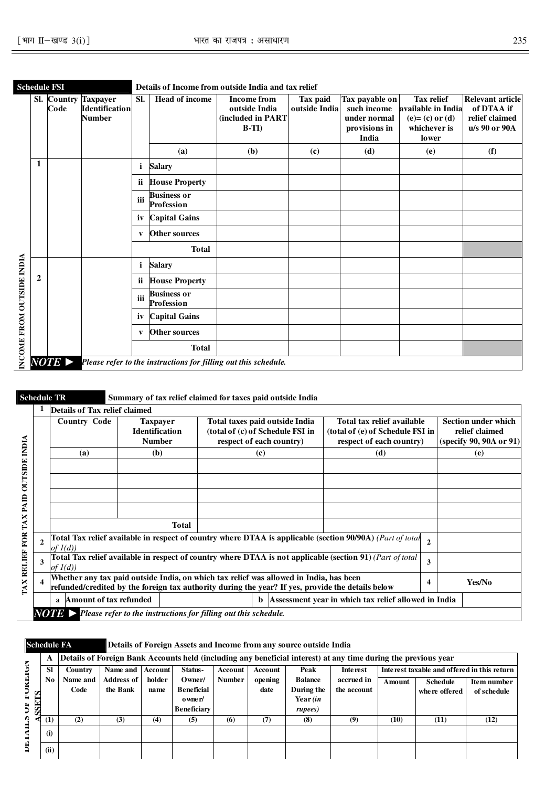|                           |                | Code | <b>Sl.</b> Country Taxpayer<br><b>Identification</b><br><b>Number</b> | SI.          | <b>Head of income</b>            | <b>Income from</b><br>outside India<br>(included in PART<br>$B-TI$ | Tax paid<br>outside Indial | Tax payable on<br>such income<br>under normal<br>provisions in<br>India | <b>Tax relief</b><br>available in India<br>$(e)=(c)$ or $(d)$<br>whichever is<br><b>lower</b> | <b>Relevant article</b><br>of DTAA if<br>relief claimed<br>u/s 90 or 90A |
|---------------------------|----------------|------|-----------------------------------------------------------------------|--------------|----------------------------------|--------------------------------------------------------------------|----------------------------|-------------------------------------------------------------------------|-----------------------------------------------------------------------------------------------|--------------------------------------------------------------------------|
|                           |                |      |                                                                       |              | (a)                              | (b)                                                                | (c)                        | (d)                                                                     | (e)                                                                                           | (f)                                                                      |
|                           | 1              |      |                                                                       | i.           | <b>Salary</b>                    |                                                                    |                            |                                                                         |                                                                                               |                                                                          |
|                           |                |      |                                                                       |              | ii House Property                |                                                                    |                            |                                                                         |                                                                                               |                                                                          |
|                           |                |      |                                                                       | iii          | <b>Business or</b><br>Profession |                                                                    |                            |                                                                         |                                                                                               |                                                                          |
|                           |                |      |                                                                       | iv           | <b>Capital Gains</b>             |                                                                    |                            |                                                                         |                                                                                               |                                                                          |
|                           |                |      |                                                                       | $\mathbf{v}$ | <b>Other sources</b>             |                                                                    |                            |                                                                         |                                                                                               |                                                                          |
|                           |                |      |                                                                       |              | <b>Total</b>                     |                                                                    |                            |                                                                         |                                                                                               |                                                                          |
|                           |                |      |                                                                       | i            | <b>Salary</b>                    |                                                                    |                            |                                                                         |                                                                                               |                                                                          |
|                           | $\overline{2}$ |      |                                                                       | ii.          | <b>House Property</b>            |                                                                    |                            |                                                                         |                                                                                               |                                                                          |
| INCOME FROM OUTSIDE INDIA |                |      |                                                                       | iii          | <b>Business or</b><br>Profession |                                                                    |                            |                                                                         |                                                                                               |                                                                          |
|                           |                |      |                                                                       | iv           | <b>Capital Gains</b>             |                                                                    |                            |                                                                         |                                                                                               |                                                                          |
|                           |                |      |                                                                       | V            | <b>Other sources</b>             |                                                                    |                            |                                                                         |                                                                                               |                                                                          |
|                           |                |      |                                                                       |              | <b>Total</b>                     |                                                                    |                            |                                                                         |                                                                                               |                                                                          |

|                   |              | <b>Schedule TR</b>            | Summary of tax relief claimed for taxes paid outside India                                                                                                                                                                                                |                                                            |     |     |   |                                                                         |  |  |
|-------------------|--------------|-------------------------------|-----------------------------------------------------------------------------------------------------------------------------------------------------------------------------------------------------------------------------------------------------------|------------------------------------------------------------|-----|-----|---|-------------------------------------------------------------------------|--|--|
|                   |              | Details of Tax relief claimed |                                                                                                                                                                                                                                                           |                                                            |     |     |   |                                                                         |  |  |
| <b>NDIA</b>       |              | <b>Country Code</b>           | Total taxes paid outside India<br>Total tax relief available<br><b>Taxpayer</b><br><b>Identification</b><br>(total of (c) of Schedule FSI in<br>(total of (e) of Schedule FSI in<br>respect of each country)<br><b>Number</b><br>respect of each country) |                                                            |     |     |   | <b>Section under which</b><br>relief claimed<br>(specify 90, 90A or 91) |  |  |
|                   |              | (a)                           | (b)                                                                                                                                                                                                                                                       |                                                            | (c) | (d) |   | (e)                                                                     |  |  |
|                   |              |                               |                                                                                                                                                                                                                                                           |                                                            |     |     |   |                                                                         |  |  |
| <b>OUTSIDE</b>    |              |                               |                                                                                                                                                                                                                                                           |                                                            |     |     |   |                                                                         |  |  |
| PAID              |              |                               |                                                                                                                                                                                                                                                           |                                                            |     |     |   |                                                                         |  |  |
| ×                 |              |                               |                                                                                                                                                                                                                                                           |                                                            |     |     |   |                                                                         |  |  |
| Ã                 |              |                               |                                                                                                                                                                                                                                                           |                                                            |     |     |   |                                                                         |  |  |
| <b>FOR</b>        | $\mathbf{2}$ | of $I(d)$                     | Total Tax relief available in respect of country where DTAA is applicable (section 90/90A) (Part of total                                                                                                                                                 | $\overline{2}$                                             |     |     |   |                                                                         |  |  |
|                   | 3            | of $I(d)$                     | Total Tax relief available in respect of country where DTAA is not applicable (section 91) (Part of total                                                                                                                                                 | 3                                                          |     |     |   |                                                                         |  |  |
| <b>TAX RELIEF</b> | $\mathbf{A}$ |                               | Whether any tax paid outside India, on which tax relief was allowed in India, has been<br>refunded/credited by the foreign tax authority during the year? If yes, provide the details below                                                               |                                                            |     |     | 4 | Yes/No                                                                  |  |  |
|                   |              | Amount of tax refunded<br>a   |                                                                                                                                                                                                                                                           | Assessment year in which tax relief allowed in India<br>b. |     |     |   |                                                                         |  |  |
|                   |              |                               | $\bf \text{NOTB} >$ Please refer to the instructions for filling out this schedule.                                                                                                                                                                       |                                                            |     |     |   |                                                                         |  |  |

| <b>Schedule FA</b> |           |          |                   |                |                    |               |         | Details of Foreign Assets and Income from any source outside India |                                                                                                                |        |                                             |             |
|--------------------|-----------|----------|-------------------|----------------|--------------------|---------------|---------|--------------------------------------------------------------------|----------------------------------------------------------------------------------------------------------------|--------|---------------------------------------------|-------------|
|                    | A         |          |                   |                |                    |               |         |                                                                    | Details of Foreign Bank Accounts held (including any beneficial interest) at any time during the previous year |        |                                             |             |
|                    | <b>SI</b> | Country  | Name and 1        | <b>Account</b> | Status-            | Account       | Account | Peak                                                               | Inte rest                                                                                                      |        | Interest taxable and offered in this return |             |
|                    | No.       | Name and | <b>Address of</b> | holder         | Owner/             | <b>Number</b> | opening | <b>Balance</b>                                                     | accrued in                                                                                                     | Amount | <b>Schedule</b>                             | Item number |
| FUKEIGN<br>TS      |           | Code     | the Bank          | name           | <b>Beneficial</b>  |               | date    | During the                                                         | the account                                                                                                    |        | where offered                               | of schedule |
| J<br>SSE           |           |          |                   |                | o wne r/           |               |         | Year $(in$                                                         |                                                                                                                |        |                                             |             |
|                    |           |          |                   |                | <b>Beneficiary</b> |               |         | rupees)                                                            |                                                                                                                |        |                                             |             |
| ≺€<br>∃            | (1)       | (2)      | (3)               | (4)            | (5)                | (6)           | (7)     | (8)                                                                | (9)                                                                                                            | (10)   | (11)                                        | (12)        |
| ₹                  | (i)       |          |                   |                |                    |               |         |                                                                    |                                                                                                                |        |                                             |             |
| DE.                | (ii)      |          |                   |                |                    |               |         |                                                                    |                                                                                                                |        |                                             |             |

÷,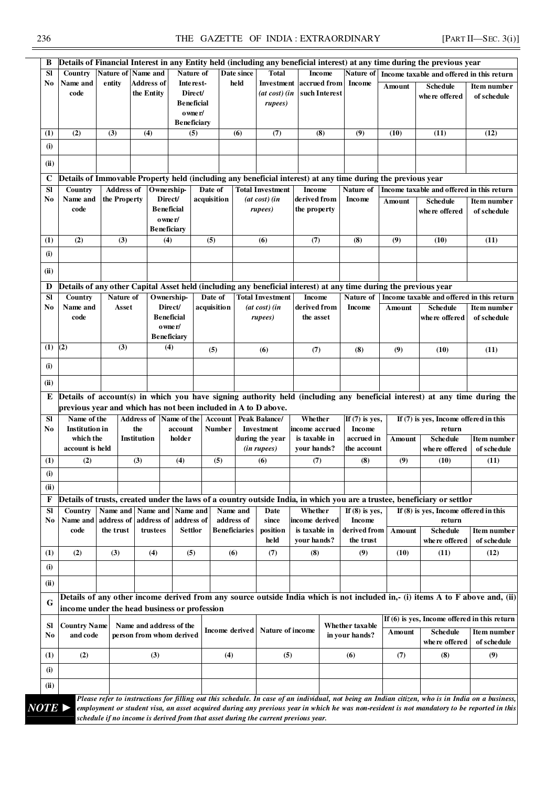236 THE GAZETTE OF INDIA : EXTRAORDINARY [PART II—SEC. 3(i)]

| Sl                            | Details of Financial Interest in any Entity held (including any beneficial interest) at any time during the previous year | Nature of               | Name and               |                                                                | Nature of                                                                    | Date since                  | <b>Total</b>                                          | <b>Income</b>                                                                                                    | Nature of                                       |        |                                                                                                                                                                                                   |                                   |
|-------------------------------|---------------------------------------------------------------------------------------------------------------------------|-------------------------|------------------------|----------------------------------------------------------------|------------------------------------------------------------------------------|-----------------------------|-------------------------------------------------------|------------------------------------------------------------------------------------------------------------------|-------------------------------------------------|--------|---------------------------------------------------------------------------------------------------------------------------------------------------------------------------------------------------|-----------------------------------|
|                               | Country<br>Name and                                                                                                       |                         | <b>Address of</b>      |                                                                |                                                                              | held                        |                                                       | accrued from                                                                                                     |                                                 |        | Income taxable and offered in this return                                                                                                                                                         |                                   |
| No                            | code                                                                                                                      | entity                  | the Entity             |                                                                | Inte rest-<br>Direct/<br><b>Beneficial</b><br>o wne r/<br><b>Beneficiary</b> |                             | Investment<br>(at cost) (in<br>rupees)                | such Interest                                                                                                    | <b>Income</b>                                   | Amount | <b>Schedule</b><br>where offered                                                                                                                                                                  | Item number<br>of schedule        |
| (1)                           | (2)                                                                                                                       | (3)                     | (4)                    |                                                                | (5)                                                                          | (6)                         | (7)                                                   | (8)                                                                                                              | (9)                                             | (10)   | (11)                                                                                                                                                                                              | (12)                              |
| (i)                           |                                                                                                                           |                         |                        |                                                                |                                                                              |                             |                                                       |                                                                                                                  |                                                 |        |                                                                                                                                                                                                   |                                   |
| (ii)                          |                                                                                                                           |                         |                        |                                                                |                                                                              |                             |                                                       |                                                                                                                  |                                                 |        |                                                                                                                                                                                                   |                                   |
| C                             |                                                                                                                           |                         |                        |                                                                |                                                                              |                             |                                                       | Details of Immovable Property held (including any beneficial interest) at any time during the previous year      |                                                 |        |                                                                                                                                                                                                   |                                   |
| SI                            | Country                                                                                                                   | <b>Address of</b>       |                        | Ownership-                                                     | Date of                                                                      |                             | <b>Total Investment</b>                               | <b>Income</b>                                                                                                    | Nature of                                       |        | Income taxable and offered in this return                                                                                                                                                         |                                   |
| No                            | Name and<br>code                                                                                                          | the Property            |                        | Direct/<br><b>Beneficial</b><br>o wne r/<br><b>Beneficiary</b> | acquisition                                                                  |                             | $(at \cos t)$ $(in$<br>rupees)                        | derived from<br>the property                                                                                     | Income                                          | Amount | <b>Schedule</b><br>where offered                                                                                                                                                                  | Item number<br>of schedule        |
| (1)                           | (2)                                                                                                                       | (3)                     |                        | (4)                                                            | (5)                                                                          |                             | (6)                                                   | (7)                                                                                                              | (8)                                             | (9)    | (10)                                                                                                                                                                                              | (11)                              |
| (i)                           |                                                                                                                           |                         |                        |                                                                |                                                                              |                             |                                                       |                                                                                                                  |                                                 |        |                                                                                                                                                                                                   |                                   |
| (ii)                          |                                                                                                                           |                         |                        |                                                                |                                                                              |                             |                                                       |                                                                                                                  |                                                 |        |                                                                                                                                                                                                   |                                   |
| D                             |                                                                                                                           |                         |                        |                                                                |                                                                              |                             |                                                       | Details of any other Capital Asset held (including any beneficial interest) at any time during the previous year |                                                 |        |                                                                                                                                                                                                   |                                   |
| Sl                            | Country                                                                                                                   | Nature of               |                        | Ownership-                                                     | Date of                                                                      |                             | <b>Total Investment</b>                               | <b>Income</b>                                                                                                    | Nature of                                       |        | Income taxable and offered in this return                                                                                                                                                         |                                   |
| No                            | Name and<br>code                                                                                                          | Asset                   |                        | Direct/<br><b>Beneficial</b><br>o wne r/<br><b>Beneficiary</b> | acquisition                                                                  |                             | $(at \cos t)$ $(in$<br>rupees)                        | derived from<br>the asset                                                                                        | <b>Income</b>                                   | Amount | <b>Schedule</b><br>where offered                                                                                                                                                                  | Item number<br>of schedule        |
| $(1)$ $(2)$                   |                                                                                                                           | (3)                     |                        | (4)                                                            | (5)                                                                          |                             | (6)                                                   | (7)                                                                                                              | (8)                                             | (9)    | (10)                                                                                                                                                                                              | (11)                              |
|                               |                                                                                                                           |                         |                        |                                                                |                                                                              |                             |                                                       |                                                                                                                  |                                                 |        |                                                                                                                                                                                                   |                                   |
| (i)<br>(ii)                   |                                                                                                                           |                         |                        |                                                                |                                                                              |                             |                                                       |                                                                                                                  |                                                 |        |                                                                                                                                                                                                   |                                   |
| E<br><b>SI</b><br>No          | previous year and which has not been included in A to D above.<br>Name of the<br><b>Institution</b> in<br>which the       |                         | the<br>Institution     | Address of Name of the<br>account<br>holder                    |                                                                              | Account<br>Number           | <b>Peak Balance/</b><br>Investment<br>during the year | Whether<br>income accrued<br>is taxable in                                                                       | If $(7)$ is yes,<br><b>Income</b><br>accrued in | Amount | Details of account(s) in which you have signing authority held (including any beneficial interest) at any time during the<br>If $(7)$ is yes, Income offered in this<br>return<br><b>Schedule</b> |                                   |
|                               | account is held                                                                                                           |                         |                        |                                                                |                                                                              |                             | (in rupees)                                           | your hands?                                                                                                      | the account                                     |        | where offered                                                                                                                                                                                     |                                   |
| (1)                           | (2)                                                                                                                       |                         | (3)                    | (4)                                                            | (5)                                                                          |                             | (6)                                                   | (7)                                                                                                              | (8)                                             | (9)    | (10)                                                                                                                                                                                              | (11)                              |
| (i)                           |                                                                                                                           |                         |                        |                                                                |                                                                              |                             |                                                       |                                                                                                                  |                                                 |        |                                                                                                                                                                                                   |                                   |
|                               |                                                                                                                           |                         |                        |                                                                |                                                                              |                             |                                                       |                                                                                                                  |                                                 |        |                                                                                                                                                                                                   |                                   |
| (ii)<br>F<br><b>SI</b>        | Country                                                                                                                   | Name and                | Name and               | Name and                                                       |                                                                              | Name and                    | Date                                                  | Whether                                                                                                          | If $(8)$ is yes,                                |        | Details of trusts, created under the laws of a country outside India, in which you are a trustee, beneficiary or settlor<br>If $(8)$ is yes, Income offered in this                               | Item number<br>of schedule        |
| No                            | Name and<br>code                                                                                                          | address of<br>the trust | address of<br>trustees | address of<br>Settlor                                          |                                                                              | address of<br>Beneficiaries | since<br>position                                     | income derived<br>is taxable in                                                                                  | <b>Income</b><br>derived from                   |        | return                                                                                                                                                                                            |                                   |
|                               |                                                                                                                           |                         |                        |                                                                |                                                                              |                             | held                                                  | vour hands?                                                                                                      | the trust                                       | Amount | <b>Schedule</b><br>where offered                                                                                                                                                                  |                                   |
| (1)                           | (2)                                                                                                                       | (3)                     | (4)                    | (5)                                                            |                                                                              | (6)                         | (7)                                                   | (8)                                                                                                              | (9)                                             | (10)   | (11)                                                                                                                                                                                              | (12)                              |
| (i)                           |                                                                                                                           |                         |                        |                                                                |                                                                              |                             |                                                       |                                                                                                                  |                                                 |        |                                                                                                                                                                                                   |                                   |
| (ii)                          |                                                                                                                           |                         |                        |                                                                |                                                                              |                             |                                                       |                                                                                                                  |                                                 |        | Details of any other income derived from any source outside India which is not included in,- (i) items A to F above and, (ii)                                                                     |                                   |
| G                             | income under the head business or profession                                                                              |                         |                        |                                                                |                                                                              |                             |                                                       |                                                                                                                  |                                                 |        |                                                                                                                                                                                                   | <b>Item number</b><br>of schedule |
| SI                            | <b>Country Name</b>                                                                                                       |                         |                        | Name and address of the                                        |                                                                              | Income derived              | Nature of income                                      |                                                                                                                  | Whether taxable                                 | Amount | If $(6)$ is yes, Income offered in this return<br><b>Schedule</b>                                                                                                                                 | Item number                       |
|                               | and code                                                                                                                  |                         |                        | person from whom derived                                       |                                                                              |                             |                                                       |                                                                                                                  | in your hands?                                  |        | where offered                                                                                                                                                                                     |                                   |
|                               | (2)                                                                                                                       |                         | (3)                    |                                                                |                                                                              | (4)                         | (5)                                                   |                                                                                                                  | (6)                                             | (7)    | (8)                                                                                                                                                                                               | (9)                               |
| No<br>$\left(1\right)$<br>(i) |                                                                                                                           |                         |                        |                                                                |                                                                              |                             |                                                       |                                                                                                                  |                                                 |        |                                                                                                                                                                                                   | of schedule                       |